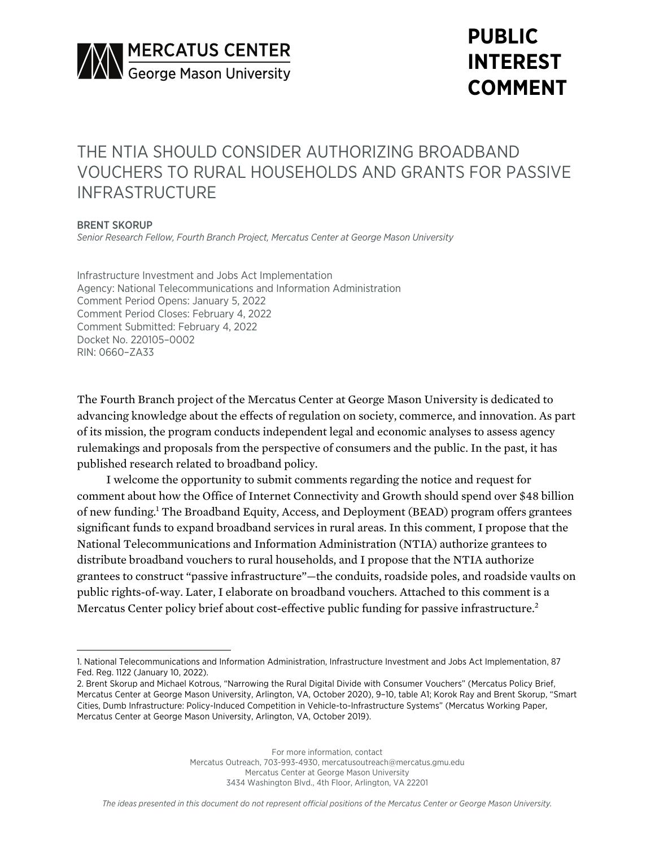

# **PUBLIC INTEREST COMMENT**

## THE NTIA SHOULD CONSIDER AUTHORIZING BROADBAND VOUCHERS TO RURAL HOUSEHOLDS AND GRANTS FOR PASSIVE INFRASTRUCTURE

#### BRENT SKORUP

*Senior Research Fellow, Fourth Branch Project, Mercatus Center at George Mason University*

Infrastructure Investment and Jobs Act Implementation Agency: National Telecommunications and Information Administration Comment Period Opens: January 5, 2022 Comment Period Closes: February 4, 2022 Comment Submitted: February 4, 2022 Docket No. 220105–0002 RIN: 0660–ZA33

The Fourth Branch project of the Mercatus Center at George Mason University is dedicated to advancing knowledge about the effects of regulation on society, commerce, and innovation. As part of its mission, the program conducts independent legal and economic analyses to assess agency rulemakings and proposals from the perspective of consumers and the public. In the past, it has published research related to broadband policy.

I welcome the opportunity to submit comments regarding the notice and request for comment about how the Office of Internet Connectivity and Growth should spend over \$48 billion of new funding.1 The Broadband Equity, Access, and Deployment (BEAD) program offers grantees significant funds to expand broadband services in rural areas. In this comment, I propose that the National Telecommunications and Information Administration (NTIA) authorize grantees to distribute broadband vouchers to rural households, and I propose that the NTIA authorize grantees to construct "passive infrastructure"—the conduits, roadside poles, and roadside vaults on public rights-of-way. Later, I elaborate on broadband vouchers. Attached to this comment is a Mercatus Center policy brief about cost-effective public funding for passive infrastructure.<sup>2</sup>

<sup>1.</sup> National Telecommunications and Information Administration, Infrastructure Investment and Jobs Act Implementation, 87 Fed. Reg. 1122 (January 10, 2022).

<sup>2.</sup> Brent Skorup and Michael Kotrous, "Narrowing the Rural Digital Divide with Consumer Vouchers" (Mercatus Policy Brief, Mercatus Center at George Mason University, Arlington, VA, October 2020), 9–10, table A1; Korok Ray and Brent Skorup, "Smart Cities, Dumb Infrastructure: Policy-Induced Competition in Vehicle-to-Infrastructure Systems" (Mercatus Working Paper, Mercatus Center at George Mason University, Arlington, VA, October 2019).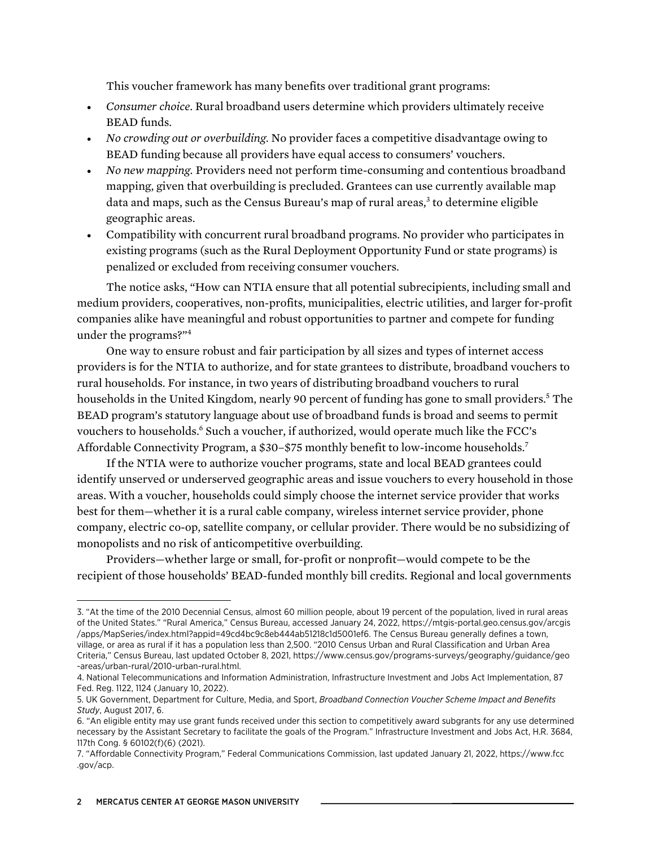This voucher framework has many benefits over traditional grant programs:

- *Consumer choice.* Rural broadband users determine which providers ultimately receive BEAD funds.
- *No crowding out or overbuilding.* No provider faces a competitive disadvantage owing to BEAD funding because all providers have equal access to consumers' vouchers.
- *No new mapping.* Providers need not perform time-consuming and contentious broadband mapping, given that overbuilding is precluded. Grantees can use currently available map data and maps, such as the Census Bureau's map of rural areas, $3$  to determine eligible geographic areas.
- Compatibility with concurrent rural broadband programs. No provider who participates in existing programs (such as the Rural Deployment Opportunity Fund or state programs) is penalized or excluded from receiving consumer vouchers.

The notice asks, "How can NTIA ensure that all potential subrecipients, including small and medium providers, cooperatives, non-profits, municipalities, electric utilities, and larger for-profit companies alike have meaningful and robust opportunities to partner and compete for funding under the programs?"4

One way to ensure robust and fair participation by all sizes and types of internet access providers is for the NTIA to authorize, and for state grantees to distribute, broadband vouchers to rural households. For instance, in two years of distributing broadband vouchers to rural households in the United Kingdom, nearly 90 percent of funding has gone to small providers.<sup>5</sup> The BEAD program's statutory language about use of broadband funds is broad and seems to permit vouchers to households.6 Such a voucher, if authorized, would operate much like the FCC's Affordable Connectivity Program, a \$30–\$75 monthly benefit to low-income households.7

If the NTIA were to authorize voucher programs, state and local BEAD grantees could identify unserved or underserved geographic areas and issue vouchers to every household in those areas. With a voucher, households could simply choose the internet service provider that works best for them—whether it is a rural cable company, wireless internet service provider, phone company, electric co-op, satellite company, or cellular provider. There would be no subsidizing of monopolists and no risk of anticompetitive overbuilding.

Providers—whether large or small, for-profit or nonprofit—would compete to be the recipient of those households' BEAD-funded monthly bill credits. Regional and local governments

<sup>3.</sup> "At the time of the 2010 Decennial Census, almost 60 million people, about 19 percent of the population, lived in rural areas of the United States." "Rural America," Census Bureau, accessed January 24, 2022, [https://mtgis-portal.geo.census.gov/arcgis](https://mtgis-portal.geo.census.gov/arcgis/apps/MapSeries/index.html?appid=49cd4bc9c8eb444ab51218c1d5001ef6) [/apps/MapSeries/index.html?appid=49cd4bc9c8eb444ab51218c1d5001ef6.](https://mtgis-portal.geo.census.gov/arcgis/apps/MapSeries/index.html?appid=49cd4bc9c8eb444ab51218c1d5001ef6) The Census Bureau generally defines a town, village, or area as rural if it has a population less than 2,500. "2010 Census Urban and Rural Classification and Urban Area Criteria," Census Bureau, last updated October 8, 2021, [https://www.census.gov/programs-surveys/geography/guidance/geo](https://www.census.gov/programs-surveys/geography/guidance/geo-areas/urban-rural/2010-urban-rural.html) [-areas/urban-rural/2010-urban-rural.html.](https://www.census.gov/programs-surveys/geography/guidance/geo-areas/urban-rural/2010-urban-rural.html)

<sup>4.</sup> National Telecommunications and Information Administration, Infrastructure Investment and Jobs Act Implementation, 87 Fed. Reg. 1122, 1124 (January 10, 2022).

<sup>5.</sup> UK Government, Department for Culture, Media, and Sport, *Broadband Connection Voucher Scheme Impact and Benefits Study*, August 2017, 6.

<sup>6.</sup> "An eligible entity may use grant funds received under this section to competitively award subgrants for any use determined necessary by the Assistant Secretary to facilitate the goals of the Program." Infrastructure Investment and Jobs Act, H.R. 3684, 117th Cong. § 60102(f)(6) (2021).

<sup>7.</sup> "Affordable Connectivity Program," Federal Communications Commission, last updated January 21, 2022, [https://www.fcc](https://www.fcc.gov/acp) [.gov/acp.](https://www.fcc.gov/acp)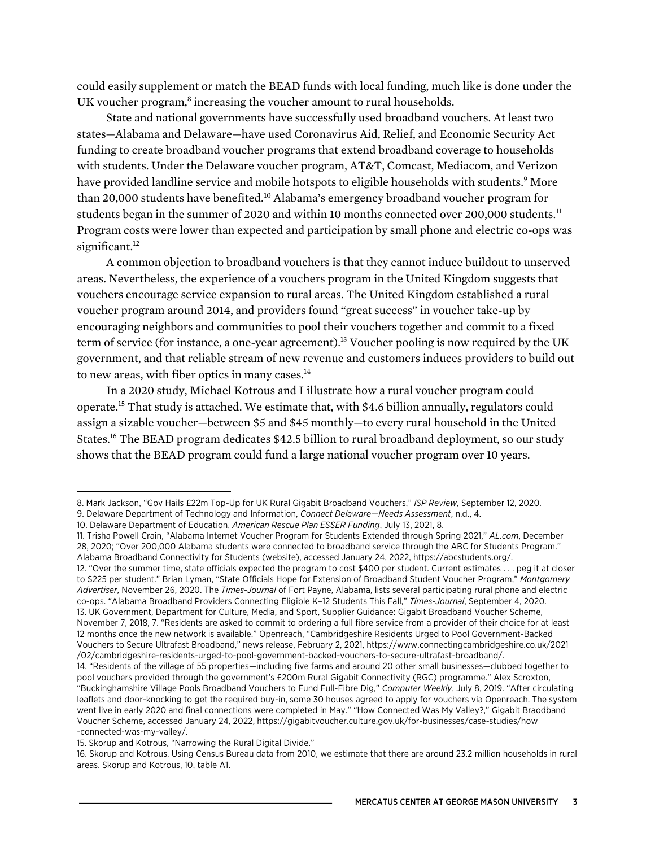could easily supplement or match the BEAD funds with local funding, much like is done under the UK voucher program,<sup>8</sup> increasing the voucher amount to rural households.

State and national governments have successfully used broadband vouchers. At least two states—Alabama and Delaware—have used Coronavirus Aid, Relief, and Economic Security Act funding to create broadband voucher programs that extend broadband coverage to households with students. Under the Delaware voucher program, AT&T, Comcast, Mediacom, and Verizon have provided landline service and mobile hotspots to eligible households with students.<sup>9</sup> More than 20,000 students have benefited.<sup>10</sup> Alabama's emergency broadband voucher program for students began in the summer of 2020 and within 10 months connected over 200,000 students.<sup>11</sup> Program costs were lower than expected and participation by small phone and electric co-ops was significant.<sup>12</sup>

A common objection to broadband vouchers is that they cannot induce buildout to unserved areas. Nevertheless, the experience of a vouchers program in the United Kingdom suggests that vouchers encourage service expansion to rural areas. The United Kingdom established a rural voucher program around 2014, and providers found "great success" in voucher take-up by encouraging neighbors and communities to pool their vouchers together and commit to a fixed term of service (for instance, a one-year agreement).13 Voucher pooling is now required by the UK government, and that reliable stream of new revenue and customers induces providers to build out to new areas, with fiber optics in many cases.<sup>14</sup>

In a 2020 study, Michael Kotrous and I illustrate how a rural voucher program could operate.15 That study is attached. We estimate that, with \$4.6 billion annually, regulators could assign a sizable voucher—between \$5 and \$45 monthly—to every rural household in the United States.<sup>16</sup> The BEAD program dedicates \$42.5 billion to rural broadband deployment, so our study shows that the BEAD program could fund a large national voucher program over 10 years.

12. "Over the summer time, state officials expected the program to cost \$400 per student. Current estimates . . . peg it at closer to \$225 per student." Brian Lyman, "State Officials Hope for Extension of Broadband Student Voucher Program," *Montgomery Advertiser*, November 26, 2020. The *Times-Journal* of Fort Payne, Alabama, lists several participating rural phone and electric co-ops. "Alabama Broadband Providers Connecting Eligible K–12 Students This Fall," *Times-Journal*, September 4, 2020. 13. UK Government, Department for Culture, Media, and Sport, Supplier Guidance: Gigabit Broadband Voucher Scheme, November 7, 2018, 7. "Residents are asked to commit to ordering a full fibre service from a provider of their choice for at least 12 months once the new network is available." Openreach, "Cambridgeshire Residents Urged to Pool Government-Backed Vouchers to Secure Ultrafast Broadband," news release, February 2, 2021, [https://www.connectingcambridgeshire.co.uk/2021](https://www.connectingcambridgeshire.co.uk/2021/02/cambridgeshire-residents-urged-to-pool-government-backed-vouchers-to-secure-ultrafast-broadband/) [/02/cambridgeshire-residents-urged-to-pool-government-backed-vouchers-to-secure-ultrafast-broadband/.](https://www.connectingcambridgeshire.co.uk/2021/02/cambridgeshire-residents-urged-to-pool-government-backed-vouchers-to-secure-ultrafast-broadband/)

<sup>8.</sup> Mark Jackson, "Gov Hails £22m Top-Up for UK Rural Gigabit Broadband Vouchers," *ISP Review*, September 12, 2020.

<sup>9.</sup> Delaware Department of Technology and Information, *Connect Delaware—Needs Assessment*, n.d., 4.

<sup>10.</sup> Delaware Department of Education, *American Rescue Plan ESSER Funding*, July 13, 2021, 8.

<sup>11.</sup> Trisha Powell Crain, "Alabama Internet Voucher Program for Students Extended through Spring 2021," *AL.com*, December 28, 2020; "Over 200,000 Alabama students were connected to broadband service through the ABC for Students Program." Alabama Broadband Connectivity for Students (website), accessed January 24, 2022, [https://abcstudents.org/.](https://abcstudents.org/)

<sup>14.</sup> "Residents of the village of 55 properties—including five farms and around 20 other small businesses—clubbed together to pool vouchers provided through the government's £200m Rural Gigabit Connectivity (RGC) programme." Alex Scroxton, "Buckinghamshire Village Pools Broadband Vouchers to Fund Full-Fibre Dig," *Computer Weekly*, July 8, 2019. "After circulating leaflets and door-knocking to get the required buy-in, some 30 houses agreed to apply for vouchers via Openreach. The system went live in early 2020 and final connections were completed in May." "How Connected Was My Valley?," Gigabit Braodband Voucher Scheme, accessed January 24, 2022, [https://gigabitvoucher.culture.gov.uk/for-businesses/case-studies/how](https://gigabitvoucher.culture.gov.uk/for-businesses/case-studies/how-connected-was-my-valley/) [-connected-was-my-valley/.](https://gigabitvoucher.culture.gov.uk/for-businesses/case-studies/how-connected-was-my-valley/)

<sup>15.</sup> Skorup and Kotrous, "Narrowing the Rural Digital Divide."

<sup>16.</sup> Skorup and Kotrous. Using Census Bureau data from 2010, we estimate that there are around 23.2 million households in rural areas. Skorup and Kotrous, 10, table A1.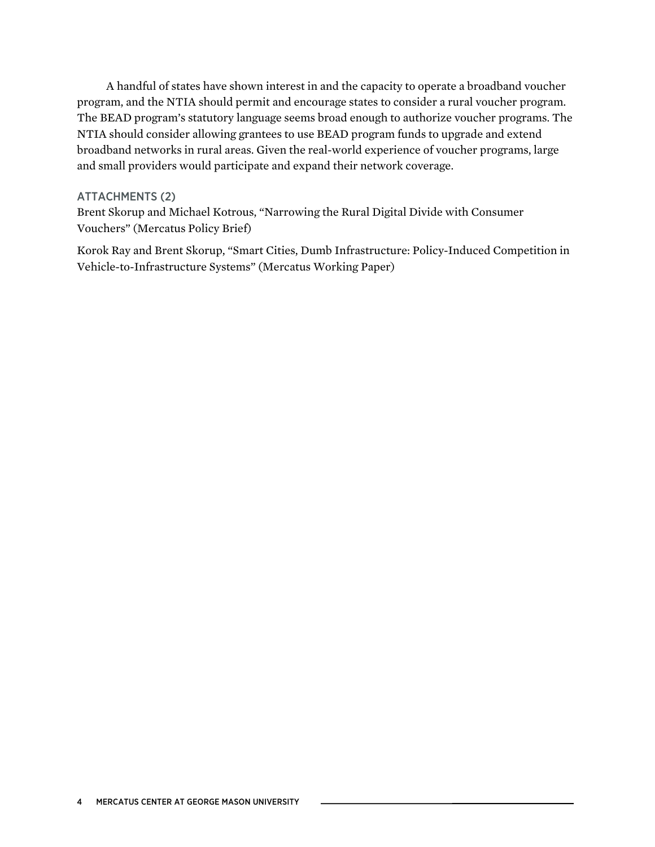A handful of states have shown interest in and the capacity to operate a broadband voucher program, and the NTIA should permit and encourage states to consider a rural voucher program. The BEAD program's statutory language seems broad enough to authorize voucher programs. The NTIA should consider allowing grantees to use BEAD program funds to upgrade and extend broadband networks in rural areas. Given the real-world experience of voucher programs, large and small providers would participate and expand their network coverage.

#### ATTACHMENTS (2)

Brent Skorup and Michael Kotrous, "Narrowing the Rural Digital Divide with Consumer Vouchers" (Mercatus Policy Brief)

Korok Ray and Brent Skorup, "Smart Cities, Dumb Infrastructure: Policy-Induced Competition in Vehicle-to-Infrastructure Systems" (Mercatus Working Paper)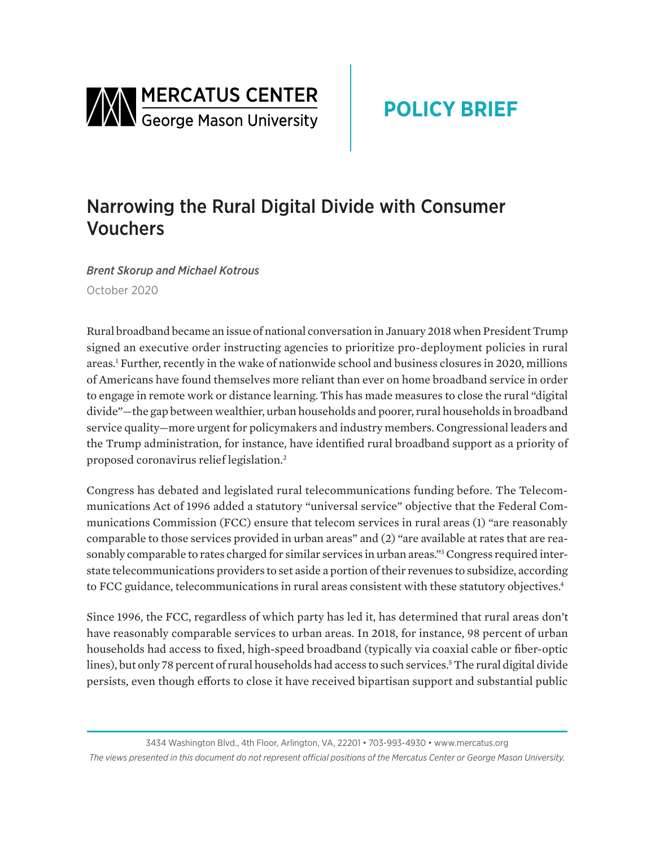

## Narrowing the Rural Digital Divide with Consumer Vouchers

*Brent Skorup and Michael Kotrous* October 2020

Rural broadband became an issue of national conversation in January 2018 when President Trump signed an executive order instructing agencies to prioritize pro-deployment policies in rural areas.<sup>1</sup> Further, recently in the wake of nationwide school and business closures in 2020, millions of Americans have found themselves more reliant than ever on home broadband service in order to engage in remote work or distance learning. This has made measures to close the rural "digital divide"—the gap between wealthier, urban households and poorer, rural households in broadband service quality—more urgent for policymakers and industry members. Congressional leaders and the Trump administration, for instance, have identified rural broadband support as a priority of proposed coronavirus relief legislation.<sup>2</sup>

Congress has debated and legislated rural telecommunications funding before. The Telecommunications Act of 1996 added a statutory "universal service" objective that the Federal Communications Commission (FCC) ensure that telecom services in rural areas (1) "are reasonably comparable to those services provided in urban areas" and (2) "are available at rates that are reasonably comparable to rates charged for similar services in urban areas." 3 Congress required interstate telecommunications providers to set aside a portion of their revenues to subsidize, according to FCC guidance, telecommunications in rural areas consistent with these statutory objectives.<sup>4</sup>

Since 1996, the FCC, regardless of which party has led it, has determined that rural areas don't have reasonably comparable services to urban areas. In 2018, for instance, 98 percent of urban households had access to fixed, high-speed broadband (typically via coaxial cable or fiber-optic lines), but only 78 percent of rural households had access to such services.<sup>5</sup> The rural digital divide persists, even though efforts to close it have received bipartisan support and substantial public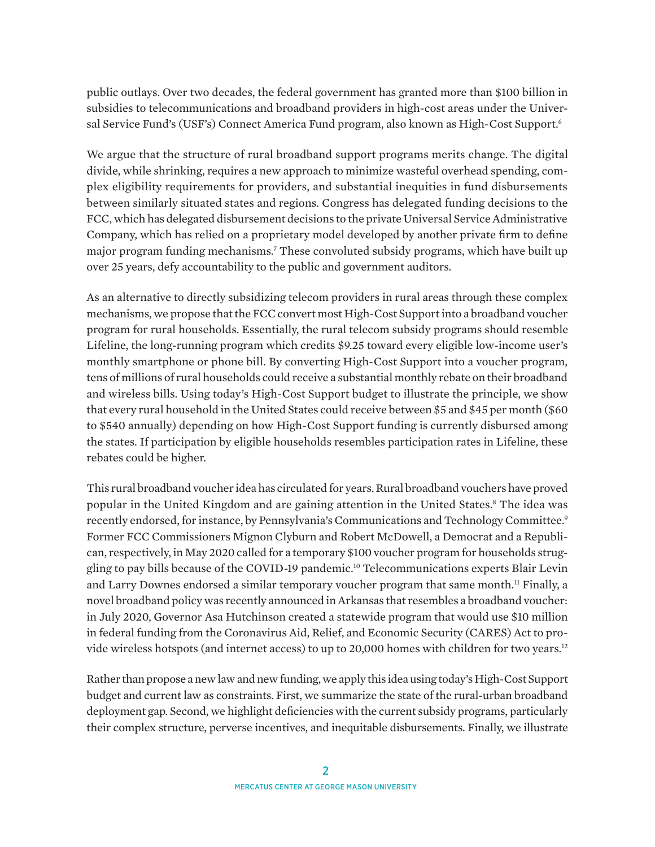public outlays. Over two decades, the federal government has granted more than \$100 billion in subsidies to telecommunications and broadband providers in high-cost areas under the Universal Service Fund's (USF's) Connect America Fund program, also known as High-Cost Support.6

We argue that the structure of rural broadband support programs merits change. The digital divide, while shrinking, requires a new approach to minimize wasteful overhead spending, complex eligibility requirements for providers, and substantial inequities in fund disbursements between similarly situated states and regions. Congress has delegated funding decisions to the FCC, which has delegated disbursement decisions to the private Universal Service Administrative Company, which has relied on a proprietary model developed by another private firm to define major program funding mechanisms.7 These convoluted subsidy programs, which have built up over 25 years, defy accountability to the public and government auditors.

As an alternative to directly subsidizing telecom providers in rural areas through these complex mechanisms, we propose that the FCC convert most High-Cost Support into a broadband voucher program for rural households. Essentially, the rural telecom subsidy programs should resemble Lifeline, the long-running program which credits \$9.25 toward every eligible low-income user's monthly smartphone or phone bill. By converting High-Cost Support into a voucher program, tens of millions of rural households could receive a substantial monthly rebate on their broadband and wireless bills. Using today's High-Cost Support budget to illustrate the principle, we show that every rural household in the United States could receive between \$5 and \$45 per month (\$60 to \$540 annually) depending on how High-Cost Support funding is currently disbursed among the states. If participation by eligible households resembles participation rates in Lifeline, these rebates could be higher.

This rural broadband voucher idea has circulated for years. Rural broadband vouchers have proved popular in the United Kingdom and are gaining attention in the United States.<sup>8</sup> The idea was recently endorsed, for instance, by Pennsylvania's Communications and Technology Committee.<sup>9</sup> Former FCC Commissioners Mignon Clyburn and Robert McDowell, a Democrat and a Republican, respectively, in May 2020 called for a temporary \$100 voucher program for households struggling to pay bills because of the COVID-19 pandemic.<sup>10</sup> Telecommunications experts Blair Levin and Larry Downes endorsed a similar temporary voucher program that same month.<sup>11</sup> Finally, a novel broadband policy was recently announced in Arkansas that resembles a broadband voucher: in July 2020, Governor Asa Hutchinson created a statewide program that would use \$10 million in federal funding from the Coronavirus Aid, Relief, and Economic Security (CARES) Act to provide wireless hotspots (and internet access) to up to 20,000 homes with children for two years.12

Rather than propose a new law and new funding, we apply this idea using today's High-Cost Support budget and current law as constraints. First, we summarize the state of the rural-urban broadband deployment gap. Second, we highlight deficiencies with the current subsidy programs, particularly their complex structure, perverse incentives, and inequitable disbursements. Finally, we illustrate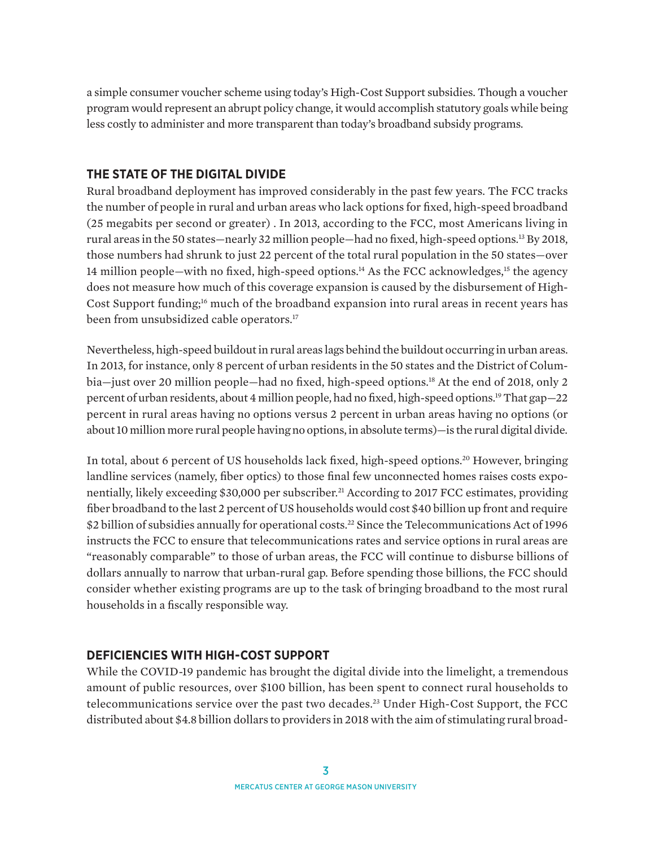a simple consumer voucher scheme using today's High-Cost Support subsidies. Though a voucher program would represent an abrupt policy change, it would accomplish statutory goals while being less costly to administer and more transparent than today's broadband subsidy programs.

## **THE STATE OF THE DIGITAL DIVIDE**

Rural broadband deployment has improved considerably in the past few years. The FCC tracks the number of people in rural and urban areas who lack options for fixed, high-speed broadband (25 megabits per second or greater) . In 2013, according to the FCC, most Americans living in rural areas in the 50 states—nearly 32 million people—had no fixed, high-speed options.13 By 2018, those numbers had shrunk to just 22 percent of the total rural population in the 50 states—over 14 million people—with no fixed, high-speed options.<sup>14</sup> As the FCC acknowledges,<sup>15</sup> the agency does not measure how much of this coverage expansion is caused by the disbursement of High-Cost Support funding;16 much of the broadband expansion into rural areas in recent years has been from unsubsidized cable operators.<sup>17</sup>

Nevertheless, high-speed buildout in rural areas lags behind the buildout occurring in urban areas. In 2013, for instance, only 8 percent of urban residents in the 50 states and the District of Columbia—just over 20 million people—had no fixed, high-speed options.<sup>18</sup> At the end of 2018, only 2 percent of urban residents, about 4 million people, had no fixed, high-speed options.19 That gap—22 percent in rural areas having no options versus 2 percent in urban areas having no options (or about 10 million more rural people having no options, in absolute terms)—is the rural digital divide.

In total, about 6 percent of US households lack fixed, high-speed options.20 However, bringing landline services (namely, fiber optics) to those final few unconnected homes raises costs exponentially, likely exceeding \$30,000 per subscriber.<sup>21</sup> According to 2017 FCC estimates, providing fiber broadband to the last 2 percent of US households would cost \$40 billion up front and require \$2 billion of subsidies annually for operational costs.<sup>22</sup> Since the Telecommunications Act of 1996 instructs the FCC to ensure that telecommunications rates and service options in rural areas are "reasonably comparable" to those of urban areas, the FCC will continue to disburse billions of dollars annually to narrow that urban-rural gap. Before spending those billions, the FCC should consider whether existing programs are up to the task of bringing broadband to the most rural households in a fiscally responsible way.

## **DEFICIENCIES WITH HIGH-COST SUPPORT**

While the COVID-19 pandemic has brought the digital divide into the limelight, a tremendous amount of public resources, over \$100 billion, has been spent to connect rural households to telecommunications service over the past two decades.23 Under High-Cost Support, the FCC distributed about \$4.8 billion dollars to providers in 2018 with the aim of stimulating rural broad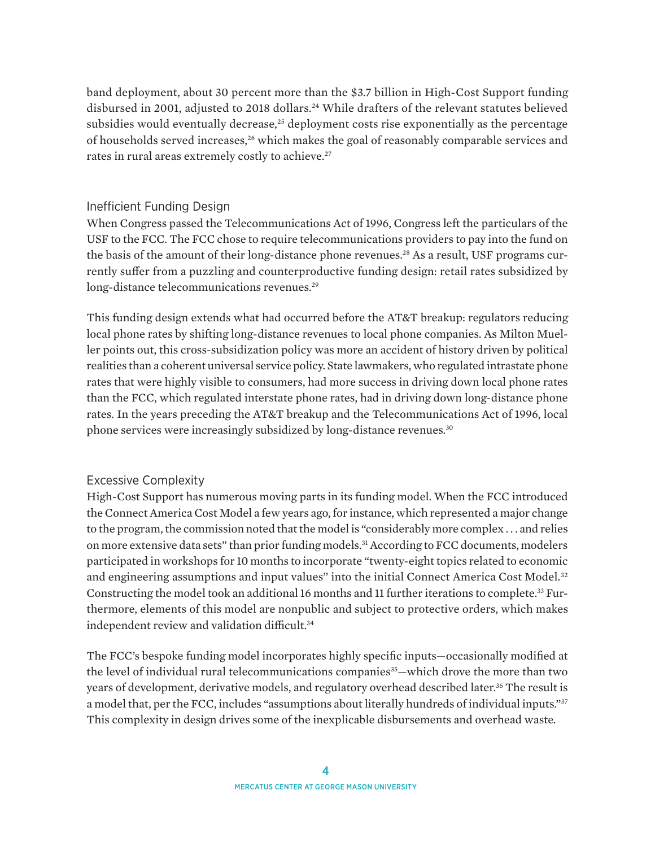band deployment, about 30 percent more than the \$3.7 billion in High-Cost Support funding disbursed in 2001, adjusted to 2018 dollars.24 While drafters of the relevant statutes believed subsidies would eventually decrease, $25$  deployment costs rise exponentially as the percentage of households served increases,26 which makes the goal of reasonably comparable services and rates in rural areas extremely costly to achieve.<sup>27</sup>

## Inefficient Funding Design

When Congress passed the Telecommunications Act of 1996, Congress left the particulars of the USF to the FCC. The FCC chose to require telecommunications providers to pay into the fund on the basis of the amount of their long-distance phone revenues.28 As a result, USF programs currently suffer from a puzzling and counterproductive funding design: retail rates subsidized by long-distance telecommunications revenues.<sup>29</sup>

This funding design extends what had occurred before the AT&T breakup: regulators reducing local phone rates by shifting long-distance revenues to local phone companies. As Milton Mueller points out, this cross-subsidization policy was more an accident of history driven by political realities than a coherent universal service policy. State lawmakers, who regulated intrastate phone rates that were highly visible to consumers, had more success in driving down local phone rates than the FCC, which regulated interstate phone rates, had in driving down long-distance phone rates. In the years preceding the AT&T breakup and the Telecommunications Act of 1996, local phone services were increasingly subsidized by long-distance revenues.<sup>30</sup>

## Excessive Complexity

High-Cost Support has numerous moving parts in its funding model. When the FCC introduced the Connect America Cost Model a few years ago, for instance, which represented a major change to the program, the commission noted that the model is "considerably more complex . . . and relies on more extensive data sets" than prior funding models.<sup>31</sup> According to FCC documents, modelers participated in workshops for 10 months to incorporate "twenty-eight topics related to economic and engineering assumptions and input values" into the initial Connect America Cost Model.<sup>32</sup> Constructing the model took an additional 16 months and 11 further iterations to complete.<sup>33</sup> Furthermore, elements of this model are nonpublic and subject to protective orders, which makes independent review and validation difficult.<sup>34</sup>

The FCC's bespoke funding model incorporates highly specific inputs—occasionally modified at the level of individual rural telecommunications companies<sup>35</sup>—which drove the more than two years of development, derivative models, and regulatory overhead described later.<sup>36</sup> The result is a model that, per the FCC, includes "assumptions about literally hundreds of individual inputs."<sup>37</sup> This complexity in design drives some of the inexplicable disbursements and overhead waste.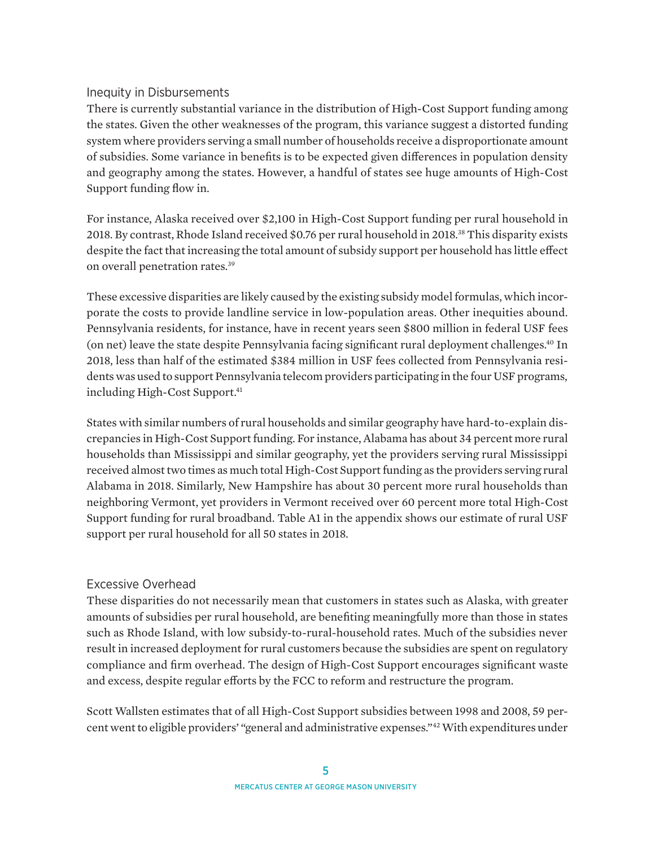## Inequity in Disbursements

There is currently substantial variance in the distribution of High-Cost Support funding among the states. Given the other weaknesses of the program, this variance suggest a distorted funding system where providers serving a small number of households receive a disproportionate amount of subsidies. Some variance in benefits is to be expected given differences in population density and geography among the states. However, a handful of states see huge amounts of High-Cost Support funding flow in.

For instance, Alaska received over \$2,100 in High-Cost Support funding per rural household in 2018. By contrast, Rhode Island received \$0.76 per rural household in 2018.38 This disparity exists despite the fact that increasing the total amount of subsidy support per household has little effect on overall penetration rates.39

These excessive disparities are likely caused by the existing subsidy model formulas, which incorporate the costs to provide landline service in low-population areas. Other inequities abound. Pennsylvania residents, for instance, have in recent years seen \$800 million in federal USF fees (on net) leave the state despite Pennsylvania facing significant rural deployment challenges.40 In 2018, less than half of the estimated \$384 million in USF fees collected from Pennsylvania residents was used to support Pennsylvania telecom providers participating in the four USF programs, including High-Cost Support.<sup>41</sup>

States with similar numbers of rural households and similar geography have hard-to-explain discrepancies in High-Cost Support funding. For instance, Alabama has about 34 percent more rural households than Mississippi and similar geography, yet the providers serving rural Mississippi received almost two times as much total High-Cost Support funding as the providers serving rural Alabama in 2018. Similarly, New Hampshire has about 30 percent more rural households than neighboring Vermont, yet providers in Vermont received over 60 percent more total High-Cost Support funding for rural broadband. Table A1 in the appendix shows our estimate of rural USF support per rural household for all 50 states in 2018.

## Excessive Overhead

These disparities do not necessarily mean that customers in states such as Alaska, with greater amounts of subsidies per rural household, are benefiting meaningfully more than those in states such as Rhode Island, with low subsidy-to-rural-household rates. Much of the subsidies never result in increased deployment for rural customers because the subsidies are spent on regulatory compliance and firm overhead. The design of High-Cost Support encourages significant waste and excess, despite regular efforts by the FCC to reform and restructure the program.

Scott Wallsten estimates that of all High-Cost Support subsidies between 1998 and 2008, 59 percent went to eligible providers' "general and administrative expenses."42 With expenditures under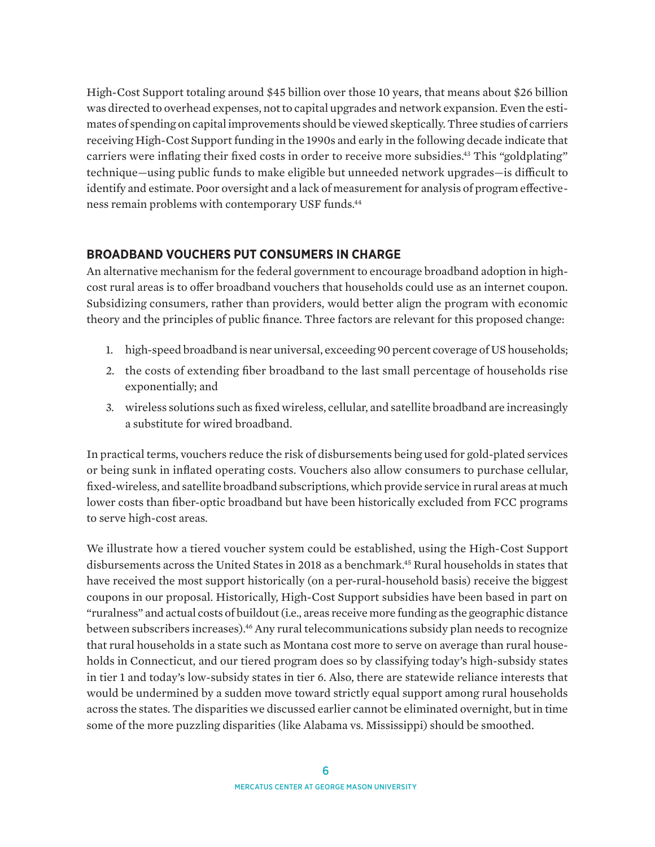High-Cost Support totaling around \$45 billion over those 10 years, that means about \$26 billion was directed to overhead expenses, not to capital upgrades and network expansion. Even the estimates of spending on capital improvements should be viewed skeptically. Three studies of carriers receiving High-Cost Support funding in the 1990s and early in the following decade indicate that carriers were inflating their fixed costs in order to receive more subsidies.<sup>43</sup> This "goldplating" technique—using public funds to make eligible but unneeded network upgrades—is difficult to identify and estimate. Poor oversight and a lack of measurement for analysis of program effectiveness remain problems with contemporary USF funds.44

## **BROADBAND VOUCHERS PUT CONSUMERS IN CHARGE**

An alternative mechanism for the federal government to encourage broadband adoption in highcost rural areas is to offer broadband vouchers that households could use as an internet coupon. Subsidizing consumers, rather than providers, would better align the program with economic theory and the principles of public finance. Three factors are relevant for this proposed change:

- 1. high-speed broadband is near universal, exceeding 90 percent coverage of US households;
- 2. the costs of extending fiber broadband to the last small percentage of households rise exponentially; and
- 3. wireless solutions such as fixed wireless, cellular, and satellite broadband are increasingly a substitute for wired broadband.

In practical terms, vouchers reduce the risk of disbursements being used for gold-plated services or being sunk in inflated operating costs. Vouchers also allow consumers to purchase cellular, fixed-wireless, and satellite broadband subscriptions, which provide service in rural areas at much lower costs than fiber-optic broadband but have been historically excluded from FCC programs to serve high-cost areas.

We illustrate how a tiered voucher system could be established, using the High-Cost Support disbursements across the United States in 2018 as a benchmark.45 Rural households in states that have received the most support historically (on a per-rural-household basis) receive the biggest coupons in our proposal. Historically, High-Cost Support subsidies have been based in part on "ruralness" and actual costs of buildout (i.e., areas receive more funding as the geographic distance between subscribers increases).<sup>46</sup> Any rural telecommunications subsidy plan needs to recognize that rural households in a state such as Montana cost more to serve on average than rural households in Connecticut, and our tiered program does so by classifying today's high-subsidy states in tier 1 and today's low-subsidy states in tier 6. Also, there are statewide reliance interests that would be undermined by a sudden move toward strictly equal support among rural households across the states. The disparities we discussed earlier cannot be eliminated overnight, but in time some of the more puzzling disparities (like Alabama vs. Mississippi) should be smoothed.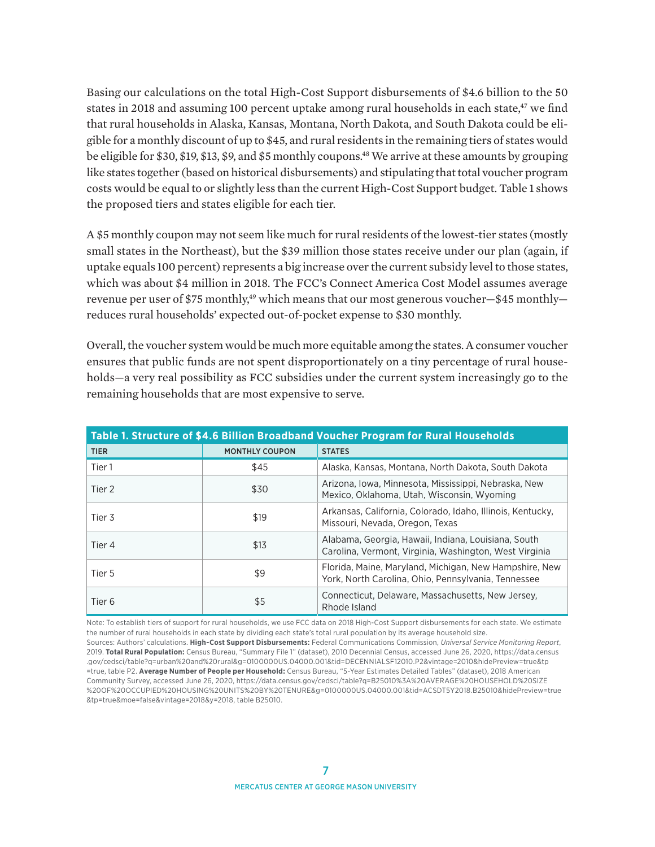Basing our calculations on the total High-Cost Support disbursements of \$4.6 billion to the 50 states in 2018 and assuming 100 percent uptake among rural households in each state, $47$  we find that rural households in Alaska, Kansas, Montana, North Dakota, and South Dakota could be eligible for a monthly discount of up to \$45, and rural residents in the remaining tiers of states would be eligible for \$30, \$19, \$13, \$9, and \$5 monthly coupons.48 We arrive at these amounts by grouping like states together (based on historical disbursements) and stipulating that total voucher program costs would be equal to or slightly less than the current High-Cost Support budget. Table 1 shows the proposed tiers and states eligible for each tier.

A \$5 monthly coupon may not seem like much for rural residents of the lowest-tier states (mostly small states in the Northeast), but the \$39 million those states receive under our plan (again, if uptake equals 100 percent) represents a big increase over the current subsidy level to those states, which was about \$4 million in 2018. The FCC's Connect America Cost Model assumes average revenue per user of \$75 monthly,<sup>49</sup> which means that our most generous voucher-\$45 monthlyreduces rural households' expected out-of-pocket expense to \$30 monthly.

Overall, the voucher system would be much more equitable among the states. A consumer voucher ensures that public funds are not spent disproportionately on a tiny percentage of rural households—a very real possibility as FCC subsidies under the current system increasingly go to the remaining households that are most expensive to serve.

| Table 1. Structure of \$4.6 Billion Broadband Voucher Program for Rural Households |                       |                                                                                                               |  |  |  |
|------------------------------------------------------------------------------------|-----------------------|---------------------------------------------------------------------------------------------------------------|--|--|--|
| <b>TIER</b>                                                                        | <b>MONTHLY COUPON</b> | <b>STATES</b>                                                                                                 |  |  |  |
| Tier 1                                                                             | \$45                  | Alaska, Kansas, Montana, North Dakota, South Dakota                                                           |  |  |  |
| Tier 2                                                                             | \$30                  | Arizona, Iowa, Minnesota, Mississippi, Nebraska, New<br>Mexico, Oklahoma, Utah, Wisconsin, Wyoming            |  |  |  |
| Tier 3                                                                             | \$19                  | Arkansas, California, Colorado, Idaho, Illinois, Kentucky,<br>Missouri, Nevada, Oregon, Texas                 |  |  |  |
| Tier 4                                                                             | \$13                  | Alabama, Georgia, Hawaii, Indiana, Louisiana, South<br>Carolina, Vermont, Virginia, Washington, West Virginia |  |  |  |
| Tier 5                                                                             | \$9                   | Florida, Maine, Maryland, Michigan, New Hampshire, New<br>York, North Carolina, Ohio, Pennsylvania, Tennessee |  |  |  |
| Tier 6                                                                             | \$5                   | Connecticut, Delaware, Massachusetts, New Jersey,<br>Rhode Island                                             |  |  |  |

Note: To establish tiers of support for rural households, we use FCC data on 2018 High-Cost Support disbursements for each state. We estimate the number of rural households in each state by dividing each state's total rural population by its average household size. Sources: Authors' calculations. **High-Cost Support Disbursements:** Federal Communications Commission, *Universal Service Monitoring Report*, 2019. **Total Rural Population:** Census Bureau, "Summary File 1" (dataset), 2010 Decennial Census, accessed June 26, 2020, [https://data.census](https://data.census.gov/cedsci/table?q=urban%20and%20rural&g=0100000US.04000.001&tid=DECENNIALSF12010.P2&tp=true&hidePreview=true) [.gov/cedsci/table?q=urban%20and%20rural&g=0100000US.04000.001&tid=DECENNIALSF12010.P2&vintage=2010&hidePreview=true&tp](https://data.census.gov/cedsci/table?q=urban%20and%20rural&g=0100000US.04000.001&tid=DECENNIALSF12010.P2&tp=true&hidePreview=true) [=true, table P2.](https://data.census.gov/cedsci/table?q=urban%20and%20rural&g=0100000US.04000.001&tid=DECENNIALSF12010.P2&tp=true&hidePreview=true) **Average Number of People per Household:** Census Bureau, "5-Year Estimates Detailed Tables" (dataset), 2018 American Community Survey, accessed June 26, 2020, [https://data.census.gov/cedsci/table?q=B25010%3A%20AVERAGE%20HOUSEHOLD%20SIZE](https://data.census.gov/cedsci/table?q=B25010%3A%20AVERAGE%20HOUSEHOLD%20SIZE%20OF%20OCCUPIED%20HOUSING%20UNITS%20BY%20TENURE&g=0100000US.04000.001&tid=ACSDT5Y2018.B25010&hidePreview=true&tp=true&moe=false&vintage=2018&y=2018) [%20OF%20OCCUPIED%20HOUSING%20UNITS%20BY%20TENURE&g=0100000US.04000.001&tid=ACSDT5Y2018.B25010&hidePreview=true](https://data.census.gov/cedsci/table?q=B25010%3A%20AVERAGE%20HOUSEHOLD%20SIZE%20OF%20OCCUPIED%20HOUSING%20UNITS%20BY%20TENURE&g=0100000US.04000.001&tid=ACSDT5Y2018.B25010&hidePreview=true&tp=true&moe=false&vintage=2018&y=2018) [&tp=true&moe=false&vintage=2018&y=2018](https://data.census.gov/cedsci/table?q=B25010%3A%20AVERAGE%20HOUSEHOLD%20SIZE%20OF%20OCCUPIED%20HOUSING%20UNITS%20BY%20TENURE&g=0100000US.04000.001&tid=ACSDT5Y2018.B25010&hidePreview=true&tp=true&moe=false&vintage=2018&y=2018), table B25010.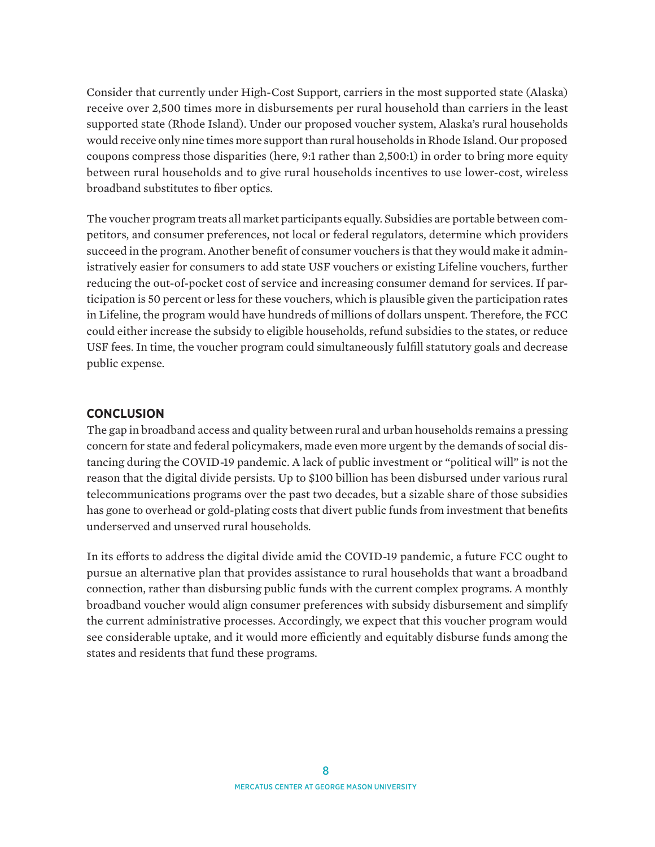Consider that currently under High-Cost Support, carriers in the most supported state (Alaska) receive over 2,500 times more in disbursements per rural household than carriers in the least supported state (Rhode Island). Under our proposed voucher system, Alaska's rural households would receive only nine times more support than rural households in Rhode Island. Our proposed coupons compress those disparities (here, 9:1 rather than 2,500:1) in order to bring more equity between rural households and to give rural households incentives to use lower-cost, wireless broadband substitutes to fiber optics.

The voucher program treats all market participants equally. Subsidies are portable between competitors, and consumer preferences, not local or federal regulators, determine which providers succeed in the program. Another benefit of consumer vouchers is that they would make it administratively easier for consumers to add state USF vouchers or existing Lifeline vouchers, further reducing the out-of-pocket cost of service and increasing consumer demand for services. If participation is 50 percent or less for these vouchers, which is plausible given the participation rates in Lifeline, the program would have hundreds of millions of dollars unspent. Therefore, the FCC could either increase the subsidy to eligible households, refund subsidies to the states, or reduce USF fees. In time, the voucher program could simultaneously fulfill statutory goals and decrease public expense.

## **CONCLUSION**

The gap in broadband access and quality between rural and urban households remains a pressing concern for state and federal policymakers, made even more urgent by the demands of social distancing during the COVID-19 pandemic. A lack of public investment or "political will" is not the reason that the digital divide persists. Up to \$100 billion has been disbursed under various rural telecommunications programs over the past two decades, but a sizable share of those subsidies has gone to overhead or gold-plating costs that divert public funds from investment that benefits underserved and unserved rural households.

In its efforts to address the digital divide amid the COVID-19 pandemic, a future FCC ought to pursue an alternative plan that provides assistance to rural households that want a broadband connection, rather than disbursing public funds with the current complex programs. A monthly broadband voucher would align consumer preferences with subsidy disbursement and simplify the current administrative processes. Accordingly, we expect that this voucher program would see considerable uptake, and it would more efficiently and equitably disburse funds among the states and residents that fund these programs.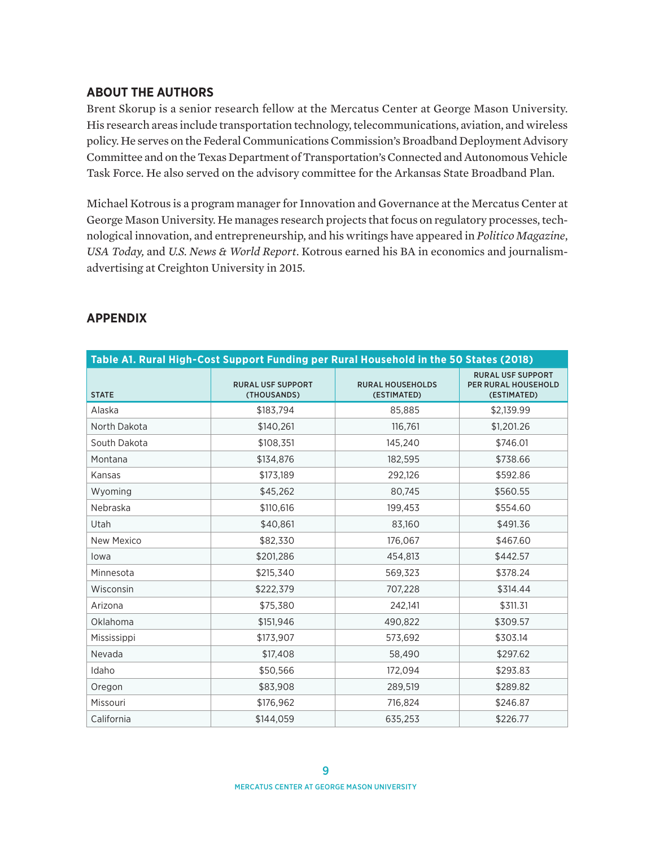## **ABOUT THE AUTHORS**

Brent Skorup is a senior research fellow at the Mercatus Center at George Mason University. His research areas include transportation technology, telecommunications, aviation, and wireless policy. He serves on the Federal Communications Commission's Broadband Deployment Advisory Committee and on the Texas Department of Transportation's Connected and Autonomous Vehicle Task Force. He also served on the advisory committee for the Arkansas State Broadband Plan.

Michael Kotrous is a program manager for Innovation and Governance at the Mercatus Center at George Mason University. He manages research projects that focus on regulatory processes, technological innovation, and entrepreneurship, and his writings have appeared in *Politico Magazine*, *USA Today,* and *U.S. News & World Report*. Kotrous earned his BA in economics and journalismadvertising at Creighton University in 2015.

| Table A1. Rural High-Cost Support Funding per Rural Household in the 50 States (2018) |                                         |                                        |                                                                       |  |  |
|---------------------------------------------------------------------------------------|-----------------------------------------|----------------------------------------|-----------------------------------------------------------------------|--|--|
| <b>STATE</b>                                                                          | <b>RURAL USF SUPPORT</b><br>(THOUSANDS) | <b>RURAL HOUSEHOLDS</b><br>(ESTIMATED) | <b>RURAL USF SUPPORT</b><br><b>PER RURAL HOUSEHOLD</b><br>(ESTIMATED) |  |  |
| Alaska                                                                                | \$183,794                               | 85,885                                 | \$2,139.99                                                            |  |  |
| North Dakota                                                                          | \$140,261                               | 116,761                                | \$1,201.26                                                            |  |  |
| South Dakota                                                                          | \$108,351                               | 145,240                                | \$746.01                                                              |  |  |
| Montana                                                                               | \$134,876                               | 182,595                                | \$738.66                                                              |  |  |
| Kansas                                                                                | \$173,189                               | 292,126                                | \$592.86                                                              |  |  |
| Wyoming                                                                               | \$45,262                                | 80,745                                 | \$560.55                                                              |  |  |
| Nebraska                                                                              | \$110,616                               | 199,453                                | \$554.60                                                              |  |  |
| Utah                                                                                  | \$40,861                                | 83,160                                 | \$491.36                                                              |  |  |
| New Mexico                                                                            | \$82,330                                | 176,067                                | \$467.60                                                              |  |  |
| lowa                                                                                  | \$201,286                               | 454,813                                | \$442.57                                                              |  |  |
| Minnesota                                                                             | \$215,340                               | 569,323                                | \$378.24                                                              |  |  |
| Wisconsin                                                                             | \$222,379                               | 707,228                                | \$314.44                                                              |  |  |
| Arizona                                                                               | \$75,380                                | 242,141                                | \$311.31                                                              |  |  |
| Oklahoma                                                                              | \$151,946                               | 490,822                                | \$309.57                                                              |  |  |
| Mississippi                                                                           | \$173,907                               | 573,692                                | \$303.14                                                              |  |  |
| Nevada                                                                                | \$17,408                                | 58,490                                 | \$297.62                                                              |  |  |
| Idaho                                                                                 | \$50,566                                | 172,094                                | \$293.83                                                              |  |  |
| Oregon                                                                                | \$83.908                                | 289.519                                | \$289.82                                                              |  |  |
| Missouri                                                                              | \$176,962                               | 716,824                                | \$246.87                                                              |  |  |
| California                                                                            | \$144.059                               | 635,253                                | \$226.77                                                              |  |  |

## **APPENDIX**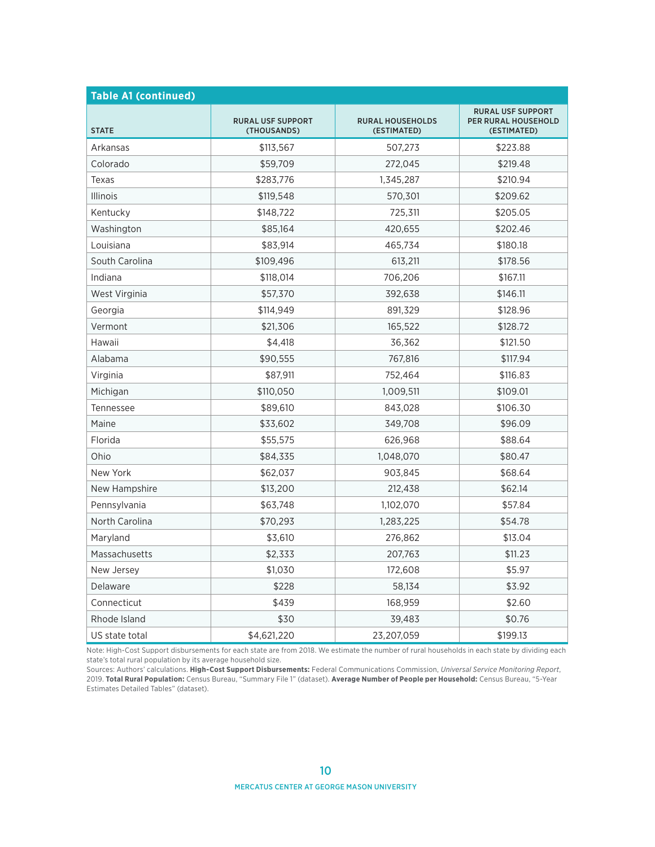| <b>Table A1 (continued)</b> |                                         |                                        |                                                                |  |  |  |
|-----------------------------|-----------------------------------------|----------------------------------------|----------------------------------------------------------------|--|--|--|
| <b>STATE</b>                | <b>RURAL USF SUPPORT</b><br>(THOUSANDS) | <b>RURAL HOUSEHOLDS</b><br>(ESTIMATED) | <b>RURAL USF SUPPORT</b><br>PER RURAL HOUSEHOLD<br>(ESTIMATED) |  |  |  |
| Arkansas                    | \$113,567                               | 507,273                                | \$223.88                                                       |  |  |  |
| Colorado                    | \$59,709                                | 272,045                                | \$219.48                                                       |  |  |  |
| Texas                       | \$283,776                               | 1,345,287                              | \$210.94                                                       |  |  |  |
| Illinois                    | \$119,548                               | 570,301                                | \$209.62                                                       |  |  |  |
| Kentucky                    | \$148,722                               | 725,311                                | \$205.05                                                       |  |  |  |
| Washington                  | \$85,164                                | 420,655                                | \$202.46                                                       |  |  |  |
| Louisiana                   | \$83,914                                | 465,734                                | \$180.18                                                       |  |  |  |
| South Carolina              | \$109,496                               | 613,211                                | \$178.56                                                       |  |  |  |
| Indiana                     | \$118,014                               | 706,206                                | \$167.11                                                       |  |  |  |
| West Virginia               | \$57,370                                | 392,638                                | \$146.11                                                       |  |  |  |
| Georgia                     | \$114,949                               | 891,329                                | \$128.96                                                       |  |  |  |
| Vermont                     | \$21,306                                | 165,522                                | \$128.72                                                       |  |  |  |
| Hawaii                      | \$4,418                                 | 36,362                                 | \$121.50                                                       |  |  |  |
| Alabama                     | \$90,555                                | 767,816                                | \$117.94                                                       |  |  |  |
| Virginia                    | \$87,911                                | 752,464                                | \$116.83                                                       |  |  |  |
| Michigan                    | \$110,050                               | 1,009,511                              | \$109.01                                                       |  |  |  |
| Tennessee                   | \$89,610                                | 843,028                                | \$106.30                                                       |  |  |  |
| Maine                       | \$33,602                                | 349,708                                | \$96.09                                                        |  |  |  |
| Florida                     | \$55,575                                | 626,968                                | \$88.64                                                        |  |  |  |
| Ohio                        | \$84,335                                | 1,048,070                              | \$80.47                                                        |  |  |  |
| New York                    | \$62,037                                | 903,845                                | \$68.64                                                        |  |  |  |
| New Hampshire               | \$13,200                                | 212,438                                | \$62.14                                                        |  |  |  |
| Pennsylvania                | \$63,748                                | 1,102,070                              | \$57.84                                                        |  |  |  |
| North Carolina              | \$70,293                                | 1,283,225                              | \$54.78                                                        |  |  |  |
| Maryland                    | \$3,610                                 | 276,862                                | \$13.04                                                        |  |  |  |
| Massachusetts               | \$2,333                                 | 207,763                                | \$11.23                                                        |  |  |  |
| New Jersey                  | \$1,030                                 | 172,608                                | \$5.97                                                         |  |  |  |
| Delaware                    | \$228                                   | 58,134                                 | \$3.92                                                         |  |  |  |
| Connecticut                 | \$439                                   | 168,959                                | \$2.60                                                         |  |  |  |
| Rhode Island                | \$30                                    | 39,483                                 | \$0.76                                                         |  |  |  |
| US state total              | \$4,621,220                             | 23,207,059                             | \$199.13                                                       |  |  |  |

Note: High-Cost Support disbursements for each state are from 2018. We estimate the number of rural households in each state by dividing each state's total rural population by its average household size.

Sources: Authors' calculations. **High-Cost Support Disbursements:** Federal Communications Commission, *Universal Service Monitoring Report*, 2019. **Total Rural Population:** Census Bureau, "Summary File 1" (dataset). **Average Number of People per Household:** Census Bureau, "5-Year Estimates Detailed Tables" (dataset).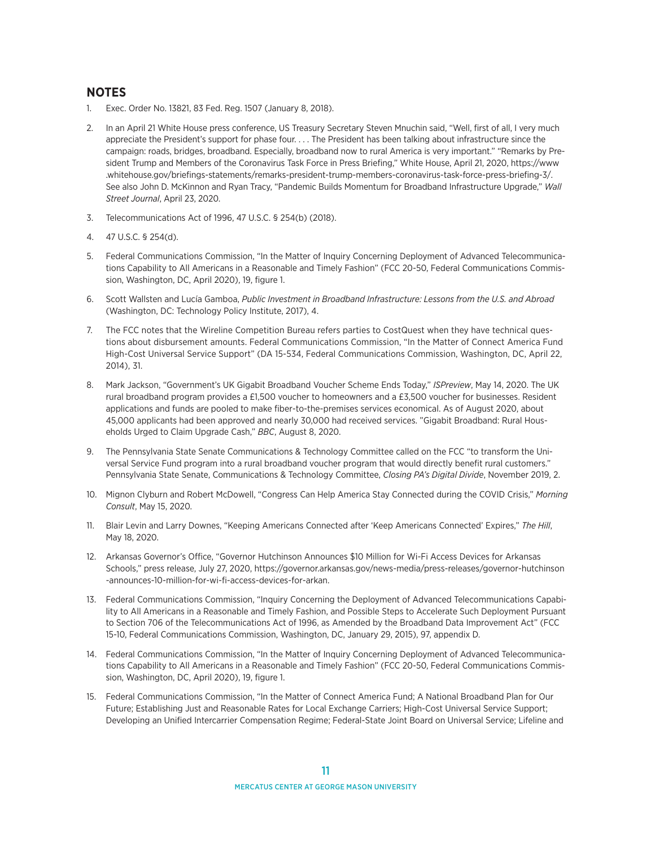#### **NOTES**

- 1. Exec. Order No. 13821, 83 Fed. Reg. 1507 (January 8, 2018).
- 2. In an April 21 White House press conference, US Treasury Secretary Steven Mnuchin said, "Well, first of all, I very much appreciate the President's support for phase four. . . . The President has been talking about infrastructure since the campaign: roads, bridges, broadband. Especially, broadband now to rural America is very important." "Remarks by President Trump and Members of the Coronavirus Task Force in Press Briefing," White House, April 21, 2020, [https://www](https://www.whitehouse.gov/briefings-statements/remarks-president-trump-members-coronavirus-task-force-press-briefing-3/) [.whitehouse.gov/briefings-statements/remarks-president-trump-members-coronavirus-task-force-press-briefing-3/](https://www.whitehouse.gov/briefings-statements/remarks-president-trump-members-coronavirus-task-force-press-briefing-3/). See also John D. McKinnon and Ryan Tracy, "Pandemic Builds Momentum for Broadband Infrastructure Upgrade," *Wall Street Journal*, April 23, 2020.
- 3. Telecommunications Act of 1996, 47 U.S.C. § 254(b) (2018).
- 4. 47 U.S.C. § 254(d).
- 5. Federal Communications Commission, "In the Matter of Inquiry Concerning Deployment of Advanced Telecommunications Capability to All Americans in a Reasonable and Timely Fashion" (FCC 20-50, Federal Communications Commission, Washington, DC, April 2020), 19, figure 1.
- 6. Scott Wallsten and Lucía Gamboa, *Public Investment in Broadband Infrastructure: Lessons from the U.S. and Abroad* (Washington, DC: Technology Policy Institute, 2017), 4.
- 7. The FCC notes that the Wireline Competition Bureau refers parties to CostQuest when they have technical questions about disbursement amounts. Federal Communications Commission, "In the Matter of Connect America Fund High-Cost Universal Service Support" (DA 15-534, Federal Communications Commission, Washington, DC, April 22, 2014), 31.
- 8. Mark Jackson, "Government's UK Gigabit Broadband Voucher Scheme Ends Today," *ISPreview*, May 14, 2020. The UK rural broadband program provides a £1,500 voucher to homeowners and a £3,500 voucher for businesses. Resident applications and funds are pooled to make fiber-to-the-premises services economical. As of August 2020, about 45,000 applicants had been approved and nearly 30,000 had received services. "Gigabit Broadband: Rural Households Urged to Claim Upgrade Cash," *BBC*, August 8, 2020.
- 9. The Pennsylvania State Senate Communications & Technology Committee called on the FCC "to transform the Universal Service Fund program into a rural broadband voucher program that would directly benefit rural customers." Pennsylvania State Senate, Communications & Technology Committee, *Closing PA's Digital Divide*, November 2019, 2.
- 10. Mignon Clyburn and Robert McDowell, "Congress Can Help America Stay Connected during the COVID Crisis," *Morning Consult*, May 15, 2020.
- 11. Blair Levin and Larry Downes, "Keeping Americans Connected after 'Keep Americans Connected' Expires," *The Hill*, May 18, 2020.
- 12. Arkansas Governor's Office, "Governor Hutchinson Announces \$10 Million for Wi-Fi Access Devices for Arkansas Schools," press release, July 27, 2020, [https://governor.arkansas.gov/news-media/press-releases/governor-hutchinson](https://governor.arkansas.gov/news-media/press-releases/governor-hutchinson-announces-10-million-for-wi-fi-access-devices-for-arkan) [-announces-10-million-for-wi-fi-access-devices-for-arkan](https://governor.arkansas.gov/news-media/press-releases/governor-hutchinson-announces-10-million-for-wi-fi-access-devices-for-arkan).
- 13. Federal Communications Commission, "Inquiry Concerning the Deployment of Advanced Telecommunications Capability to All Americans in a Reasonable and Timely Fashion, and Possible Steps to Accelerate Such Deployment Pursuant to Section 706 of the Telecommunications Act of 1996, as Amended by the Broadband Data Improvement Act" (FCC 15-10, Federal Communications Commission, Washington, DC, January 29, 2015), 97, appendix D.
- 14. Federal Communications Commission, "In the Matter of Inquiry Concerning Deployment of Advanced Telecommunications Capability to All Americans in a Reasonable and Timely Fashion" (FCC 20-50, Federal Communications Commission, Washington, DC, April 2020), 19, figure 1.
- 15. Federal Communications Commission, "In the Matter of Connect America Fund; A National Broadband Plan for Our Future; Establishing Just and Reasonable Rates for Local Exchange Carriers; High-Cost Universal Service Support; Developing an Unified Intercarrier Compensation Regime; Federal-State Joint Board on Universal Service; Lifeline and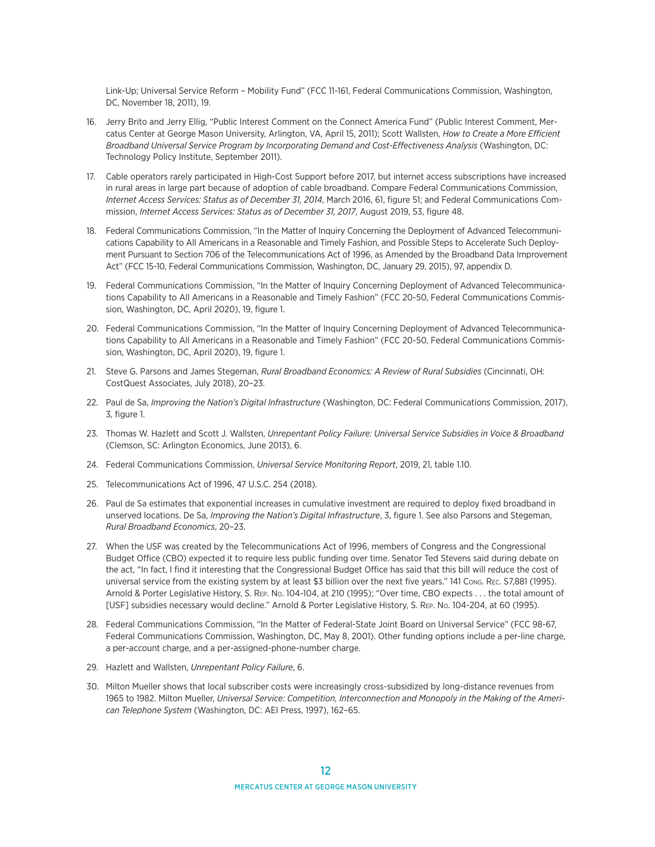Link-Up; Universal Service Reform – Mobility Fund" (FCC 11-161, Federal Communications Commission, Washington, DC, November 18, 2011), 19.

- 16. Jerry Brito and Jerry Ellig, "Public Interest Comment on the Connect America Fund" (Public Interest Comment, Mercatus Center at George Mason University, Arlington, VA, April 15, 2011); Scott Wallsten, *How to Create a More Efficient Broadband Universal Service Program by Incorporating Demand and Cost-Effectiveness Analysis* (Washington, DC: Technology Policy Institute, September 2011).
- 17. Cable operators rarely participated in High-Cost Support before 2017, but internet access subscriptions have increased in rural areas in large part because of adoption of cable broadband. Compare Federal Communications Commission, *Internet Access Services: Status as of December 31, 2014*, March 2016, 61, figure 51; and Federal Communications Commission, *Internet Access Services: Status as of December 31, 2017*, August 2019, 53, figure 48.
- 18. Federal Communications Commission, "In the Matter of Inquiry Concerning the Deployment of Advanced Telecommunications Capability to All Americans in a Reasonable and Timely Fashion, and Possible Steps to Accelerate Such Deployment Pursuant to Section 706 of the Telecommunications Act of 1996, as Amended by the Broadband Data Improvement Act" (FCC 15-10, Federal Communications Commission, Washington, DC, January 29, 2015), 97, appendix D.
- 19. Federal Communications Commission, "In the Matter of Inquiry Concerning Deployment of Advanced Telecommunications Capability to All Americans in a Reasonable and Timely Fashion" (FCC 20-50, Federal Communications Commission, Washington, DC, April 2020), 19, figure 1.
- 20. Federal Communications Commission, "In the Matter of Inquiry Concerning Deployment of Advanced Telecommunications Capability to All Americans in a Reasonable and Timely Fashion" (FCC 20-50, Federal Communications Commission, Washington, DC, April 2020), 19, figure 1.
- 21. Steve G. Parsons and James Stegeman, *Rural Broadband Economics: A Review of Rural Subsidies* (Cincinnati, OH: CostQuest Associates, July 2018), 20–23.
- 22. Paul de Sa, *Improving the Nation's Digital Infrastructure* (Washington, DC: Federal Communications Commission, 2017), 3, figure 1.
- 23. Thomas W. Hazlett and Scott J. Wallsten, *Unrepentant Policy Failure: Universal Service Subsidies in Voice & Broadband* (Clemson, SC: Arlington Economics, June 2013), 6.
- 24. Federal Communications Commission, *Universal Service Monitoring Report*, 2019, 21, table 1.10.
- 25. Telecommunications Act of 1996, 47 U.S.C. 254 (2018).
- 26. Paul de Sa estimates that exponential increases in cumulative investment are required to deploy fixed broadband in unserved locations. De Sa, *Improving the Nation's Digital Infrastructure*, 3, figure 1. See also Parsons and Stegeman, *Rural Broadband Economics*, 20–23.
- 27. When the USF was created by the Telecommunications Act of 1996, members of Congress and the Congressional Budget Office (CBO) expected it to require less public funding over time. Senator Ted Stevens said during debate on the act, "In fact, I find it interesting that the Congressional Budget Office has said that this bill will reduce the cost of universal service from the existing system by at least \$3 billion over the next five years." 141 Cong. Rec. S7,881 (1995). Arnold & Porter Legislative History, S. Rep. No. 104-104, at 210 (1995); "Over time, CBO expects . . . the total amount of [USF] subsidies necessary would decline." Arnold & Porter Legislative History, S. Rep. No. 104-204, at 60 (1995).
- 28. Federal Communications Commission, "In the Matter of Federal-State Joint Board on Universal Service" (FCC 98-67, Federal Communications Commission, Washington, DC, May 8, 2001). Other funding options include a per-line charge, a per-account charge, and a per-assigned-phone-number charge.
- 29. Hazlett and Wallsten, *Unrepentant Policy Failure*, 6.
- 30. Milton Mueller shows that local subscriber costs were increasingly cross-subsidized by long-distance revenues from 1965 to 1982. Milton Mueller, *Universal Service: Competition, Interconnection and Monopoly in the Making of the American Telephone System* (Washington, DC: AEI Press, 1997), 162–65.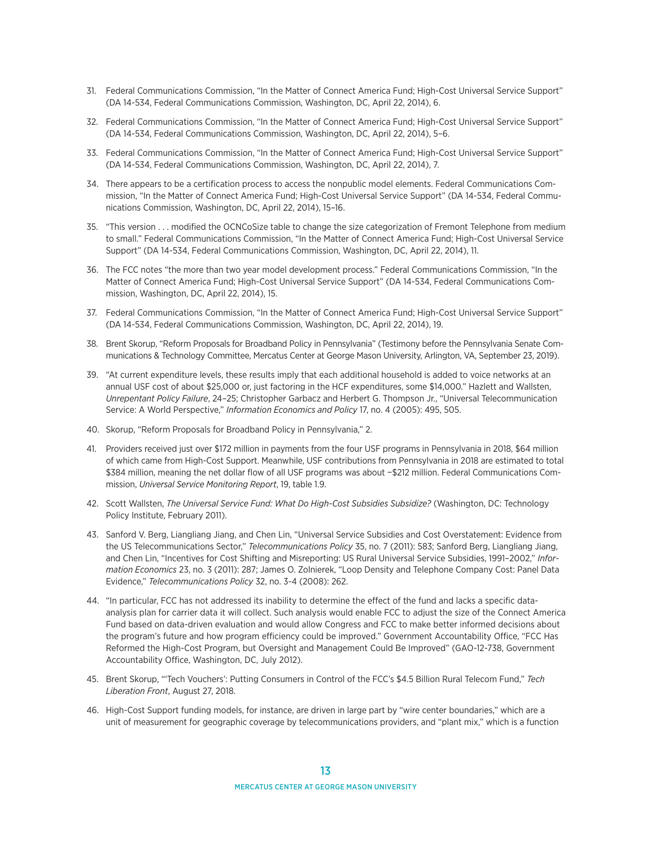- 31. Federal Communications Commission, "In the Matter of Connect America Fund; High-Cost Universal Service Support" (DA 14-534, Federal Communications Commission, Washington, DC, April 22, 2014), 6.
- 32. Federal Communications Commission, "In the Matter of Connect America Fund; High-Cost Universal Service Support" (DA 14-534, Federal Communications Commission, Washington, DC, April 22, 2014), 5–6.
- 33. Federal Communications Commission, "In the Matter of Connect America Fund; High-Cost Universal Service Support" (DA 14-534, Federal Communications Commission, Washington, DC, April 22, 2014), 7.
- 34. There appears to be a certification process to access the nonpublic model elements. Federal Communications Commission, "In the Matter of Connect America Fund; High-Cost Universal Service Support" (DA 14-534, Federal Communications Commission, Washington, DC, April 22, 2014), 15–16.
- 35. "This version . . . modified the OCNCoSize table to change the size categorization of Fremont Telephone from medium to small." Federal Communications Commission, "In the Matter of Connect America Fund; High-Cost Universal Service Support" (DA 14-534, Federal Communications Commission, Washington, DC, April 22, 2014), 11.
- 36. The FCC notes "the more than two year model development process." Federal Communications Commission, "In the Matter of Connect America Fund; High-Cost Universal Service Support" (DA 14-534, Federal Communications Commission, Washington, DC, April 22, 2014), 15.
- 37. Federal Communications Commission, "In the Matter of Connect America Fund; High-Cost Universal Service Support" (DA 14-534, Federal Communications Commission, Washington, DC, April 22, 2014), 19.
- 38. Brent Skorup, "Reform Proposals for Broadband Policy in Pennsylvania" (Testimony before the Pennsylvania Senate Communications & Technology Committee, Mercatus Center at George Mason University, Arlington, VA, September 23, 2019).
- 39. "At current expenditure levels, these results imply that each additional household is added to voice networks at an annual USF cost of about \$25,000 or, just factoring in the HCF expenditures, some \$14,000." Hazlett and Wallsten, *Unrepentant Policy Failure*, 24–25; Christopher Garbacz and Herbert G. Thompson Jr., "Universal Telecommunication Service: A World Perspective," *Information Economics and Policy* 17, no. 4 (2005): 495, 505.
- 40. Skorup, "Reform Proposals for Broadband Policy in Pennsylvania," 2.
- 41. Providers received just over \$172 million in payments from the four USF programs in Pennsylvania in 2018, \$64 million of which came from High-Cost Support. Meanwhile, USF contributions from Pennsylvania in 2018 are estimated to total \$384 million, meaning the net dollar flow of all USF programs was about −\$212 million. Federal Communications Commission, *Universal Service Monitoring Report*, 19, table 1.9.
- 42. Scott Wallsten, *The Universal Service Fund: What Do High-Cost Subsidies Subsidize?* (Washington, DC: Technology Policy Institute, February 2011).
- 43. Sanford V. Berg, Liangliang Jiang, and Chen Lin, "Universal Service Subsidies and Cost Overstatement: Evidence from the US Telecommunications Sector," *Telecommunications Policy* 35, no. 7 (2011): 583; Sanford Berg, Liangliang Jiang, and Chen Lin, "Incentives for Cost Shifting and Misreporting: US Rural Universal Service Subsidies, 1991–2002," *Information Economics* 23, no. 3 (2011): 287; James O. Zolnierek, "Loop Density and Telephone Company Cost: Panel Data Evidence," *Telecommunications Policy* 32, no. 3-4 (2008): 262.
- 44. "In particular, FCC has not addressed its inability to determine the effect of the fund and lacks a specific dataanalysis plan for carrier data it will collect. Such analysis would enable FCC to adjust the size of the Connect America Fund based on data-driven evaluation and would allow Congress and FCC to make better informed decisions about the program's future and how program efficiency could be improved." Government Accountability Office, "FCC Has Reformed the High-Cost Program, but Oversight and Management Could Be Improved" (GAO-12-738, Government Accountability Office, Washington, DC, July 2012).
- 45. Brent Skorup, "'Tech Vouchers': Putting Consumers in Control of the FCC's \$4.5 Billion Rural Telecom Fund," *Tech Liberation Front*, August 27, 2018.
- 46. High-Cost Support funding models, for instance, are driven in large part by "wire center boundaries," which are a unit of measurement for geographic coverage by telecommunications providers, and "plant mix," which is a function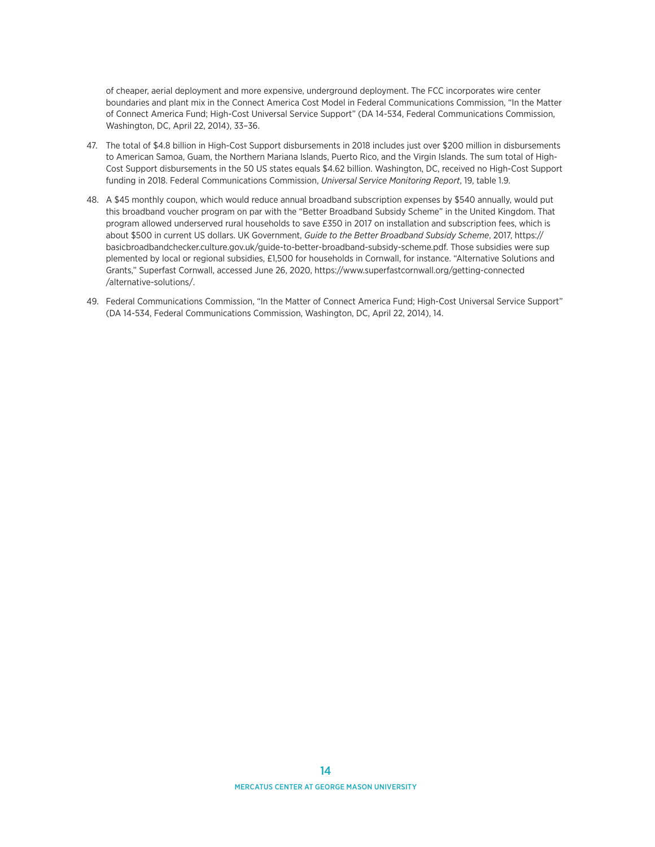of cheaper, aerial deployment and more expensive, underground deployment. The FCC incorporates wire center boundaries and plant mix in the Connect America Cost Model in Federal Communications Commission, "In the Matter of Connect America Fund; High-Cost Universal Service Support" (DA 14-534, Federal Communications Commission, Washington, DC, April 22, 2014), 33–36.

- 47. The total of \$4.8 billion in High-Cost Support disbursements in 2018 includes just over \$200 million in disbursements to American Samoa, Guam, the Northern Mariana Islands, Puerto Rico, and the Virgin Islands. The sum total of High-Cost Support disbursements in the 50 US states equals \$4.62 billion. Washington, DC, received no High-Cost Support funding in 2018. Federal Communications Commission, *Universal Service Monitoring Report*, 19, table 1.9.
- 48. A \$45 monthly coupon, which would reduce annual broadband subscription expenses by \$540 annually, would put this broadband voucher program on par with the "Better Broadband Subsidy Scheme" in the United Kingdom. That program allowed underserved rural households to save £350 in 2017 on installation and subscription fees, which is about \$500 in current US dollars. UK Government, *Guide to the Better Broadband Subsidy Scheme*, 2017, [https://](http://www.ecchinswell-pc.gov.uk/_UserFiles/Files/General%20news%20interest/2017/guide-to-better-broadband-subsidy-scheme.pdf) [basicbroadbandchecker.culture.gov.uk/guide-to-better-broadband-subsidy-scheme.pdf.](http://www.ecchinswell-pc.gov.uk/_UserFiles/Files/General%20news%20interest/2017/guide-to-better-broadband-subsidy-scheme.pdf) Those subsidies were sup plemented by local or regional subsidies, £1,500 for households in Cornwall, for instance. "Alternative Solutions and Grants," Superfast Cornwall, accessed June 26, 2020, https://www.superfastcornwall.org/getting-connected /alternative-solutions/.
- 49. Federal Communications Commission, "In the Matter of Connect America Fund; High-Cost Universal Service Support" (DA 14-534, Federal Communications Commission, Washington, DC, April 22, 2014), 14.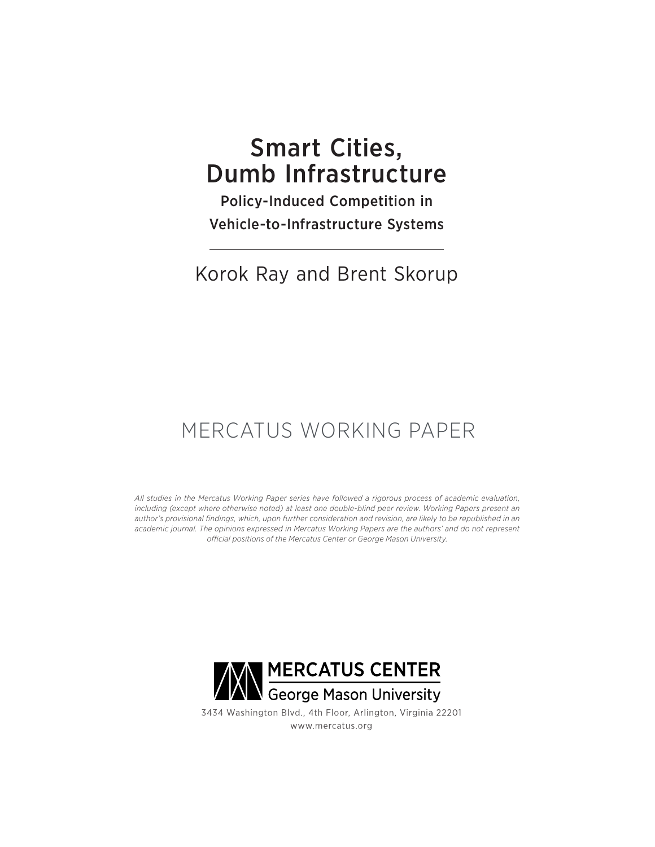# Smart Cities, Dumb Infrastructure

Policy-Induced Competition in Vehicle-to-Infrastructure Systems

## Korok Ray and Brent Skorup

# MERCATUS WORKING PAPER

*All studies in the Mercatus Working Paper series have followed a rigorous process of academic evaluation, including (except where otherwise noted) at least one double-blind peer review. Working Papers present an author's provisional findings, which, upon further consideration and revision, are likely to be republished in an academic journal. The opinions expressed in Mercatus Working Papers are the authors' and do not represent official positions of the Mercatus Center or George Mason University.*



3434 Washington Blvd., 4th Floor, Arlington, Virginia 22201 www.mercatus.org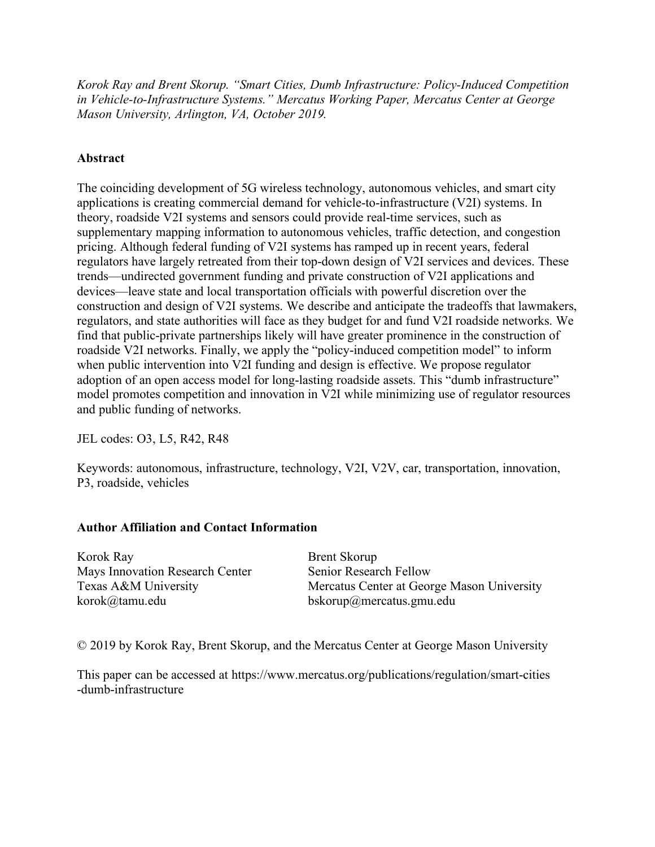*Korok Ray and Brent Skorup. "Smart Cities, Dumb Infrastructure: Policy-Induced Competition in Vehicle-to-Infrastructure Systems." Mercatus Working Paper, Mercatus Center at George Mason University, Arlington, VA, October 2019.*

## **Abstract**

The coinciding development of 5G wireless technology, autonomous vehicles, and smart city applications is creating commercial demand for vehicle-to-infrastructure (V2I) systems. In theory, roadside V2I systems and sensors could provide real-time services, such as supplementary mapping information to autonomous vehicles, traffic detection, and congestion pricing. Although federal funding of V2I systems has ramped up in recent years, federal regulators have largely retreated from their top-down design of V2I services and devices. These trends—undirected government funding and private construction of V2I applications and devices—leave state and local transportation officials with powerful discretion over the construction and design of V2I systems. We describe and anticipate the tradeoffs that lawmakers, regulators, and state authorities will face as they budget for and fund V2I roadside networks. We find that public-private partnerships likely will have greater prominence in the construction of roadside V2I networks. Finally, we apply the "policy-induced competition model" to inform when public intervention into V2I funding and design is effective. We propose regulator adoption of an open access model for long-lasting roadside assets. This "dumb infrastructure" model promotes competition and innovation in V2I while minimizing use of regulator resources and public funding of networks.

JEL codes: O3, L5, R42, R48

Keywords: autonomous, infrastructure, technology, V2I, V2V, car, transportation, innovation, P3, roadside, vehicles

## **Author Affiliation and Contact Information**

Korok Ray Brent Skorup Mays Innovation Research Center Senior Research Fellow korok@tamu.edu bskorup@mercatus.gmu.edu

Texas A&M University Mercatus Center at George Mason University

© 2019 by Korok Ray, Brent Skorup, and the Mercatus Center at George Mason University

This paper can be accessed at [https://www.mercatus.org/publications/regulation/smart-cities](https://www.mercatus.org/publications/regulation/smart-cities-dumb-infrastructure) [-dumb-infrastructure](https://www.mercatus.org/publications/regulation/smart-cities-dumb-infrastructure)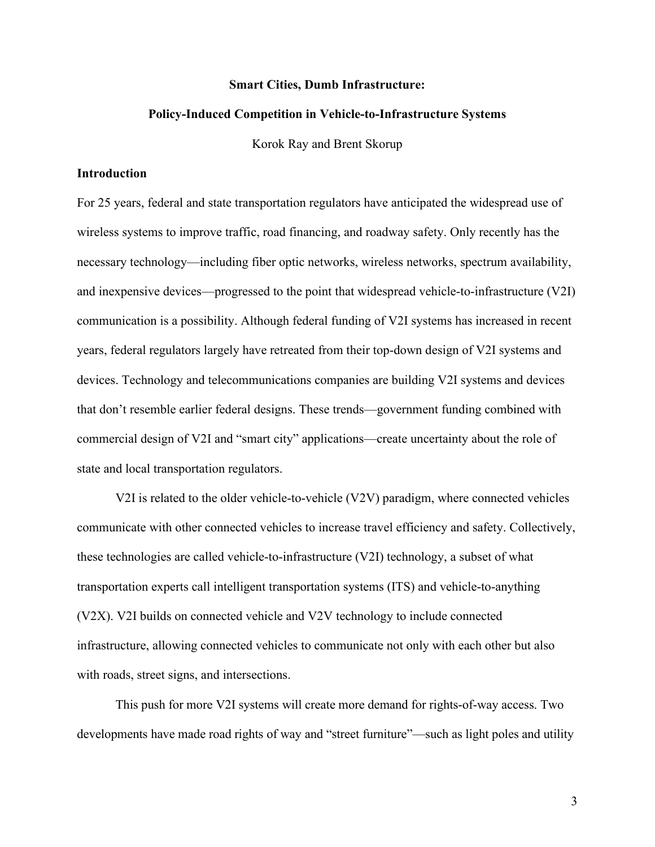#### **Smart Cities, Dumb Infrastructure:**

#### **Policy-Induced Competition in Vehicle-to-Infrastructure Systems**

Korok Ray and Brent Skorup

#### **Introduction**

For 25 years, federal and state transportation regulators have anticipated the widespread use of wireless systems to improve traffic, road financing, and roadway safety. Only recently has the necessary technology—including fiber optic networks, wireless networks, spectrum availability, and inexpensive devices—progressed to the point that widespread vehicle-to-infrastructure (V2I) communication is a possibility. Although federal funding of V2I systems has increased in recent years, federal regulators largely have retreated from their top-down design of V2I systems and devices. Technology and telecommunications companies are building V2I systems and devices that don't resemble earlier federal designs. These trends—government funding combined with commercial design of V2I and "smart city" applications—create uncertainty about the role of state and local transportation regulators.

V2I is related to the older vehicle-to-vehicle (V2V) paradigm, where connected vehicles communicate with other connected vehicles to increase travel efficiency and safety. Collectively, these technologies are called vehicle-to-infrastructure (V2I) technology, a subset of what transportation experts call intelligent transportation systems (ITS) and vehicle-to-anything (V2X). V2I builds on connected vehicle and V2V technology to include connected infrastructure, allowing connected vehicles to communicate not only with each other but also with roads, street signs, and intersections.

This push for more V2I systems will create more demand for rights-of-way access. Two developments have made road rights of way and "street furniture"—such as light poles and utility

3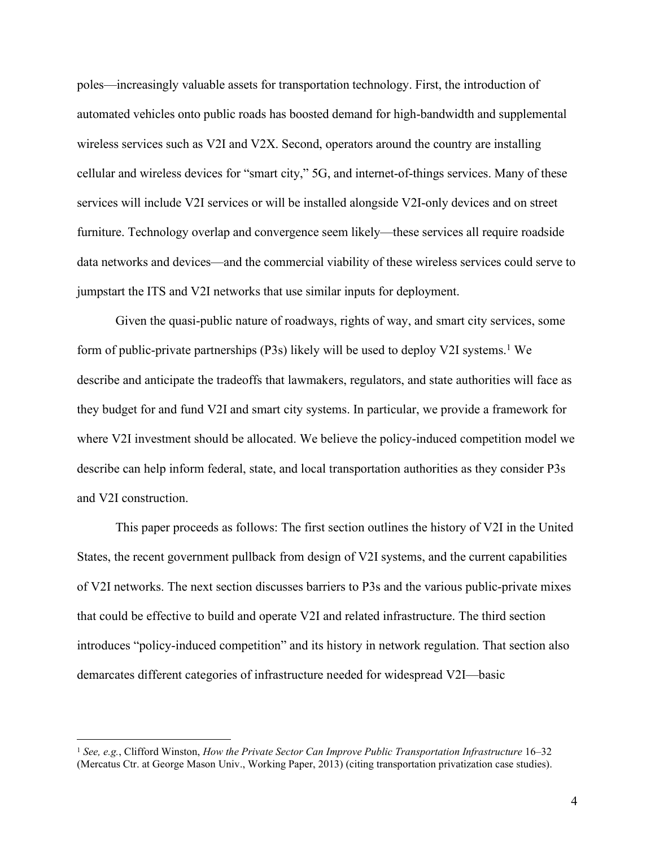poles—increasingly valuable assets for transportation technology. First, the introduction of automated vehicles onto public roads has boosted demand for high-bandwidth and supplemental wireless services such as V2I and V2X. Second, operators around the country are installing cellular and wireless devices for "smart city," 5G, and internet-of-things services. Many of these services will include V2I services or will be installed alongside V2I-only devices and on street furniture. Technology overlap and convergence seem likely—these services all require roadside data networks and devices—and the commercial viability of these wireless services could serve to jumpstart the ITS and V2I networks that use similar inputs for deployment.

Given the quasi-public nature of roadways, rights of way, and smart city services, some form of public-private partnerships (P3s) likely will be used to deploy V2I systems. <sup>1</sup> We describe and anticipate the tradeoffs that lawmakers, regulators, and state authorities will face as they budget for and fund V2I and smart city systems. In particular, we provide a framework for where V2I investment should be allocated. We believe the policy-induced competition model we describe can help inform federal, state, and local transportation authorities as they consider P3s and V2I construction.

This paper proceeds as follows: The first section outlines the history of V2I in the United States, the recent government pullback from design of V2I systems, and the current capabilities of V2I networks. The next section discusses barriers to P3s and the various public-private mixes that could be effective to build and operate V2I and related infrastructure. The third section introduces "policy-induced competition" and its history in network regulation. That section also demarcates different categories of infrastructure needed for widespread V2I—basic

 <sup>1</sup> *See, e.g.*, Clifford Winston, *How the Private Sector Can Improve Public Transportation Infrastructure* 16–32 (Mercatus Ctr. at George Mason Univ., Working Paper, 2013) (citing transportation privatization case studies).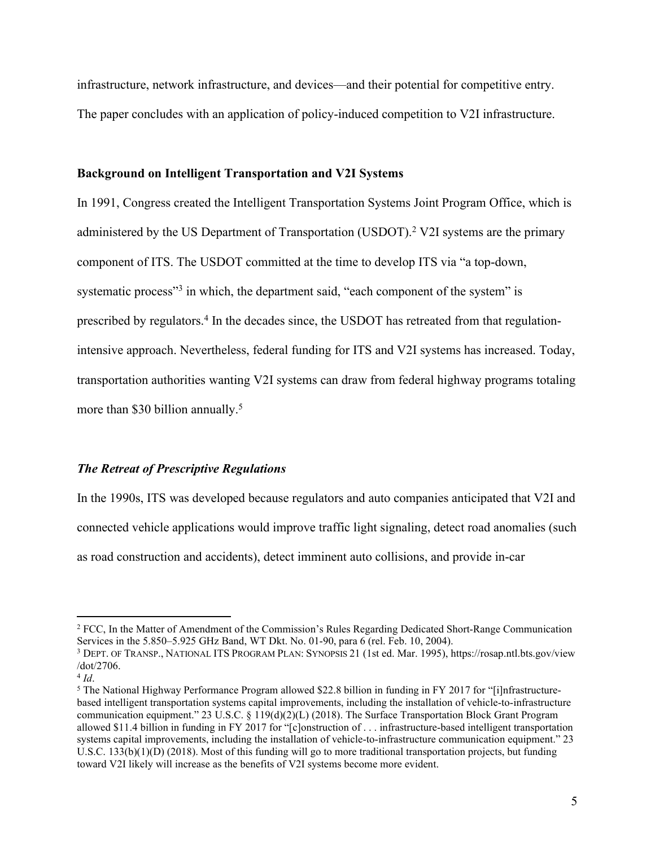infrastructure, network infrastructure, and devices—and their potential for competitive entry. The paper concludes with an application of policy-induced competition to V2I infrastructure.

#### **Background on Intelligent Transportation and V2I Systems**

In 1991, Congress created the Intelligent Transportation Systems Joint Program Office, which is administered by the US Department of Transportation (USDOT).<sup>2</sup> V2I systems are the primary component of ITS. The USDOT committed at the time to develop ITS via "a top-down, systematic process"<sup>3</sup> in which, the department said, "each component of the system" is prescribed by regulators.4 In the decades since, the USDOT has retreated from that regulationintensive approach. Nevertheless, federal funding for ITS and V2I systems has increased. Today, transportation authorities wanting V2I systems can draw from federal highway programs totaling more than \$30 billion annually.<sup>5</sup>

## *The Retreat of Prescriptive Regulations*

In the 1990s, ITS was developed because regulators and auto companies anticipated that V2I and connected vehicle applications would improve traffic light signaling, detect road anomalies (such as road construction and accidents), detect imminent auto collisions, and provide in-car

 <sup>2</sup> FCC, In the Matter of Amendment of the Commission's Rules Regarding Dedicated Short-Range Communication Services in the 5.850–5.925 GHz Band, WT Dkt. No. 01-90, para 6 (rel. Feb. 10, 2004).

<sup>3</sup> DEPT. OF TRANSP., NATIONAL ITS PROGRAM PLAN: SYNOPSIS 21 (1st ed. Mar. 1995), [https://rosap.ntl.bts.gov/view](https://rosap.ntl.bts.gov/view/dot/2706) [/dot/2706.](https://rosap.ntl.bts.gov/view/dot/2706)

<sup>&</sup>lt;sup>4</sup> *Id*.<br><sup>5</sup> The National Highway Performance Program allowed \$22.8 billion in funding in FY 2017 for "[i]nfrastructurebased intelligent transportation systems capital improvements, including the installation of vehicle-to-infrastructure communication equipment." 23 U.S.C. § 119(d)(2)(L) (2018). The Surface Transportation Block Grant Program allowed \$11.4 billion in funding in FY 2017 for "[c]onstruction of . . . infrastructure-based intelligent transportation systems capital improvements, including the installation of vehicle-to-infrastructure communication equipment." 23 U.S.C. 133(b)(1)(D) (2018). Most of this funding will go to more traditional transportation projects, but funding toward V2I likely will increase as the benefits of V2I systems become more evident.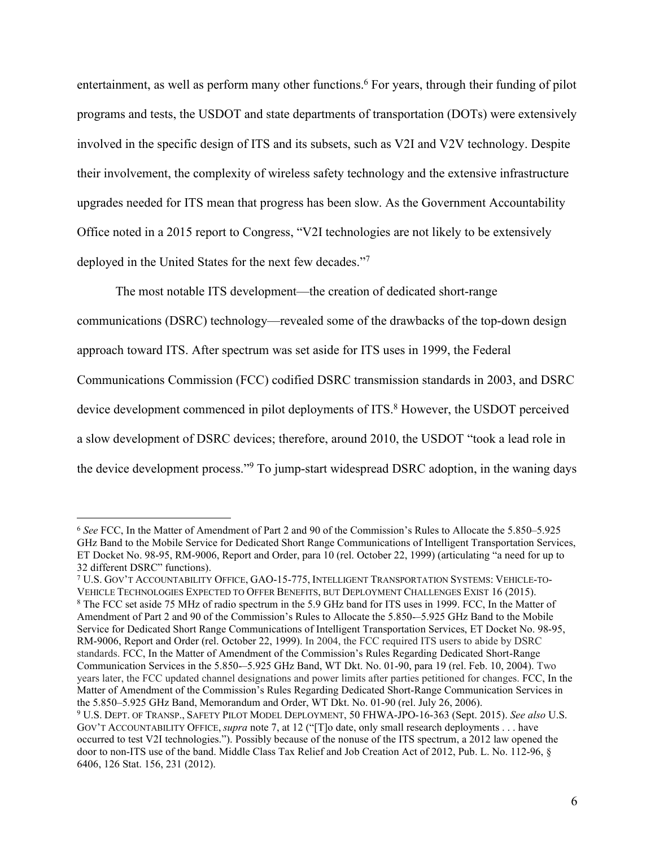entertainment, as well as perform many other functions. <sup>6</sup> For years, through their funding of pilot programs and tests, the USDOT and state departments of transportation (DOTs) were extensively involved in the specific design of ITS and its subsets, such as V2I and V2V technology. Despite their involvement, the complexity of wireless safety technology and the extensive infrastructure upgrades needed for ITS mean that progress has been slow. As the Government Accountability Office noted in a 2015 report to Congress, "V2I technologies are not likely to be extensively deployed in the United States for the next few decades."7

The most notable ITS development—the creation of dedicated short-range

communications (DSRC) technology—revealed some of the drawbacks of the top-down design

approach toward ITS. After spectrum was set aside for ITS uses in 1999, the Federal

Communications Commission (FCC) codified DSRC transmission standards in 2003, and DSRC

device development commenced in pilot deployments of ITS. <sup>8</sup> However, the USDOT perceived

a slow development of DSRC devices; therefore, around 2010, the USDOT "took a lead role in

the device development process."9 To jump-start widespread DSRC adoption, in the waning days

 <sup>6</sup> *See* FCC, In the Matter of Amendment of Part 2 and 90 of the Commission's Rules to Allocate the 5.850–5.925 GHz Band to the Mobile Service for Dedicated Short Range Communications of Intelligent Transportation Services, ET Docket No. 98-95, RM-9006, Report and Order, para 10 (rel. October 22, 1999) (articulating "a need for up to 32 different DSRC" functions).

<sup>7</sup> U.S. GOV'T ACCOUNTABILITY OFFICE, GAO-15-775, INTELLIGENT TRANSPORTATION SYSTEMS: VEHICLE-TO-VEHICLE TECHNOLOGIES EXPECTED TO OFFER BENEFITS, BUT DEPLOYMENT CHALLENGES EXIST 16 (2015). <sup>8</sup> The FCC set aside 75 MHz of radio spectrum in the 5.9 GHz band for ITS uses in 1999. FCC, In the Matter of Amendment of Part 2 and 90 of the Commission's Rules to Allocate the 5.850-–5.925 GHz Band to the Mobile Service for Dedicated Short Range Communications of Intelligent Transportation Services, ET Docket No. 98-95, RM-9006, Report and Order (rel. October 22, 1999). In 2004, the FCC required ITS users to abide by DSRC standards. FCC, In the Matter of Amendment of the Commission's Rules Regarding Dedicated Short-Range Communication Services in the 5.850-–5.925 GHz Band, WT Dkt. No. 01-90, para 19 (rel. Feb. 10, 2004). Two years later, the FCC updated channel designations and power limits after parties petitioned for changes. FCC, In the Matter of Amendment of the Commission's Rules Regarding Dedicated Short-Range Communication Services in the 5.850–5.925 GHz Band, Memorandum and Order, WT Dkt. No. 01-90 (rel. July 26, 2006).

<sup>9</sup> U.S. DEPT. OF TRANSP., SAFETY PILOT MODEL DEPLOYMENT, 50 FHWA-JPO-16-363 (Sept. 2015). *See also* U.S. GOV'T ACCOUNTABILITY OFFICE, *supra* note 7, at 12 ("[T]o date, only small research deployments . . . have occurred to test V2I technologies."). Possibly because of the nonuse of the ITS spectrum, a 2012 law opened the door to non-ITS use of the band. Middle Class Tax Relief and Job Creation Act of 2012, Pub. L. No. 112-96, § 6406, 126 Stat. 156, 231 (2012).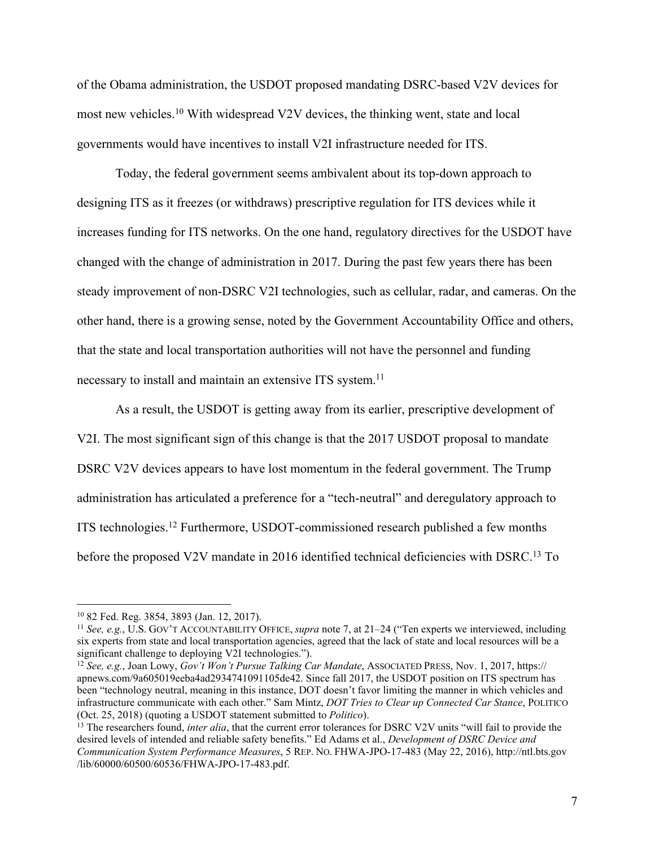of the Obama administration, the USDOT proposed mandating DSRC-based V2V devices for most new vehicles.10 With widespread V2V devices, the thinking went, state and local governments would have incentives to install V2I infrastructure needed for ITS.

Today, the federal government seems ambivalent about its top-down approach to designing ITS as it freezes (or withdraws) prescriptive regulation for ITS devices while it increases funding for ITS networks. On the one hand, regulatory directives for the USDOT have changed with the change of administration in 2017. During the past few years there has been steady improvement of non-DSRC V2I technologies, such as cellular, radar, and cameras. On the other hand, there is a growing sense, noted by the Government Accountability Office and others, that the state and local transportation authorities will not have the personnel and funding necessary to install and maintain an extensive ITS system.<sup>11</sup>

As a result, the USDOT is getting away from its earlier, prescriptive development of V2I. The most significant sign of this change is that the 2017 USDOT proposal to mandate DSRC V2V devices appears to have lost momentum in the federal government. The Trump administration has articulated a preference for a "tech-neutral" and deregulatory approach to ITS technologies.12 Furthermore, USDOT-commissioned research published a few months before the proposed V2V mandate in 2016 identified technical deficiencies with DSRC.<sup>13</sup> To

 <sup>10</sup> 82 Fed. Reg. 3854, 3893 (Jan. 12, 2017).

<sup>11</sup> *See, e.g.*, U.S. GOV'T ACCOUNTABILITY OFFICE, *supra* note 7, at 21–24 ("Ten experts we interviewed, including six experts from state and local transportation agencies, agreed that the lack of state and local resources will be a significant challenge to deploying V2I technologies.").

<sup>12</sup> *See, e.g.*, Joan Lowy, *Gov't Won't Pursue Talking Car Mandate*, ASSOCIATED PRESS, Nov. 1, 2017, [https://](https://apnews.com/9a605019eeba4ad2934741091105de42) [apnews.com/9a605019eeba4ad2934741091105de42](https://apnews.com/9a605019eeba4ad2934741091105de42). Since fall 2017, the USDOT position on ITS spectrum has been "technology neutral, meaning in this instance, DOT doesn't favor limiting the manner in which vehicles and infrastructure communicate with each other." Sam Mintz, *DOT Tries to Clear up Connected Car Stance*, POLITICO (Oct. 25, 2018) (quoting a USDOT statement submitted to *Politico*).

<sup>&</sup>lt;sup>13</sup> The researchers found, *inter alia*, that the current error tolerances for DSRC V2V units "will fail to provide the desired levels of intended and reliable safety benefits." Ed Adams et al., *Development of DSRC Device and Communication System Performance Measures*, 5 REP. NO. FHWA-JPO-17-483 (May 22, 2016), [http://ntl.bts.gov](http://ntl.bts.gov/lib/60000/60500/60536/FHWA-JPO-17-483.pdf) [/lib/60000/60500/60536/FHWA-JPO-17-483.pdf.](http://ntl.bts.gov/lib/60000/60500/60536/FHWA-JPO-17-483.pdf)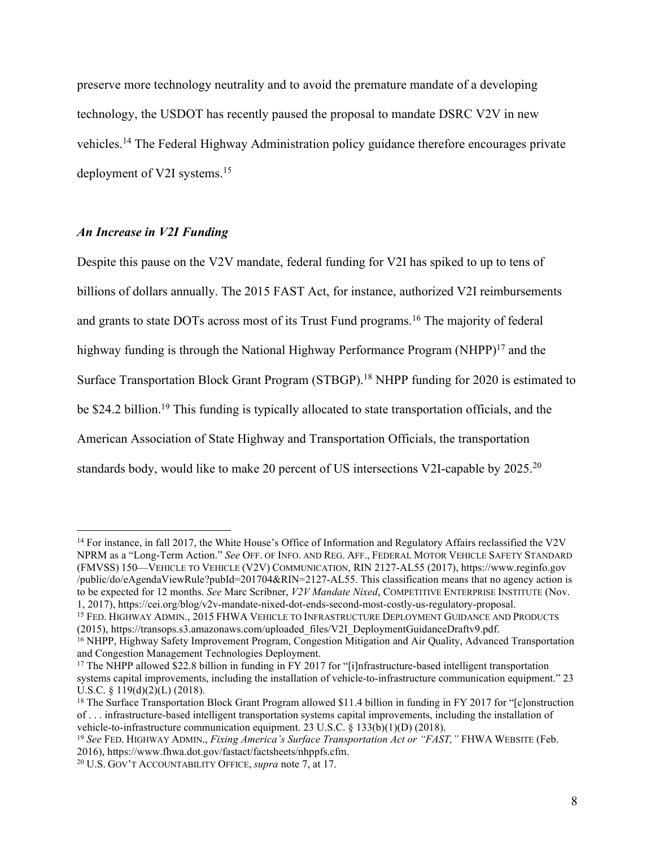preserve more technology neutrality and to avoid the premature mandate of a developing technology, the USDOT has recently paused the proposal to mandate DSRC V2V in new vehicles.14 The Federal Highway Administration policy guidance therefore encourages private deployment of V2I systems.15

## *An Increase in V2I Funding*

Despite this pause on the V2V mandate, federal funding for V2I has spiked to up to tens of billions of dollars annually. The 2015 FAST Act, for instance, authorized V2I reimbursements and grants to state DOTs across most of its Trust Fund programs.16 The majority of federal highway funding is through the National Highway Performance Program (NHPP)<sup>17</sup> and the Surface Transportation Block Grant Program (STBGP).<sup>18</sup> NHPP funding for 2020 is estimated to be \$24.2 billion.<sup>19</sup> This funding is typically allocated to state transportation officials, and the American Association of State Highway and Transportation Officials, the transportation standards body, would like to make 20 percent of US intersections V2I-capable by 2025.<sup>20</sup>

<sup>14</sup> For instance, in fall 2017, the White House's Office of Information and Regulatory Affairs reclassified the V2V NPRM as a "Long-Term Action." *See* OFF. OF INFO. AND REG. AFF., FEDERAL MOTOR VEHICLE SAFETY STANDARD (FMVSS) 150—VEHICLE TO VEHICLE (V2V) COMMUNICATION, RIN 2127-AL55 (2017), [https://www.reginfo.gov](https://www.reginfo.gov/public/do/eAgendaViewRule?pubId=201704&RIN=2127-AL55) [/public/do/eAgendaViewRule?pubId=201704&RIN=2127-AL55.](https://www.reginfo.gov/public/do/eAgendaViewRule?pubId=201704&RIN=2127-AL55) This classification means that no agency action is to be expected for 12 months. *See* Marc Scribner, *V2V Mandate Nixed*, COMPETITIVE ENTERPRISE INSTITUTE (Nov. 1, 2017), [https://cei.org/blog/v2v-mandate-nixed-dot-ends-second-most-costly-us-regulatory-proposal.](https://cei.org/blog/v2v-mandate-nixed-dot-ends-second-most-costly-us-regulatory-proposal) 15 FED. HIGHWAY ADMIN., <sup>2015</sup> FHWA VEHICLE TO INFRASTRUCTURE DEPLOYMENT GUIDANCE AND PRODUCTS

(2015), [https://transops.s3.amazonaws.com/uploaded\\_files/V2I\\_DeploymentGuidanceDraftv9.pdf.](https://transops.s3.amazonaws.com/uploaded_files/V2I_DeploymentGuidanceDraftv9.pdf)

<sup>16</sup> NHPP, Highway Safety Improvement Program, Congestion Mitigation and Air Quality, Advanced Transportation and Congestion Management Technologies Deployment.

<sup>&</sup>lt;sup>17</sup> The NHPP allowed \$22.8 billion in funding in FY 2017 for "[i]nfrastructure-based intelligent transportation systems capital improvements, including the installation of vehicle-to-infrastructure communication equipment." 23 U.S.C. § 119(d)(2)(L) (2018).

<sup>&</sup>lt;sup>18</sup> The Surface Transportation Block Grant Program allowed \$11.4 billion in funding in FY 2017 for "[c]onstruction of . . . infrastructure-based intelligent transportation systems capital improvements, including the installation of vehicle-to-infrastructure communication equipment. 23 U.S.C. § 133(b)(1)(D) (2018).

<sup>19</sup> *See* FED. HIGHWAY ADMIN., *Fixing America's Surface Transportation Act or "FAST,"* FHWA WEBSITE (Feb. 2016), [https://www.fhwa.dot.gov/fastact/factsheets/nhppfs.cfm.](https://www.fhwa.dot.gov/fastact/factsheets/nhppfs.cfm) 20 U.S. GOV'T ACCOUNTABILITY OFFICE, *supra* note 7, at 17.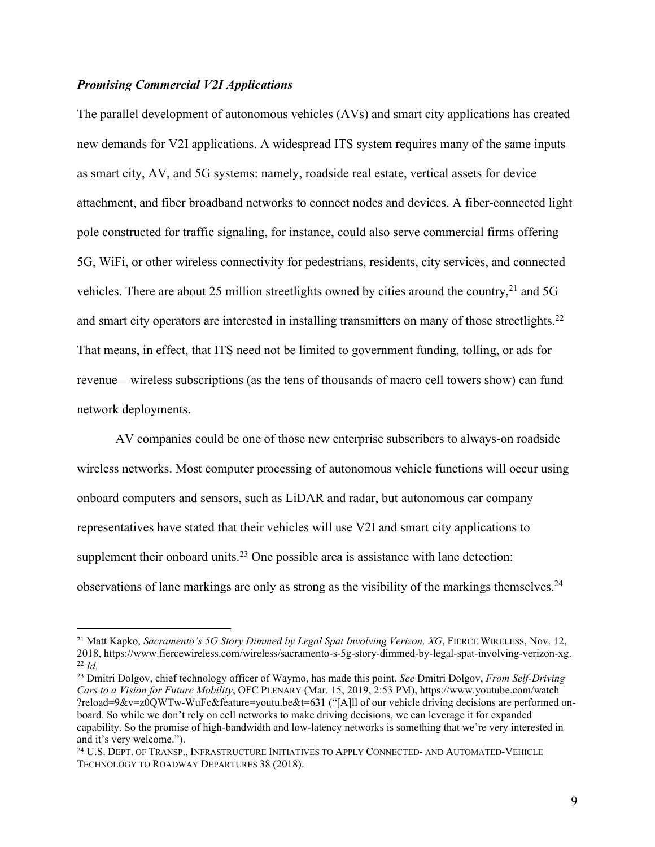### *Promising Commercial V2I Applications*

The parallel development of autonomous vehicles (AVs) and smart city applications has created new demands for V2I applications. A widespread ITS system requires many of the same inputs as smart city, AV, and 5G systems: namely, roadside real estate, vertical assets for device attachment, and fiber broadband networks to connect nodes and devices. A fiber-connected light pole constructed for traffic signaling, for instance, could also serve commercial firms offering 5G, WiFi, or other wireless connectivity for pedestrians, residents, city services, and connected vehicles. There are about 25 million streetlights owned by cities around the country,<sup>21</sup> and 5G and smart city operators are interested in installing transmitters on many of those streetlights.<sup>22</sup> That means, in effect, that ITS need not be limited to government funding, tolling, or ads for revenue—wireless subscriptions (as the tens of thousands of macro cell towers show) can fund network deployments.

AV companies could be one of those new enterprise subscribers to always-on roadside wireless networks. Most computer processing of autonomous vehicle functions will occur using onboard computers and sensors, such as LiDAR and radar, but autonomous car company representatives have stated that their vehicles will use V2I and smart city applications to supplement their onboard units.<sup>23</sup> One possible area is assistance with lane detection: observations of lane markings are only as strong as the visibility of the markings themselves.<sup>24</sup>

<sup>&</sup>lt;sup>21</sup> Matt Kapko, *Sacramento's 5G Story Dimmed by Legal Spat Involving Verizon, XG*, FIERCE WIRELESS, Nov. 12, 2018, [https://www.fiercewireless.com/wireless/sacramento-s-5g-story-dimmed-by-legal-spat-involving-verizon-xg.](https://www.fiercewireless.com/wireless/sacramento-s-5g-story-dimmed-by-legal-spat-involving-verizon-xg) <sup>22</sup> *Id.*

<sup>23</sup> Dmitri Dolgov, chief technology officer of Waymo, has made this point. *See* Dmitri Dolgov, *From Self-Driving Cars to a Vision for Future Mobility*, OFC PLENARY (Mar. 15, 2019, 2:53 PM), [https://www.youtube.com/watch](https://www.youtube.com/watch?reload=9&v=z0QWTw-WuFc&feature=youtu.be&t=631) [?reload=9&v=z0QWTw-WuFc&feature=youtu.be&t=631](https://www.youtube.com/watch?reload=9&v=z0QWTw-WuFc&feature=youtu.be&t=631) ("[A]ll of our vehicle driving decisions are performed onboard. So while we don't rely on cell networks to make driving decisions, we can leverage it for expanded capability. So the promise of high-bandwidth and low-latency networks is something that we're very interested in and it's very welcome.").

<sup>24</sup> U.S. DEPT. OF TRANSP., INFRASTRUCTURE INITIATIVES TO APPLY CONNECTED- AND AUTOMATED-VEHICLE TECHNOLOGY TO ROADWAY DEPARTURES 38 (2018).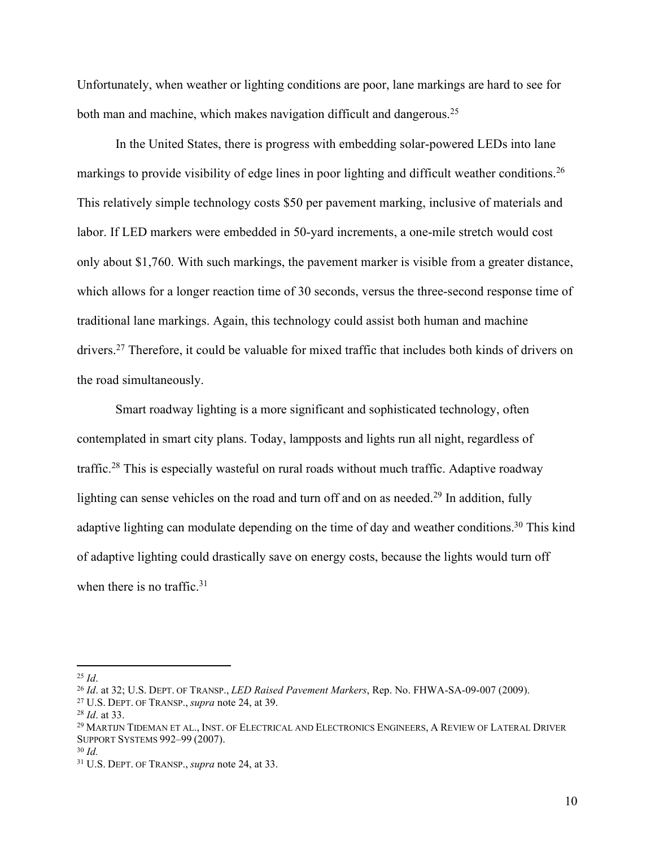Unfortunately, when weather or lighting conditions are poor, lane markings are hard to see for both man and machine, which makes navigation difficult and dangerous.<sup>25</sup>

In the United States, there is progress with embedding solar-powered LEDs into lane markings to provide visibility of edge lines in poor lighting and difficult weather conditions.<sup>26</sup> This relatively simple technology costs \$50 per pavement marking, inclusive of materials and labor. If LED markers were embedded in 50-yard increments, a one-mile stretch would cost only about \$1,760. With such markings, the pavement marker is visible from a greater distance, which allows for a longer reaction time of 30 seconds, versus the three-second response time of traditional lane markings. Again, this technology could assist both human and machine drivers.27 Therefore, it could be valuable for mixed traffic that includes both kinds of drivers on the road simultaneously.

Smart roadway lighting is a more significant and sophisticated technology, often contemplated in smart city plans. Today, lampposts and lights run all night, regardless of traffic.<sup>28</sup> This is especially wasteful on rural roads without much traffic. Adaptive roadway lighting can sense vehicles on the road and turn off and on as needed.<sup>29</sup> In addition, fully adaptive lighting can modulate depending on the time of day and weather conditions.<sup>30</sup> This kind of adaptive lighting could drastically save on energy costs, because the lights would turn off when there is no traffic. $31$ 

<sup>25</sup> *Id*. 26 *Id*. at 32; U.S. DEPT. OF TRANSP., *LED Raised Pavement Markers*, Rep. No. FHWA-SA-09-007 (2009). 27 U.S. DEPT. OF TRANSP., *supra* note 24, at 39.

<sup>&</sup>lt;sup>28</sup> *Id.* at 33.<br><sup>29</sup> Martijn Tideman et al., Inst. of Electrical and Electronics Engineers, A Review of Lateral Driver SUPPORT SYSTEMS 992–99 (2007).

<sup>30</sup> *Id.*

<sup>31</sup> U.S. DEPT. OF TRANSP., *supra* note 24, at 33.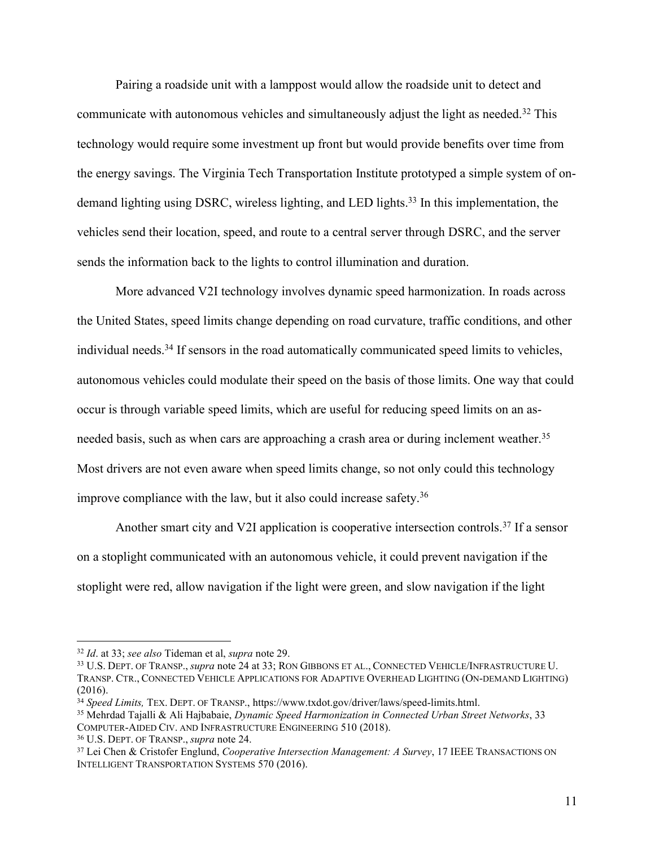Pairing a roadside unit with a lamppost would allow the roadside unit to detect and communicate with autonomous vehicles and simultaneously adjust the light as needed.32 This technology would require some investment up front but would provide benefits over time from the energy savings. The Virginia Tech Transportation Institute prototyped a simple system of ondemand lighting using DSRC, wireless lighting, and LED lights.<sup>33</sup> In this implementation, the vehicles send their location, speed, and route to a central server through DSRC, and the server sends the information back to the lights to control illumination and duration.

More advanced V2I technology involves dynamic speed harmonization. In roads across the United States, speed limits change depending on road curvature, traffic conditions, and other individual needs.<sup>34</sup> If sensors in the road automatically communicated speed limits to vehicles, autonomous vehicles could modulate their speed on the basis of those limits. One way that could occur is through variable speed limits, which are useful for reducing speed limits on an asneeded basis, such as when cars are approaching a crash area or during inclement weather.<sup>35</sup> Most drivers are not even aware when speed limits change, so not only could this technology improve compliance with the law, but it also could increase safety.36

Another smart city and V2I application is cooperative intersection controls.<sup>37</sup> If a sensor on a stoplight communicated with an autonomous vehicle, it could prevent navigation if the stoplight were red, allow navigation if the light were green, and slow navigation if the light

<sup>&</sup>lt;sup>32</sup> *Id.* at 33; *see also* Tideman et al, *supra* note 29.<br><sup>33</sup> U.S. DEPT. OF TRANSP., *supra* note 24 at 33; RON GIBBONS ET AL., CONNECTED VEHICLE/INFRASTRUCTURE U. TRANSP. CTR., CONNECTED VEHICLE APPLICATIONS FOR ADAPTIVE OVERHEAD LIGHTING (ON-DEMAND LIGHTING) (2016).

<sup>34</sup> *Speed Limits,* TEX. DEPT. OF TRANSP., [https://www.txdot.gov/driver/laws/speed-limits.html.](https://www.txdot.gov/driver/laws/speed-limits.html)

<sup>35</sup> Mehrdad Tajalli & Ali Hajbabaie, *Dynamic Speed Harmonization in Connected Urban Street Networks*, 33 COMPUTER-AIDED CIV. AND INFRASTRUCTURE ENGINEERING 510 (2018). 36 U.S. DEPT. OF TRANSP., *supra* note 24. 37 Lei Chen & Cristofer Englund, *Cooperative Intersection Management: A Survey*, 17 IEEE TRANSACTIONS ON

INTELLIGENT TRANSPORTATION SYSTEMS 570 (2016).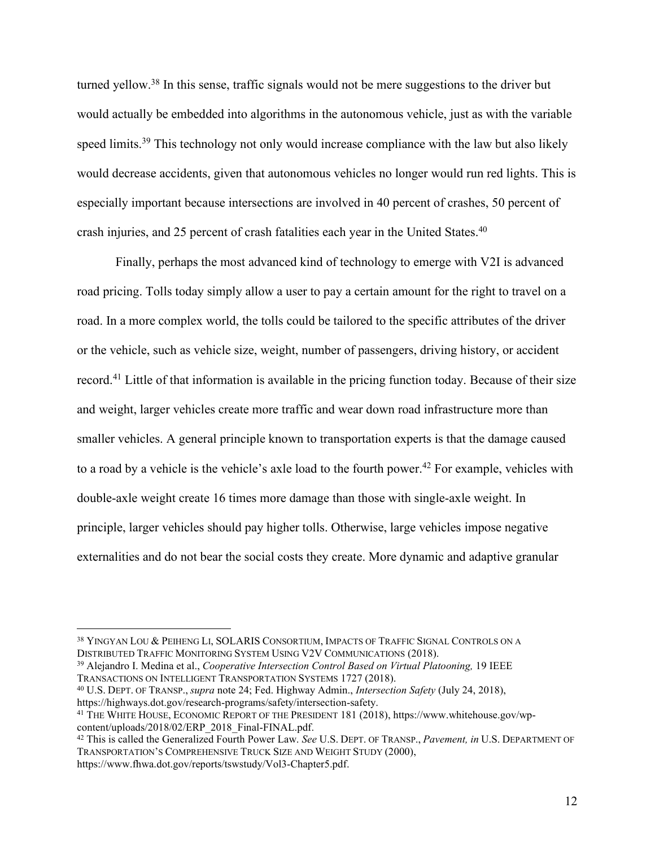turned yellow.38 In this sense, traffic signals would not be mere suggestions to the driver but would actually be embedded into algorithms in the autonomous vehicle, just as with the variable speed limits.<sup>39</sup> This technology not only would increase compliance with the law but also likely would decrease accidents, given that autonomous vehicles no longer would run red lights. This is especially important because intersections are involved in 40 percent of crashes, 50 percent of crash injuries, and 25 percent of crash fatalities each year in the United States. 40

Finally, perhaps the most advanced kind of technology to emerge with V2I is advanced road pricing. Tolls today simply allow a user to pay a certain amount for the right to travel on a road. In a more complex world, the tolls could be tailored to the specific attributes of the driver or the vehicle, such as vehicle size, weight, number of passengers, driving history, or accident record.41 Little of that information is available in the pricing function today. Because of their size and weight, larger vehicles create more traffic and wear down road infrastructure more than smaller vehicles. A general principle known to transportation experts is that the damage caused to a road by a vehicle is the vehicle's axle load to the fourth power.<sup>42</sup> For example, vehicles with double-axle weight create 16 times more damage than those with single-axle weight. In principle, larger vehicles should pay higher tolls. Otherwise, large vehicles impose negative externalities and do not bear the social costs they create. More dynamic and adaptive granular

<sup>40</sup> U.S. DEPT. OF TRANSP., *supra* note 24; Fed. Highway Admin., *Intersection Safety* (July 24, 2018), [https://highways.dot.gov/research-programs/safety/intersection-safety.](https://highways.dot.gov/research-programs/safety/intersection-safety)

<sup>&</sup>lt;sup>38</sup> YINGYAN LOU & PEIHENG LI, SOLARIS CONSORTIUM, IMPACTS OF TRAFFIC SIGNAL CONTROLS ON A DISTRIBUTED TRAFFIC MONITORING SYSTEM USING V2V COMMUNICATIONS (2018).

<sup>&</sup>lt;sup>39</sup> Alejandro I. Medina et al., *Cooperative Intersection Control Based on Virtual Platooning*, 19 IEEE TRANSACTIONS ON INTELLIGENT TRANSPORTATION SYSTEMS 1727 (2018).

<sup>&</sup>lt;sup>41</sup> THE WHITE HOUSE, ECONOMIC REPORT OF THE PRESIDENT 181 (2018), https://www.whitehouse.gov/wp-content/uploads/2018/02/ERP 2018 Final-FINAL.pdf.

<sup>&</sup>lt;sup>[42](https://www.whitehouse.gov/wp-content/uploads/2018/02/ERP_2018_Final-FINAL.pdf)</sup> This is called the Generalized Fourth Power Law. *See* U.S. DEPT. OF TRANSP., *Pavement, in* U.S. DEPARTMENT OF TRANSPORTATION'S COMPREHENSIVE TRUCK SIZE AND WEIGHT STUDY (2000), [https://www.fhwa.dot.gov/reports/tswstudy/Vol3-Chapter5.pdf.](https://www.fhwa.dot.gov/reports/tswstudy/Vol3-Chapter5.pdf)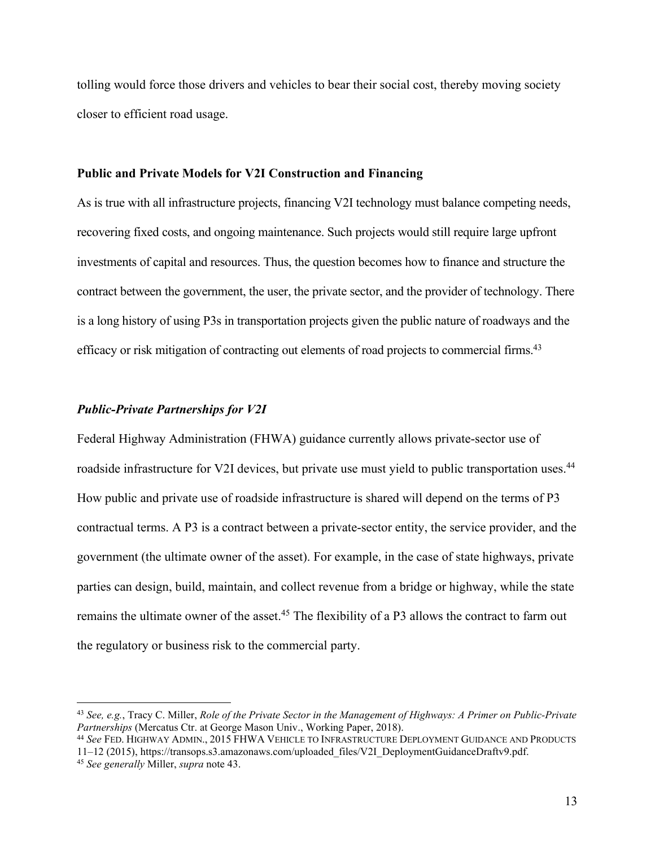tolling would force those drivers and vehicles to bear their social cost, thereby moving society closer to efficient road usage.

#### **Public and Private Models for V2I Construction and Financing**

As is true with all infrastructure projects, financing V2I technology must balance competing needs, recovering fixed costs, and ongoing maintenance. Such projects would still require large upfront investments of capital and resources. Thus, the question becomes how to finance and structure the contract between the government, the user, the private sector, and the provider of technology. There is a long history of using P3s in transportation projects given the public nature of roadways and the efficacy or risk mitigation of contracting out elements of road projects to commercial firms.<sup>43</sup>

#### *Public-Private Partnerships for V2I*

Federal Highway Administration (FHWA) guidance currently allows private-sector use of roadside infrastructure for V2I devices, but private use must yield to public transportation uses.<sup>44</sup> How public and private use of roadside infrastructure is shared will depend on the terms of P3 contractual terms. A P3 is a contract between a private-sector entity, the service provider, and the government (the ultimate owner of the asset). For example, in the case of state highways, private parties can design, build, maintain, and collect revenue from a bridge or highway, while the state remains the ultimate owner of the asset.<sup>45</sup> The flexibility of a P3 allows the contract to farm out the regulatory or business risk to the commercial party.

<sup>44</sup> *See* FED. HIGHWAY ADMIN., 2015 FHWA VEHICLE TO INFRASTRUCTURE DEPLOYMENT GUIDANCE AND PRODUCTS 11–12 (2015), [https://transops.s3.amazonaws.com/uploaded\\_files/V2I\\_DeploymentGuidanceDraftv9.pdf.](https://transops.s3.amazonaws.com/uploaded_files/V2I_DeploymentGuidanceDraftv9.pdf)

 <sup>43</sup> *See, e.g.*, Tracy C. Miller, *Role of the Private Sector in the Management of Highways: A Primer on Public-Private Partnerships* (Mercatus Ctr. at George Mason Univ., Working Paper, 2018).

<sup>45</sup> *See generally* Miller, *supra* note 43.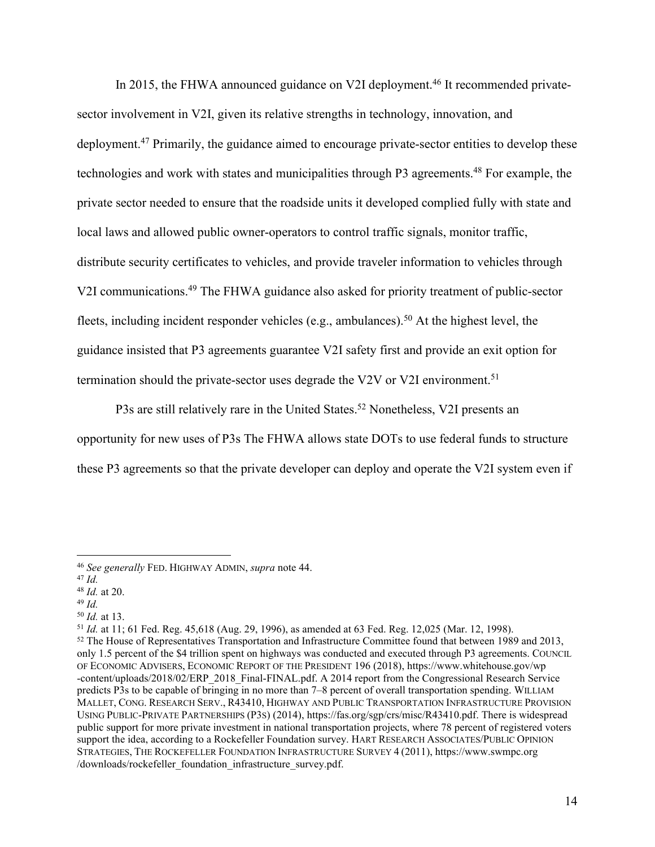In 2015, the FHWA announced guidance on V2I deployment.<sup>46</sup> It recommended privatesector involvement in V2I, given its relative strengths in technology, innovation, and deployment.<sup>47</sup> Primarily, the guidance aimed to encourage private-sector entities to develop these technologies and work with states and municipalities through P3 agreements.<sup>48</sup> For example, the private sector needed to ensure that the roadside units it developed complied fully with state and local laws and allowed public owner-operators to control traffic signals, monitor traffic, distribute security certificates to vehicles, and provide traveler information to vehicles through V2I communications.49 The FHWA guidance also asked for priority treatment of public-sector fleets, including incident responder vehicles (e.g., ambulances). <sup>50</sup> At the highest level, the guidance insisted that P3 agreements guarantee V2I safety first and provide an exit option for termination should the private-sector uses degrade the V2V or V2I environment.<sup>51</sup>

P3s are still relatively rare in the United States.<sup>52</sup> Nonetheless, V2I presents an opportunity for new uses of P3s The FHWA allows state DOTs to use federal funds to structure these P3 agreements so that the private developer can deploy and operate the V2I system even if

<sup>50</sup> *Id.* at 13. 51 *Id.* at 11; 61 Fed. Reg. 45,618 (Aug. 29, 1996), as amended at 63 Fed. Reg. 12,025 (Mar. 12, 1998).

<sup>46</sup> *See generally* FED. HIGHWAY ADMIN, *supra* note 44. 47 *Id.*

<sup>48</sup> *Id.* at 20.

<sup>49</sup> *Id.*

<sup>52</sup> The House of Representatives Transportation and Infrastructure Committee found that between 1989 and 2013, only 1.5 percent of the \$4 trillion spent on highways was conducted and executed through P3 agreements. COUNCIL OF ECONOMIC ADVISERS, ECONOMIC REPORT OF THE PRESIDENT 196 (2018), [https://www.whitehouse.gov/wp](https://www.whitehouse.gov/wp-content/uploads/2018/02/ERP_2018_Final-FINAL.pdf) [-content/uploads/2018/02/ERP\\_2018\\_Final-FINAL.pdf.](https://www.whitehouse.gov/wp-content/uploads/2018/02/ERP_2018_Final-FINAL.pdf) A 2014 report from the Congressional Research Service predicts P3s to be capable of bringing in no more than 7–8 percent of overall transportation spending. WILLIAM MALLET, CONG. RESEARCH SERV., R43410, HIGHWAY AND PUBLIC TRANSPORTATION INFRASTRUCTURE PROVISION USING PUBLIC-PRIVATE PARTNERSHIPS (P3S) (2014), [https://fas.org/sgp/crs/misc/R43410.pdf.](https://fas.org/sgp/crs/misc/R43410.pdf) There is widespread public support for more private investment in national transportation projects, where 78 percent of registered voters support the idea, according to a Rockefeller Foundation survey. HART RESEARCH ASSOCIATES/PUBLIC OPINION STRATEGIES, THE ROCKEFELLER FOUNDATION INFRASTRUCTURE SURVEY 4 (2011), [https://www.swmpc.org](https://www.swmpc.org/downloads/rockefeller_foundation_infrastructure_survey.pdf) [/downloads/rockefeller\\_foundation\\_infrastructure\\_survey.pdf.](https://www.swmpc.org/downloads/rockefeller_foundation_infrastructure_survey.pdf)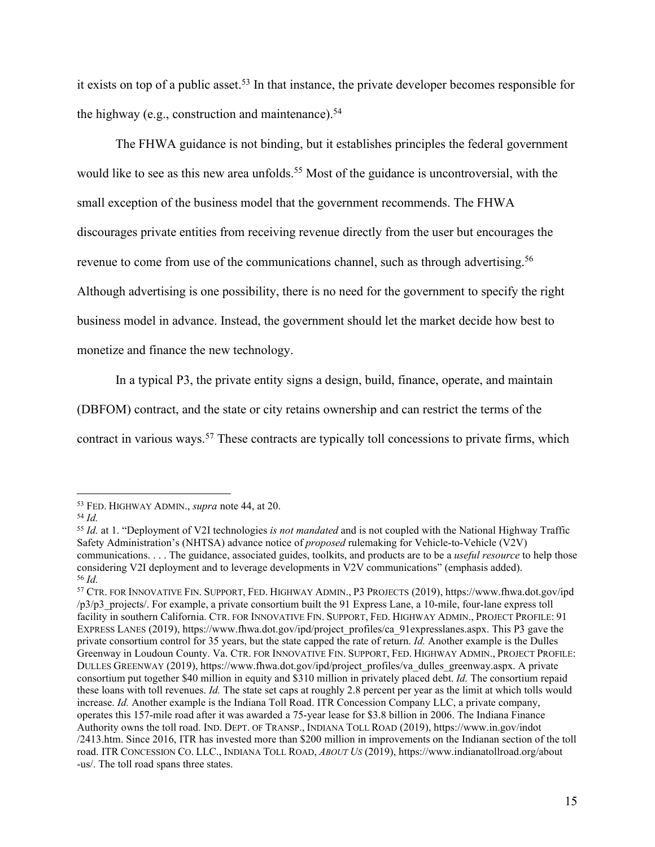it exists on top of a public asset.<sup>53</sup> In that instance, the private developer becomes responsible for the highway (e.g., construction and maintenance). $54$ 

The FHWA guidance is not binding, but it establishes principles the federal government would like to see as this new area unfolds.<sup>55</sup> Most of the guidance is uncontroversial, with the small exception of the business model that the government recommends. The FHWA discourages private entities from receiving revenue directly from the user but encourages the revenue to come from use of the communications channel, such as through advertising.<sup>56</sup> Although advertising is one possibility, there is no need for the government to specify the right business model in advance. Instead, the government should let the market decide how best to monetize and finance the new technology.

In a typical P3, the private entity signs a design, build, finance, operate, and maintain

(DBFOM) contract, and the state or city retains ownership and can restrict the terms of the

contract in various ways.<sup>57</sup> These contracts are typically toll concessions to private firms, which

<sup>53</sup> FED. HIGHWAY ADMIN., *supra* note 44, at 20. 54 *Id.*

<sup>55</sup> *Id.* at 1. "Deployment of V2I technologies *is not mandated* and is not coupled with the National Highway Traffic Safety Administration's (NHTSA) advance notice of *proposed* rulemaking for Vehicle-to-Vehicle (V2V) communications. . . . The guidance, associated guides, toolkits, and products are to be a *useful resource* to help those considering V2I deployment and to leverage developments in V2V communications" (emphasis added). <sup>56</sup> *Id.*

<sup>57</sup> CTR. FOR INNOVATIVE FIN. SUPPORT, FED. HIGHWAY ADMIN., P3 PROJECTS (2019), [https://www.fhwa.dot.gov/ipd](https://www.fhwa.dot.gov/ipd/p3/p3_projects/) [/p3/p3\\_projects/](https://www.fhwa.dot.gov/ipd/p3/p3_projects/). For example, a private consortium built the 91 Express Lane, a 10-mile, four-lane express toll facility in southern California. CTR. FOR INNOVATIVE FIN. SUPPORT, FED. HIGHWAY ADMIN., PROJECT PROFILE: 91 EXPRESS LANES (2019)[, https://www.fhwa.dot.gov/ipd/project\\_profiles/ca\\_91expresslanes.aspx.](https://www.fhwa.dot.gov/ipd/project_profiles/ca_91expresslanes.aspx) This P3 gave the private consortium control for 35 years, but the state capped the rate of return. *Id.* Another example is the Dulles Greenway in Loudoun County. Va. CTR. FOR INNOVATIVE FIN. SUPPORT, FED. HIGHWAY ADMIN., PROJECT PROFILE: DULLES GREENWAY (2019), [https://www.fhwa.dot.gov/ipd/project\\_profiles/va\\_dulles\\_greenway.aspx.](https://www.fhwa.dot.gov/ipd/project_profiles/va_dulles_greenway.aspx) A private consortium put together \$40 million in equity and \$310 million in privately placed debt. *Id.* The consortium repaid these loans with toll revenues. *Id.* The state set caps at roughly 2.8 percent per year as the limit at which tolls would increase. *Id.* Another example is the Indiana Toll Road. ITR Concession Company LLC, a private company, operates this 157-mile road after it was awarded a 75-year lease for \$3.8 billion in 2006. The Indiana Finance Authority owns the toll road. IND. DEPT. OF TRANSP., INDIANA TOLL ROAD (2019), [https://www.in.gov/indot](https://www.in.gov/indot/2413.htm) [/2413.htm.](https://www.in.gov/indot/2413.htm) Since 2016, ITR has invested more than \$200 million in improvements on the Indianan section of the toll road. ITR CONCESSION CO. LLC., INDIANA TOLL ROAD, *ABOUT US* (2019), [https://www.indianatollroad.org/about](https://www.indianatollroad.org/about-us/) [-us/.](https://www.indianatollroad.org/about-us/) The toll road spans three states.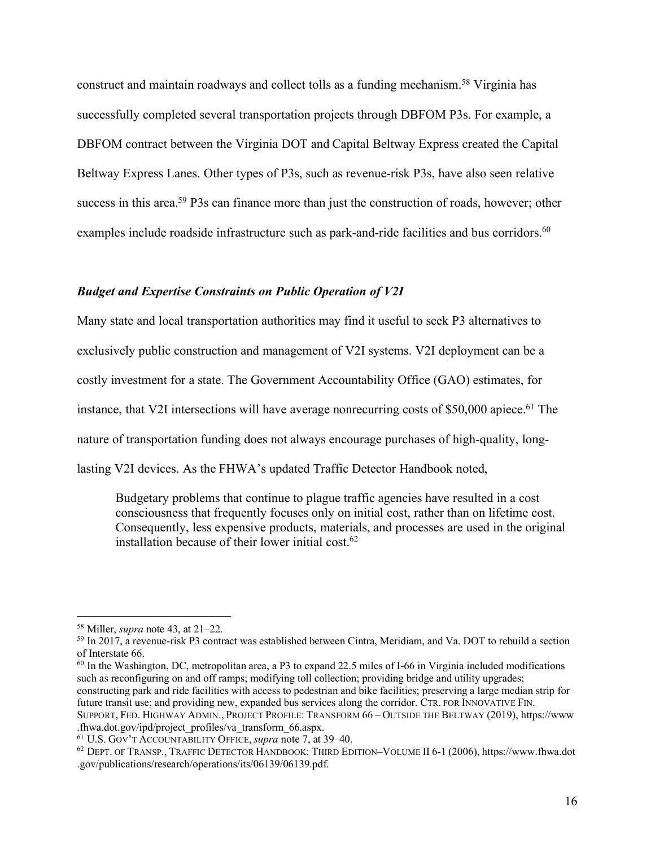construct and maintain roadways and collect tolls as a funding mechanism.<sup>58</sup> Virginia has successfully completed several transportation projects through DBFOM P3s. For example, a DBFOM contract between the Virginia DOT and Capital Beltway Express created the Capital Beltway Express Lanes. Other types of P3s, such as revenue-risk P3s, have also seen relative success in this area.<sup>59</sup> P3s can finance more than just the construction of roads, however; other examples include roadside infrastructure such as park-and-ride facilities and bus corridors.<sup>60</sup>

#### *Budget and Expertise Constraints on Public Operation of V2I*

Many state and local transportation authorities may find it useful to seek P3 alternatives to exclusively public construction and management of V2I systems. V2I deployment can be a costly investment for a state. The Government Accountability Office (GAO) estimates, for instance, that V2I intersections will have average nonrecurring costs of  $$50,000$  apiece.<sup>61</sup> The nature of transportation funding does not always encourage purchases of high-quality, longlasting V2I devices. As the FHWA's updated Traffic Detector Handbook noted,

Budgetary problems that continue to plague traffic agencies have resulted in a cost consciousness that frequently focuses only on initial cost, rather than on lifetime cost. Consequently, less expensive products, materials, and processes are used in the original installation because of their lower initial cost.<sup>62</sup>

SUPPORT, FED. HIGHWAY ADMIN., PROJECT PROFILE: TRANSFORM 66 – OUTSIDE THE BELTWAY (2019), [https://www](https://www.fhwa.dot.gov/ipd/project_profiles/va_transform_66.aspx) [.fhwa.dot.gov/ipd/project\\_profiles/va\\_transform\\_66.aspx.](https://www.fhwa.dot.gov/ipd/project_profiles/va_transform_66.aspx)

<sup>58</sup> Miller, *supra* note 43, at 21–22.

<sup>59</sup> In 2017, a revenue-risk P3 contract was established between Cintra, Meridiam, and Va. DOT to rebuild a section of Interstate 66.

 $60$  In the Washington, DC, metropolitan area, a P3 to expand 22.5 miles of I-66 in Virginia included modifications such as reconfiguring on and off ramps; modifying toll collection; providing bridge and utility upgrades;

constructing park and ride facilities with access to pedestrian and bike facilities; preserving a large median strip for future transit use; and providing new, expanded bus services along the corridor. CTR. FOR INNOVATIVE FIN.

<sup>61</sup> U.S. GOV'T ACCOUNTABILITY OFFICE, *supra* note 7, at 39–40.

<sup>62</sup> DEPT. OF TRANSP., TRAFFIC DETECTOR HANDBOOK: THIRD EDITION–VOLUME II 6-1 (2006), [https://www.fhwa.dot](https://www.fhwa.dot.gov/publications/research/operations/its/06139/06139.pdf) [.gov/publications/research/operations/its/06139/06139.pdf.](https://www.fhwa.dot.gov/publications/research/operations/its/06139/06139.pdf)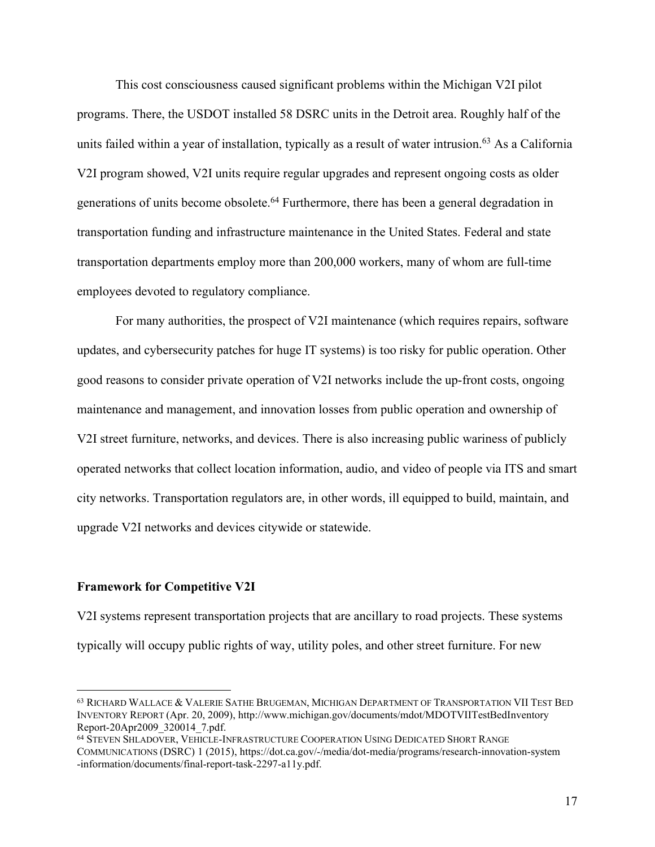This cost consciousness caused significant problems within the Michigan V2I pilot programs. There, the USDOT installed 58 DSRC units in the Detroit area. Roughly half of the units failed within a year of installation, typically as a result of water intrusion.<sup>63</sup> As a California V2I program showed, V2I units require regular upgrades and represent ongoing costs as older generations of units become obsolete.64 Furthermore, there has been a general degradation in transportation funding and infrastructure maintenance in the United States. Federal and state transportation departments employ more than 200,000 workers, many of whom are full-time employees devoted to regulatory compliance.

For many authorities, the prospect of V2I maintenance (which requires repairs, software updates, and cybersecurity patches for huge IT systems) is too risky for public operation. Other good reasons to consider private operation of V2I networks include the up-front costs, ongoing maintenance and management, and innovation losses from public operation and ownership of V2I street furniture, networks, and devices. There is also increasing public wariness of publicly operated networks that collect location information, audio, and video of people via ITS and smart city networks. Transportation regulators are, in other words, ill equipped to build, maintain, and upgrade V2I networks and devices citywide or statewide.

#### **Framework for Competitive V2I**

V2I systems represent transportation projects that are ancillary to road projects. These systems typically will occupy public rights of way, utility poles, and other street furniture. For new

 <sup>63</sup> RICHARD WALLACE & VALERIE SATHE BRUGEMAN, MICHIGAN DEPARTMENT OF TRANSPORTATION VII TEST BED INVENTORY REPORT (Apr. 20, 2009)[, http://www.michigan.gov/documents/mdot/MDOTVIITestBedInventory](http://www.michigan.gov/documents/mdot/MDOTVIITestBedInventoryReport-20Apr2009_320014_7.pdf) [Report-20Apr2009\\_320014\\_7.pdf.](http://www.michigan.gov/documents/mdot/MDOTVIITestBedInventoryReport-20Apr2009_320014_7.pdf)

<sup>64</sup> STEVEN SHLADOVER, VEHICLE-INFRASTRUCTURE COOPERATION USING DEDICATED SHORT RANGE COMMUNICATIONS (DSRC) 1 (2015), [https://dot.ca.gov/-/media/dot-media/programs/research-innovation-system](https://dot.ca.gov/-/media/dot-media/programs/research-innovation-system-information/documents/final-report-task-2297-a11y.pdf) [-information/documents/final-report-task-2297-a11y.pdf.](https://dot.ca.gov/-/media/dot-media/programs/research-innovation-system-information/documents/final-report-task-2297-a11y.pdf)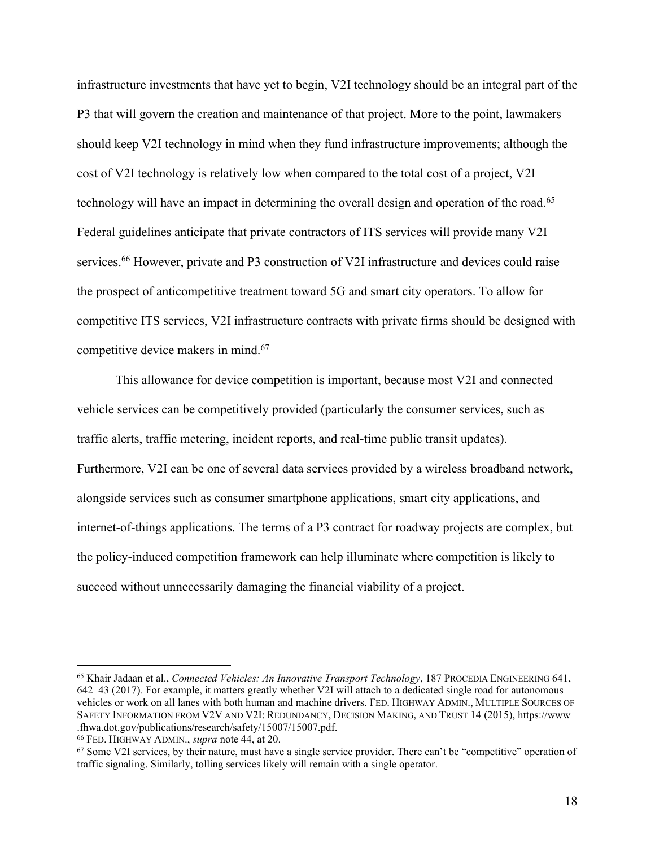infrastructure investments that have yet to begin, V2I technology should be an integral part of the P3 that will govern the creation and maintenance of that project. More to the point, lawmakers should keep V2I technology in mind when they fund infrastructure improvements; although the cost of V2I technology is relatively low when compared to the total cost of a project, V2I technology will have an impact in determining the overall design and operation of the road.<sup>65</sup> Federal guidelines anticipate that private contractors of ITS services will provide many V2I services.<sup>66</sup> However, private and P3 construction of V2I infrastructure and devices could raise the prospect of anticompetitive treatment toward 5G and smart city operators. To allow for competitive ITS services, V2I infrastructure contracts with private firms should be designed with competitive device makers in mind.67

This allowance for device competition is important, because most V2I and connected vehicle services can be competitively provided (particularly the consumer services, such as traffic alerts, traffic metering, incident reports, and real-time public transit updates). Furthermore, V2I can be one of several data services provided by a wireless broadband network, alongside services such as consumer smartphone applications, smart city applications, and internet-of-things applications. The terms of a P3 contract for roadway projects are complex, but the policy-induced competition framework can help illuminate where competition is likely to succeed without unnecessarily damaging the financial viability of a project.

 <sup>65</sup> Khair Jadaan et al., *Connected Vehicles: An Innovative Transport Technology*, 187 PROCEDIA ENGINEERING 641, 642–43 (2017)*.* For example, it matters greatly whether V2I will attach to a dedicated single road for autonomous vehicles or work on all lanes with both human and machine drivers. FED. HIGHWAY ADMIN., MULTIPLE SOURCES OF SAFETY INFORMATION FROM V2V AND V2I: REDUNDANCY, DECISION MAKING, AND TRUST 14 (2015), [https://www](https://www.fhwa.dot.gov/publications/research/safety/15007/15007.pdf) [.fhwa.dot.gov/publications/research/safety/15007/15007.pdf.](https://www.fhwa.dot.gov/publications/research/safety/15007/15007.pdf)

<sup>&</sup>lt;sup>66</sup> FED. HIGHWAY ADMIN., *supra* note 44, at 20.<br><sup>67</sup> Some V2I services, by their nature, must have a single service provider. There can't be "competitive" operation of traffic signaling. Similarly, tolling services likely will remain with a single operator.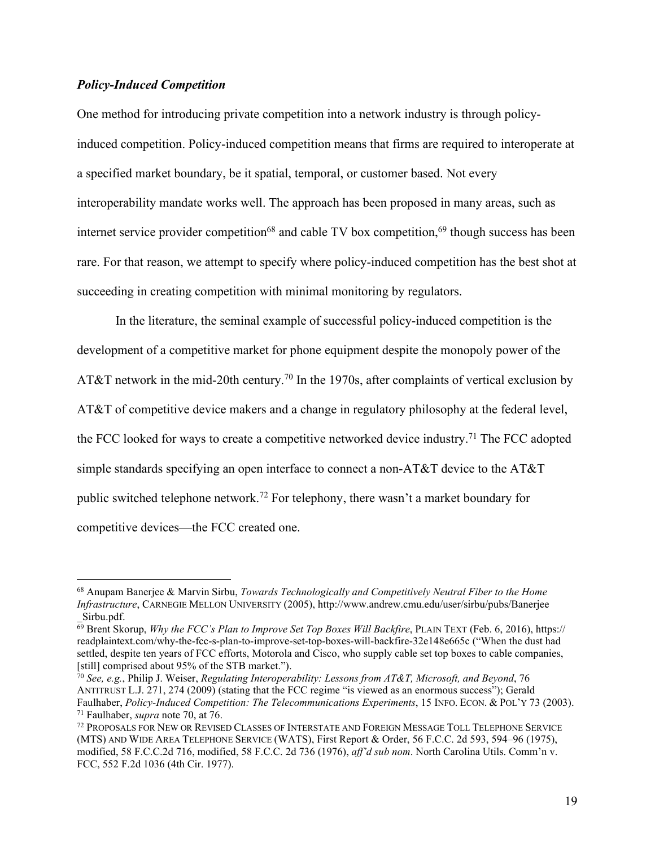## *Policy-Induced Competition*

One method for introducing private competition into a network industry is through policyinduced competition. Policy-induced competition means that firms are required to interoperate at a specified market boundary, be it spatial, temporal, or customer based. Not every interoperability mandate works well. The approach has been proposed in many areas, such as internet service provider competition<sup>68</sup> and cable TV box competition,<sup>69</sup> though success has been rare. For that reason, we attempt to specify where policy-induced competition has the best shot at succeeding in creating competition with minimal monitoring by regulators.

In the literature, the seminal example of successful policy-induced competition is the development of a competitive market for phone equipment despite the monopoly power of the AT&T network in the mid-20th century.<sup>70</sup> In the 1970s, after complaints of vertical exclusion by AT&T of competitive device makers and a change in regulatory philosophy at the federal level, the FCC looked for ways to create a competitive networked device industry.71 The FCC adopted simple standards specifying an open interface to connect a non-AT&T device to the AT&T public switched telephone network.72 For telephony, there wasn't a market boundary for competitive devices—the FCC created one.

 <sup>68</sup> Anupam Banerjee & Marvin Sirbu, *Towards Technologically and Competitively Neutral Fiber to the Home Infrastructure*, CARNEGIE MELLON UNIVERSITY (2005), [http://www.andrew.cmu.edu/user/sirbu/pubs/Banerjee](http://www.andrew.cmu.edu/user/sirbu/pubs/Banerjee_Sirbu.pdf)

 $\overline{69}$  $\overline{69}$  $\overline{69}$  Brent Skorup, *Why the FCC's Plan to Improve Set Top Boxes Will Backfire*, PLAIN TEXT (Feb. 6, 2016), [https://](https://readplaintext.com/why-the-fcc-s-plan-to-improve-set-top-boxes-will-backfire-32e148e665c) [readplaintext.com/why-the-fcc-s-plan-to-improve-set-top-boxes-will-backfire-32e148e665c](https://readplaintext.com/why-the-fcc-s-plan-to-improve-set-top-boxes-will-backfire-32e148e665c) ("When the dust had settled, despite ten years of FCC efforts, Motorola and Cisco, who supply cable set top boxes to cable companies, [still] comprised about 95% of the STB market.").

<sup>70</sup> *See, e.g.*, Philip J. Weiser, *Regulating Interoperability: Lessons from AT&T, Microsoft, and Beyond*, 76 ANTITRUST L.J. 271, 274 (2009) (stating that the FCC regime "is viewed as an enormous success"); Gerald Faulhaber, *Policy-Induced Competition: The Telecommunications Experiments*, 15 INFO. ECON. & POL'Y 73 (2003). <sup>71</sup> Faulhaber, *supra* note 70, at 76.

<sup>72</sup> PROPOSALS FOR NEW OR REVISED CLASSES OF INTERSTATE AND FOREIGN MESSAGE TOLL TELEPHONE SERVICE (MTS) AND WIDE AREA TELEPHONE SERVICE (WATS), First Report & Order, 56 F.C.C. 2d 593, 594–96 (1975), modified, 58 F.C.C.2d 716, modified, 58 F.C.C. 2d 736 (1976), *aff'd sub nom*. North Carolina Utils. Comm'n v. FCC, 552 F.2d 1036 (4th Cir. 1977).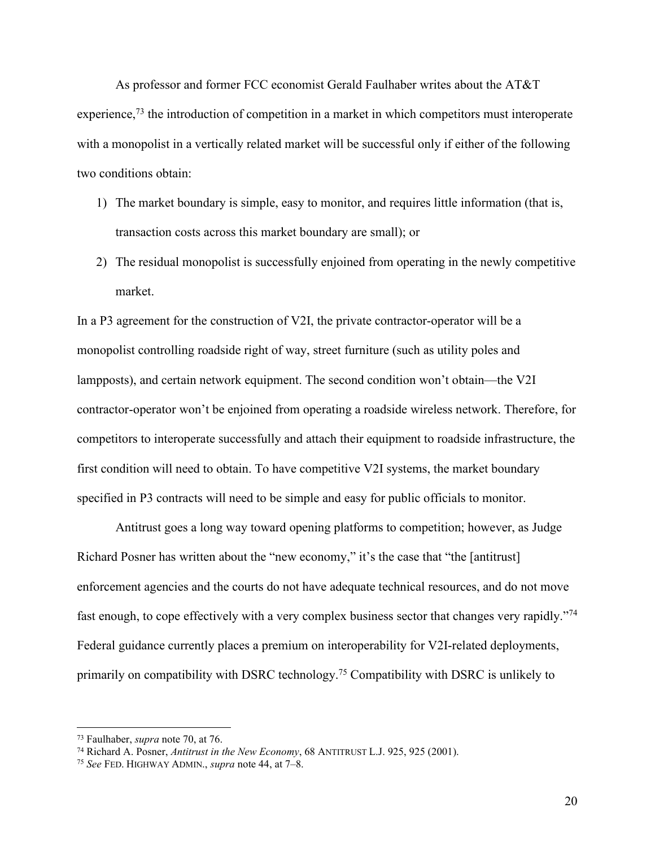As professor and former FCC economist Gerald Faulhaber writes about the AT&T experience,<sup>73</sup> the introduction of competition in a market in which competitors must interoperate with a monopolist in a vertically related market will be successful only if either of the following two conditions obtain:

- 1) The market boundary is simple, easy to monitor, and requires little information (that is, transaction costs across this market boundary are small); or
- 2) The residual monopolist is successfully enjoined from operating in the newly competitive market.

In a P3 agreement for the construction of V2I, the private contractor-operator will be a monopolist controlling roadside right of way, street furniture (such as utility poles and lampposts), and certain network equipment. The second condition won't obtain—the V2I contractor-operator won't be enjoined from operating a roadside wireless network. Therefore, for competitors to interoperate successfully and attach their equipment to roadside infrastructure, the first condition will need to obtain. To have competitive V2I systems, the market boundary specified in P3 contracts will need to be simple and easy for public officials to monitor.

Antitrust goes a long way toward opening platforms to competition; however, as Judge Richard Posner has written about the "new economy," it's the case that "the [antitrust] enforcement agencies and the courts do not have adequate technical resources, and do not move fast enough, to cope effectively with a very complex business sector that changes very rapidly."74 Federal guidance currently places a premium on interoperability for V2I-related deployments, primarily on compatibility with DSRC technology.<sup>75</sup> Compatibility with DSRC is unlikely to

 <sup>73</sup> Faulhaber, *supra* note 70, at 76.

<sup>74</sup> Richard A. Posner, *Antitrust in the New Economy*, 68 ANTITRUST L.J. 925, 925 (2001).

<sup>75</sup> *See* FED. HIGHWAY ADMIN., *supra* note 44, at 7–8.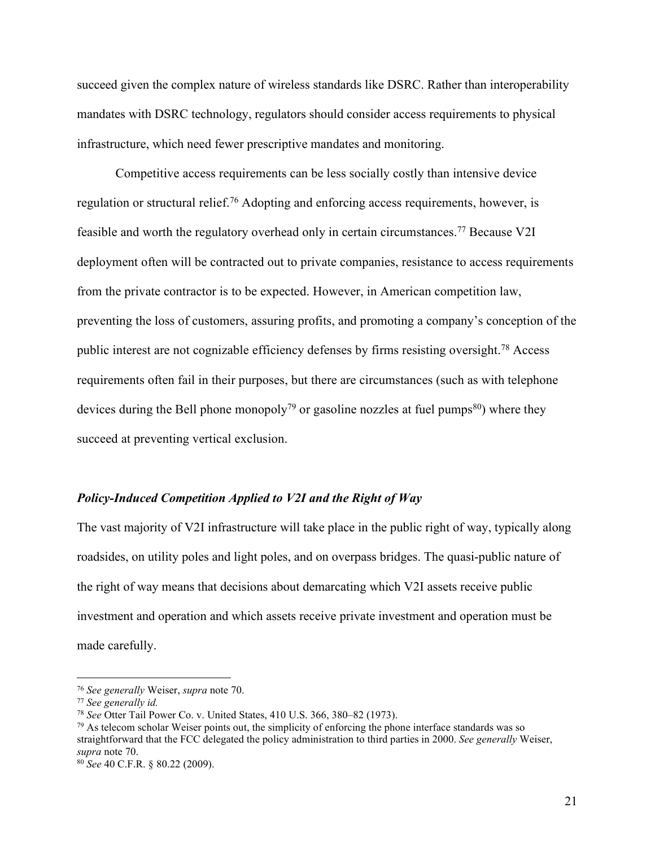succeed given the complex nature of wireless standards like DSRC. Rather than interoperability mandates with DSRC technology, regulators should consider access requirements to physical infrastructure, which need fewer prescriptive mandates and monitoring.

Competitive access requirements can be less socially costly than intensive device regulation or structural relief.76 Adopting and enforcing access requirements, however, is feasible and worth the regulatory overhead only in certain circumstances.77 Because V2I deployment often will be contracted out to private companies, resistance to access requirements from the private contractor is to be expected. However, in American competition law, preventing the loss of customers, assuring profits, and promoting a company's conception of the public interest are not cognizable efficiency defenses by firms resisting oversight.78 Access requirements often fail in their purposes, but there are circumstances (such as with telephone devices during the Bell phone monopoly<sup>79</sup> or gasoline nozzles at fuel pumps<sup>80</sup>) where they succeed at preventing vertical exclusion.

## *Policy-Induced Competition Applied to V2I and the Right of Way*

The vast majority of V2I infrastructure will take place in the public right of way, typically along roadsides, on utility poles and light poles, and on overpass bridges. The quasi-public nature of the right of way means that decisions about demarcating which V2I assets receive public investment and operation and which assets receive private investment and operation must be made carefully.

 $79$  As telecom scholar Weiser points out, the simplicity of enforcing the phone interface standards was so straightforward that the FCC delegated the policy administration to third parties in 2000. *See generally* Weiser, *supra* note 70.

 <sup>76</sup> *See generally* Weiser, *supra* note 70.

<sup>77</sup> *See generally id.*

<sup>78</sup> *See* Otter Tail Power Co. v. United States, 410 U.S. 366, 380–82 (1973).

<sup>80</sup> *See* 40 C.F.R. § 80.22 (2009).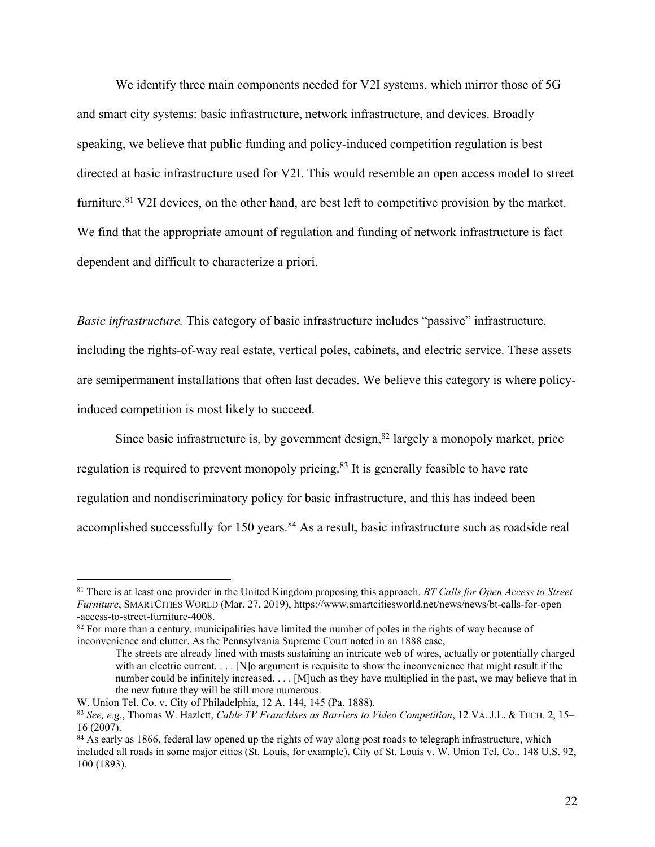We identify three main components needed for V2I systems, which mirror those of 5G and smart city systems: basic infrastructure, network infrastructure, and devices. Broadly speaking, we believe that public funding and policy-induced competition regulation is best directed at basic infrastructure used for V2I. This would resemble an open access model to street furniture.<sup>81</sup> V2I devices, on the other hand, are best left to competitive provision by the market. We find that the appropriate amount of regulation and funding of network infrastructure is fact dependent and difficult to characterize a priori.

*Basic infrastructure.* This category of basic infrastructure includes "passive" infrastructure, including the rights-of-way real estate, vertical poles, cabinets, and electric service. These assets are semipermanent installations that often last decades. We believe this category is where policyinduced competition is most likely to succeed.

Since basic infrastructure is, by government design, $82$  largely a monopoly market, price regulation is required to prevent monopoly pricing.83 It is generally feasible to have rate regulation and nondiscriminatory policy for basic infrastructure, and this has indeed been accomplished successfully for 150 years.<sup>84</sup> As a result, basic infrastructure such as roadside real

 <sup>81</sup> There is at least one provider in the United Kingdom proposing this approach. *BT Calls for Open Access to Street Furniture*, SMARTCITIES WORLD (Mar. 27, 2019)[, https://www.smartcitiesworld.net/news/news/bt-calls-for-open](https://www.smartcitiesworld.net/news/news/bt-calls-for-open-access-to-street-furniture-4008) [-access-to-street-furniture-4008.](https://www.smartcitiesworld.net/news/news/bt-calls-for-open-access-to-street-furniture-4008)<br><sup>[82](https://www.smartcitiesworld.net/news/news/bt-calls-for-open-access-to-street-furniture-4008)</sup> For more than a century, municipalities have limited the number of poles in the rights of way because of

inconvenience and clutter. As the Pennsylvania Supreme Court noted in an 1888 case,

The streets are already lined with masts sustaining an intricate web of wires, actually or potentially charged with an electric current. . . . [N]o argument is requisite to show the inconvenience that might result if the number could be infinitely increased. . . . [M]uch as they have multiplied in the past, we may believe that in the new future they will be still more numerous.

W. Union Tel. Co. v. City of Philadelphia, 12 A. 144, 145 (Pa. 1888).

<sup>83</sup> *See, e.g.*, Thomas W. Hazlett, *Cable TV Franchises as Barriers to Video Competition*, 12 VA. J.L. & TECH. 2, 15–  $16(2007)$ .

<sup>&</sup>lt;sup>84</sup> As early as 1866, federal law opened up the rights of way along post roads to telegraph infrastructure, which included all roads in some major cities (St. Louis, for example). City of St. Louis v. W. Union Tel. Co., 148 U.S. 92, 100 (1893).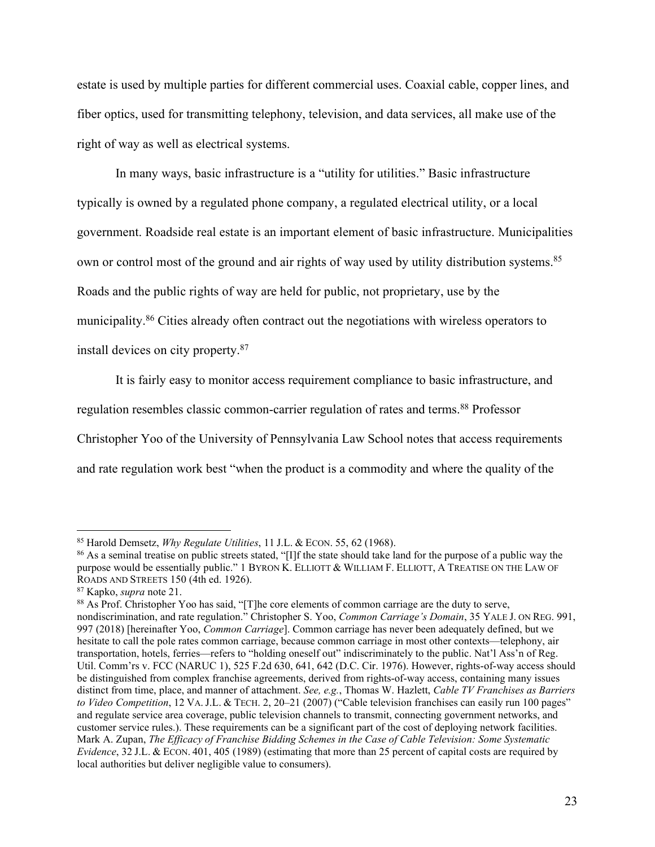estate is used by multiple parties for different commercial uses. Coaxial cable, copper lines, and fiber optics, used for transmitting telephony, television, and data services, all make use of the right of way as well as electrical systems.

In many ways, basic infrastructure is a "utility for utilities." Basic infrastructure typically is owned by a regulated phone company, a regulated electrical utility, or a local government. Roadside real estate is an important element of basic infrastructure. Municipalities own or control most of the ground and air rights of way used by utility distribution systems.<sup>85</sup> Roads and the public rights of way are held for public, not proprietary, use by the municipality.<sup>86</sup> Cities already often contract out the negotiations with wireless operators to install devices on city property.87

It is fairly easy to monitor access requirement compliance to basic infrastructure, and regulation resembles classic common-carrier regulation of rates and terms.<sup>88</sup> Professor Christopher Yoo of the University of Pennsylvania Law School notes that access requirements and rate regulation work best "when the product is a commodity and where the quality of the

 <sup>85</sup> Harold Demsetz, *Why Regulate Utilities*, 11 J.L. & ECON. 55, 62 (1968).

<sup>&</sup>lt;sup>86</sup> As a seminal treatise on public streets stated, "[I]f the state should take land for the purpose of a public way the purpose would be essentially public." 1 BYRON K. ELLIOTT & WILLIAM F. ELLIOTT, A TREATISE ON THE LAW OF ROADS AND STREETS 150 (4th ed. 1926).

<sup>&</sup>lt;sup>87</sup> Kapko, *supra* note 21.<br><sup>88</sup> As Prof. Christopher Yoo has said, "[T]he core elements of common carriage are the duty to serve, nondiscrimination, and rate regulation." Christopher S. Yoo, *Common Carriage's Domain*, 35 YALE J. ON REG. 991, 997 (2018) [hereinafter Yoo, *Common Carriage*]. Common carriage has never been adequately defined, but we hesitate to call the pole rates common carriage, because common carriage in most other contexts—telephony, air transportation, hotels, ferries—refers to "holding oneself out" indiscriminately to the public. Nat'l Ass'n of Reg. Util. Comm'rs v. FCC (NARUC 1), 525 F.2d 630, 641, 642 (D.C. Cir. 1976). However, rights-of-way access should be distinguished from complex franchise agreements, derived from rights-of-way access, containing many issues distinct from time, place, and manner of attachment. *See, e.g.*, Thomas W. Hazlett, *Cable TV Franchises as Barriers to Video Competition*, 12 VA.J.L. & TECH. 2, 20–21 (2007) ("Cable television franchises can easily run 100 pages" and regulate service area coverage, public television channels to transmit, connecting government networks, and customer service rules.). These requirements can be a significant part of the cost of deploying network facilities. Mark A. Zupan, *The Efficacy of Franchise Bidding Schemes in the Case of Cable Television: Some Systematic Evidence*, 32 J.L. & ECON. 401, 405 (1989) (estimating that more than 25 percent of capital costs are required by local authorities but deliver negligible value to consumers).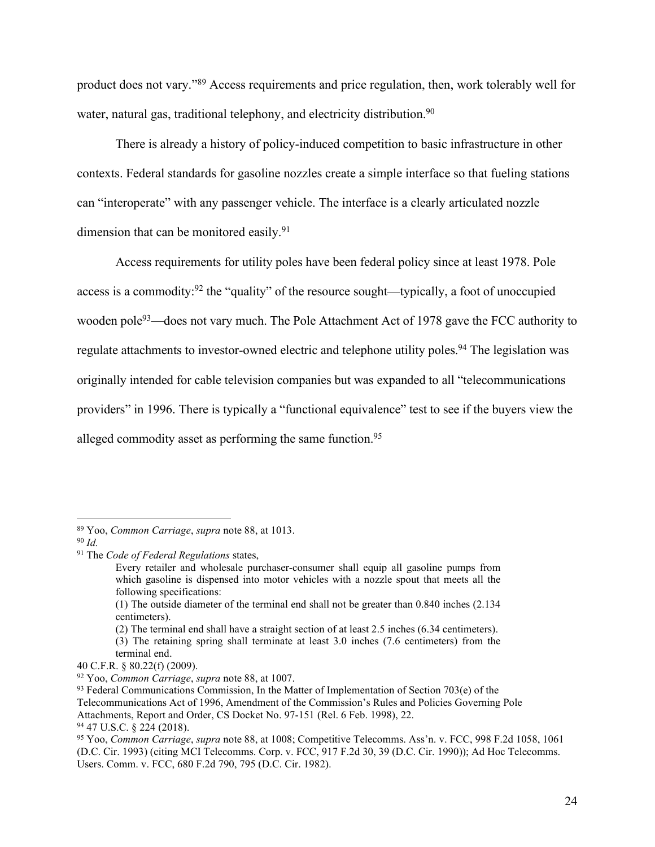product does not vary."89 Access requirements and price regulation, then, work tolerably well for water, natural gas, traditional telephony, and electricity distribution.<sup>90</sup>

There is already a history of policy-induced competition to basic infrastructure in other contexts. Federal standards for gasoline nozzles create a simple interface so that fueling stations can "interoperate" with any passenger vehicle. The interface is a clearly articulated nozzle dimension that can be monitored easily.<sup>91</sup>

Access requirements for utility poles have been federal policy since at least 1978. Pole access is a commodity:<sup>92</sup> the "quality" of the resource sought—typically, a foot of unoccupied wooden pole<sup>93</sup>—does not vary much. The Pole Attachment Act of 1978 gave the FCC authority to regulate attachments to investor-owned electric and telephone utility poles.<sup>94</sup> The legislation was originally intended for cable television companies but was expanded to all "telecommunications providers" in 1996. There is typically a "functional equivalence" test to see if the buyers view the alleged commodity asset as performing the same function.<sup>95</sup>

Telecommunications Act of 1996, Amendment of the Commission's Rules and Policies Governing Pole

 <sup>89</sup> Yoo, *Common Carriage*, *supra* note 88, at 1013.

<sup>90</sup> *Id.*

<sup>91</sup> The *Code of Federal Regulations* states,

Every retailer and wholesale purchaser-consumer shall equip all gasoline pumps from which gasoline is dispensed into motor vehicles with a nozzle spout that meets all the following specifications:

<sup>(1)</sup> The outside diameter of the terminal end shall not be greater than 0.840 inches (2.134 centimeters).

<sup>(2)</sup> The terminal end shall have a straight section of at least 2.5 inches (6.34 centimeters).

<sup>(3)</sup> The retaining spring shall terminate at least 3.0 inches (7.6 centimeters) from the terminal end.

<sup>40</sup> C.F.R. § 80.22(f) (2009).

<sup>92</sup> Yoo, *Common Carriage*, *supra* note 88, at 1007.

 $93$  Federal Communications Commission, In the Matter of Implementation of Section 703(e) of the

Attachments, Report and Order, CS Docket No. 97-151 (Rel. 6 Feb. 1998), 22.

<sup>94</sup> 47 U.S.C. § 224 (2018).

<sup>95</sup> Yoo, *Common Carriage*, *supra* note 88, at 1008; Competitive Telecomms. Ass'n. v. FCC, 998 F.2d 1058, 1061 (D.C. Cir. 1993) (citing MCI Telecomms. Corp. v. FCC, 917 F.2d 30, 39 (D.C. Cir. 1990)); Ad Hoc Telecomms. Users. Comm. v. FCC, 680 F.2d 790, 795 (D.C. Cir. 1982).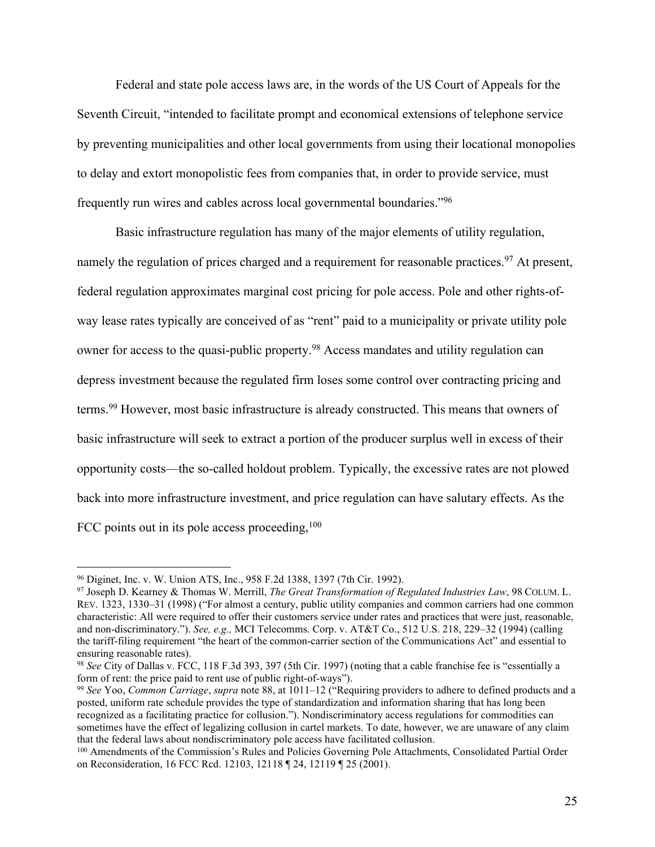Federal and state pole access laws are, in the words of the US Court of Appeals for the Seventh Circuit, "intended to facilitate prompt and economical extensions of telephone service by preventing municipalities and other local governments from using their locational monopolies to delay and extort monopolistic fees from companies that, in order to provide service, must frequently run wires and cables across local governmental boundaries."96

Basic infrastructure regulation has many of the major elements of utility regulation, namely the regulation of prices charged and a requirement for reasonable practices.<sup>97</sup> At present, federal regulation approximates marginal cost pricing for pole access. Pole and other rights-ofway lease rates typically are conceived of as "rent" paid to a municipality or private utility pole owner for access to the quasi-public property.98 Access mandates and utility regulation can depress investment because the regulated firm loses some control over contracting pricing and terms.99 However, most basic infrastructure is already constructed. This means that owners of basic infrastructure will seek to extract a portion of the producer surplus well in excess of their opportunity costs—the so-called holdout problem. Typically, the excessive rates are not plowed back into more infrastructure investment, and price regulation can have salutary effects. As the FCC points out in its pole access proceeding,  $100$ 

 <sup>96</sup> Diginet, Inc. v. W. Union ATS, Inc., 958 F.2d 1388, 1397 (7th Cir. 1992).

<sup>97</sup> Joseph D. Kearney & Thomas W. Merrill, *The Great Transformation of Regulated Industries Law*, 98 COLUM. L. REV. 1323, 1330–31 (1998) ("For almost a century, public utility companies and common carriers had one common characteristic: All were required to offer their customers service under rates and practices that were just, reasonable, and non-discriminatory."). *See, e.g.,* MCI Telecomms. Corp. v. AT&T Co., 512 U.S. 218, 229–32 (1994) (calling the tariff-filing requirement "the heart of the common-carrier section of the Communications Act" and essential to ensuring reasonable rates).

<sup>98</sup> *See* City of Dallas v. FCC, 118 F.3d 393, 397 (5th Cir. 1997) (noting that a cable franchise fee is "essentially a form of rent: the price paid to rent use of public right-of-ways").

<sup>99</sup> *See* Yoo, *Common Carriage*, *supra* note 88, at 1011–12 ("Requiring providers to adhere to defined products and a posted, uniform rate schedule provides the type of standardization and information sharing that has long been recognized as a facilitating practice for collusion."). Nondiscriminatory access regulations for commodities can sometimes have the effect of legalizing collusion in cartel markets. To date, however, we are unaware of any claim that the federal laws about nondiscriminatory pole access have facilitated collusion.

<sup>100</sup> Amendments of the Commission's Rules and Policies Governing Pole Attachments, Consolidated Partial Order on Reconsideration, 16 FCC Rcd. 12103, 12118 ¶ 24, 12119 ¶ 25 (2001).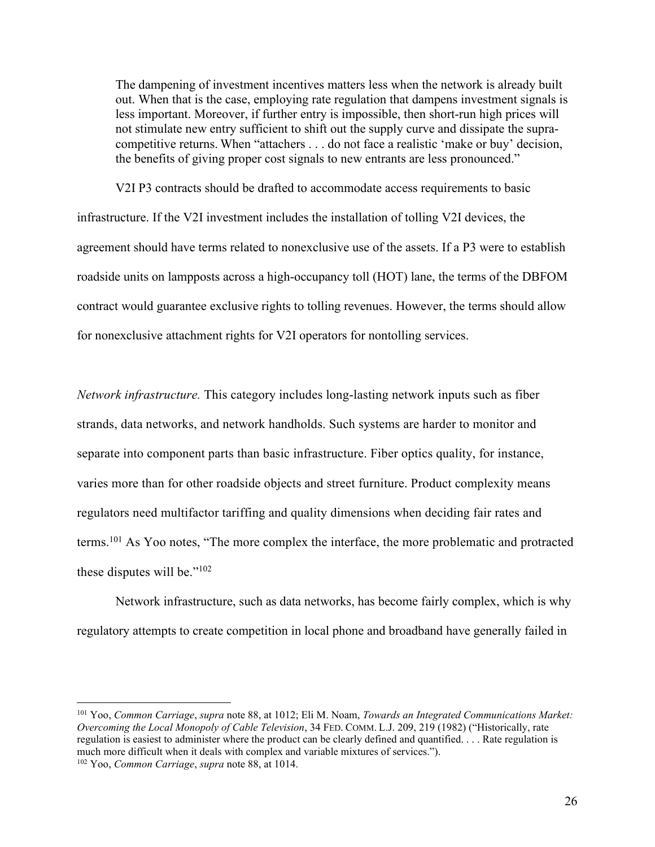The dampening of investment incentives matters less when the network is already built out. When that is the case, employing rate regulation that dampens investment signals is less important. Moreover, if further entry is impossible, then short-run high prices will not stimulate new entry sufficient to shift out the supply curve and dissipate the supracompetitive returns. When "attachers . . . do not face a realistic 'make or buy' decision, the benefits of giving proper cost signals to new entrants are less pronounced."

V2I P3 contracts should be drafted to accommodate access requirements to basic infrastructure. If the V2I investment includes the installation of tolling V2I devices, the agreement should have terms related to nonexclusive use of the assets. If a P3 were to establish roadside units on lampposts across a high-occupancy toll (HOT) lane, the terms of the DBFOM contract would guarantee exclusive rights to tolling revenues. However, the terms should allow for nonexclusive attachment rights for V2I operators for nontolling services.

*Network infrastructure.* This category includes long-lasting network inputs such as fiber strands, data networks, and network handholds. Such systems are harder to monitor and separate into component parts than basic infrastructure. Fiber optics quality, for instance, varies more than for other roadside objects and street furniture. Product complexity means regulators need multifactor tariffing and quality dimensions when deciding fair rates and terms.101 As Yoo notes, "The more complex the interface, the more problematic and protracted these disputes will be."102

Network infrastructure, such as data networks, has become fairly complex, which is why regulatory attempts to create competition in local phone and broadband have generally failed in

 <sup>101</sup> Yoo, *Common Carriage*, *supra* note 88, at 1012; Eli M. Noam, *Towards an Integrated Communications Market: Overcoming the Local Monopoly of Cable Television*, 34 FED. COMM. L.J. 209, 219 (1982) ("Historically, rate regulation is easiest to administer where the product can be clearly defined and quantified. . . . Rate regulation is much more difficult when it deals with complex and variable mixtures of services."). <sup>102</sup> Yoo, *Common Carriage*, *supra* note 88, at 1014.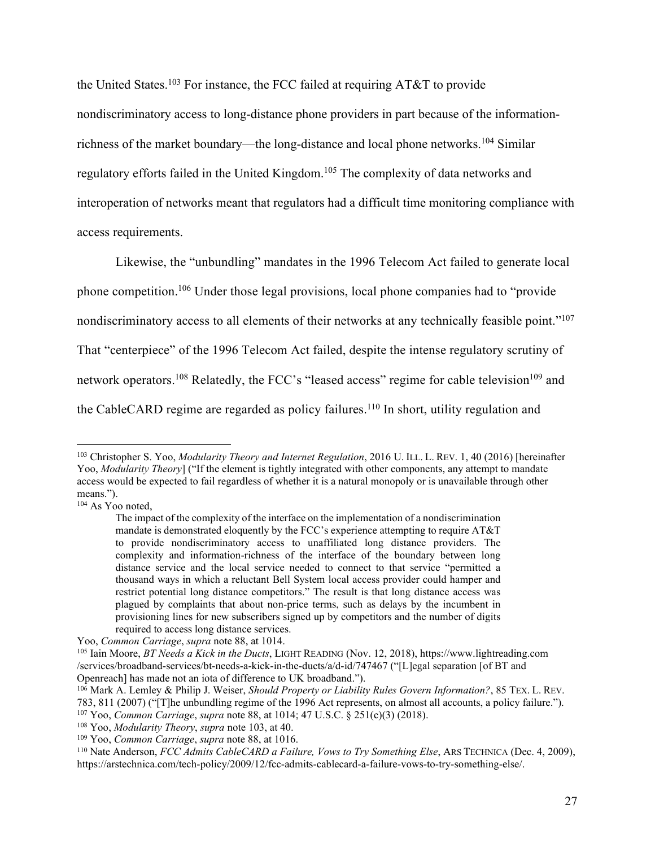the United States.<sup>103</sup> For instance, the FCC failed at requiring AT&T to provide

nondiscriminatory access to long-distance phone providers in part because of the informationrichness of the market boundary—the long-distance and local phone networks.104 Similar regulatory efforts failed in the United Kingdom.105 The complexity of data networks and interoperation of networks meant that regulators had a difficult time monitoring compliance with

access requirements.

Likewise, the "unbundling" mandates in the 1996 Telecom Act failed to generate local phone competition.<sup>106</sup> Under those legal provisions, local phone companies had to "provide nondiscriminatory access to all elements of their networks at any technically feasible point."<sup>107</sup> That "centerpiece" of the 1996 Telecom Act failed, despite the intense regulatory scrutiny of network operators.<sup>108</sup> Relatedly, the FCC's "leased access" regime for cable television<sup>109</sup> and the CableCARD regime are regarded as policy failures.<sup>110</sup> In short, utility regulation and

<sup>104</sup> As Yoo noted.

 <sup>103</sup> Christopher S. Yoo, *Modularity Theory and Internet Regulation*, 2016 U. ILL. L. REV. 1, 40 (2016) [hereinafter Yoo, *Modularity Theory*] ("If the element is tightly integrated with other components, any attempt to mandate access would be expected to fail regardless of whether it is a natural monopoly or is unavailable through other means.").

The impact of the complexity of the interface on the implementation of a nondiscrimination mandate is demonstrated eloquently by the FCC's experience attempting to require AT&T to provide nondiscriminatory access to unaffiliated long distance providers. The complexity and information-richness of the interface of the boundary between long distance service and the local service needed to connect to that service "permitted a thousand ways in which a reluctant Bell System local access provider could hamper and restrict potential long distance competitors." The result is that long distance access was plagued by complaints that about non-price terms, such as delays by the incumbent in provisioning lines for new subscribers signed up by competitors and the number of digits required to access long distance services.

Yoo, *Common Carriage*, *supra* note 88, at 1014.

<sup>105</sup> Iain Moore, *BT Needs a Kick in the Ducts*, LIGHT READING (Nov. 12, 2018), [https://www.lightreading.com](https://www.lightreading.com/services/broadband-services/bt-needs-a-kick-in-the-ducts/a/d-id/747467) [/services/broadband-services/bt-needs-a-kick-in-the-ducts/a/d-id/747467](https://www.lightreading.com/services/broadband-services/bt-needs-a-kick-in-the-ducts/a/d-id/747467) ("[L]egal separation [of BT and Openreach] has made not an iota of difference to UK broadband.").

<sup>106</sup> Mark A. Lemley & Philip J. Weiser, *Should Property or Liability Rules Govern Information?*, 85 TEX. L. REV. 783, 811 (2007) ("[T]he unbundling regime of the 1996 Act represents, on almost all accounts, a policy failure."). <sup>107</sup> Yoo, *Common Carriage*, *supra* note 88, at 1014; 47 U.S.C. § 251(c)(3) (2018).

<sup>108</sup> Yoo, *Modularity Theory*, *supra* note 103, at 40.

<sup>109</sup> Yoo, *Common Carriage*, *supra* note 88, at 1016.

<sup>110</sup> Nate Anderson, *FCC Admits CableCARD a Failure, Vows to Try Something Else*, ARS TECHNICA (Dec. 4, 2009), [https://arstechnica.com/tech-policy/2009/12/fcc-admits-cablecard-a-failure-vows-to-try-something-else/.](https://arstechnica.com/tech-policy/2009/12/fcc-admits-cablecard-a-failure-vows-to-try-something-else/)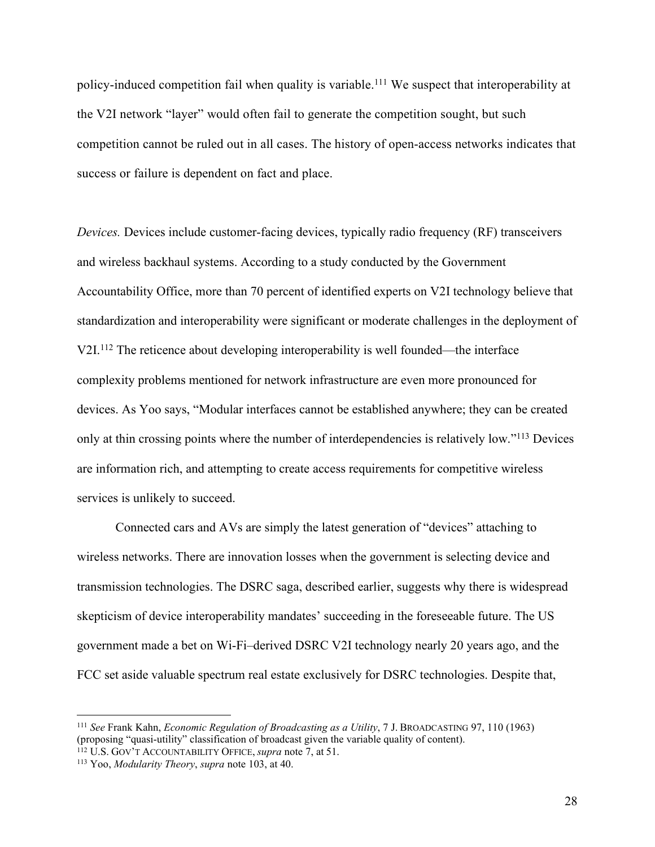policy-induced competition fail when quality is variable. <sup>111</sup> We suspect that interoperability at the V2I network "layer" would often fail to generate the competition sought, but such competition cannot be ruled out in all cases. The history of open-access networks indicates that success or failure is dependent on fact and place.

*Devices.* Devices include customer-facing devices, typically radio frequency (RF) transceivers and wireless backhaul systems. According to a study conducted by the Government Accountability Office, more than 70 percent of identified experts on V2I technology believe that standardization and interoperability were significant or moderate challenges in the deployment of V2I.112 The reticence about developing interoperability is well founded—the interface complexity problems mentioned for network infrastructure are even more pronounced for devices. As Yoo says, "Modular interfaces cannot be established anywhere; they can be created only at thin crossing points where the number of interdependencies is relatively low."113 Devices are information rich, and attempting to create access requirements for competitive wireless services is unlikely to succeed.

Connected cars and AVs are simply the latest generation of "devices" attaching to wireless networks. There are innovation losses when the government is selecting device and transmission technologies. The DSRC saga, described earlier, suggests why there is widespread skepticism of device interoperability mandates' succeeding in the foreseeable future. The US government made a bet on Wi-Fi–derived DSRC V2I technology nearly 20 years ago, and the FCC set aside valuable spectrum real estate exclusively for DSRC technologies. Despite that,

 <sup>111</sup> *See* Frank Kahn, *Economic Regulation of Broadcasting as a Utility*, 7 J. BROADCASTING 97, 110 (1963) (proposing "quasi-utility" classification of broadcast given the variable quality of content).

<sup>112</sup> U.S. GOV'T ACCOUNTABILITY OFFICE, *supra* note 7, at 51. 113 Yoo, *Modularity Theory*, *supra* note 103, at 40.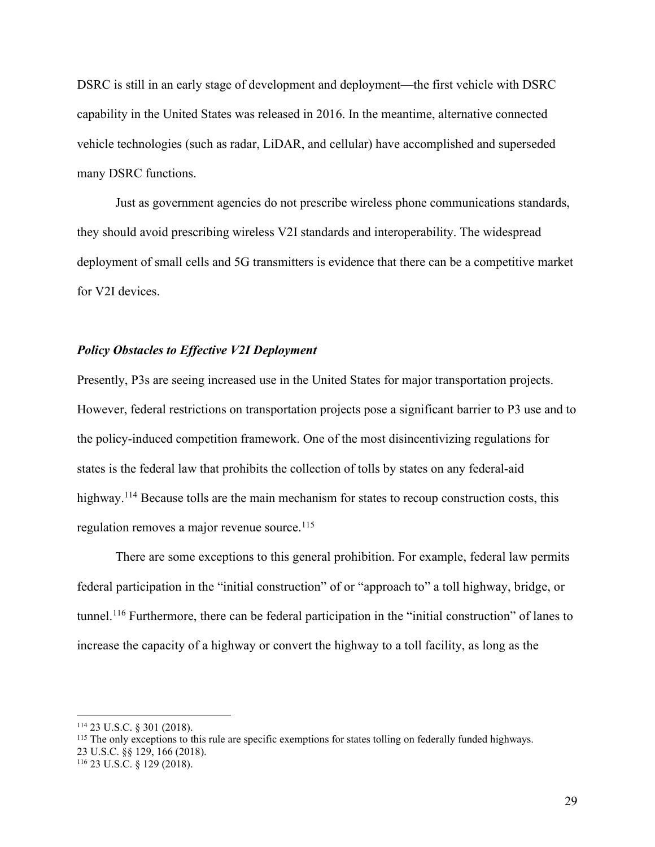DSRC is still in an early stage of development and deployment—the first vehicle with DSRC capability in the United States was released in 2016. In the meantime, alternative connected vehicle technologies (such as radar, LiDAR, and cellular) have accomplished and superseded many DSRC functions.

Just as government agencies do not prescribe wireless phone communications standards, they should avoid prescribing wireless V2I standards and interoperability. The widespread deployment of small cells and 5G transmitters is evidence that there can be a competitive market for V2I devices.

## *Policy Obstacles to Effective V2I Deployment*

Presently, P3s are seeing increased use in the United States for major transportation projects. However, federal restrictions on transportation projects pose a significant barrier to P3 use and to the policy-induced competition framework. One of the most disincentivizing regulations for states is the federal law that prohibits the collection of tolls by states on any federal-aid highway.<sup>114</sup> Because tolls are the main mechanism for states to recoup construction costs, this regulation removes a major revenue source.<sup>115</sup>

There are some exceptions to this general prohibition. For example, federal law permits federal participation in the "initial construction" of or "approach to" a toll highway, bridge, or tunnel.116 Furthermore, there can be federal participation in the "initial construction" of lanes to increase the capacity of a highway or convert the highway to a toll facility, as long as the

<sup>116</sup> 23 U.S.C. § 129 (2018).

 <sup>114</sup> 23 U.S.C. § 301 (2018).

<sup>115</sup> The only exceptions to this rule are specific exemptions for states tolling on federally funded highways. 23 U.S.C. §§ 129, 166 (2018).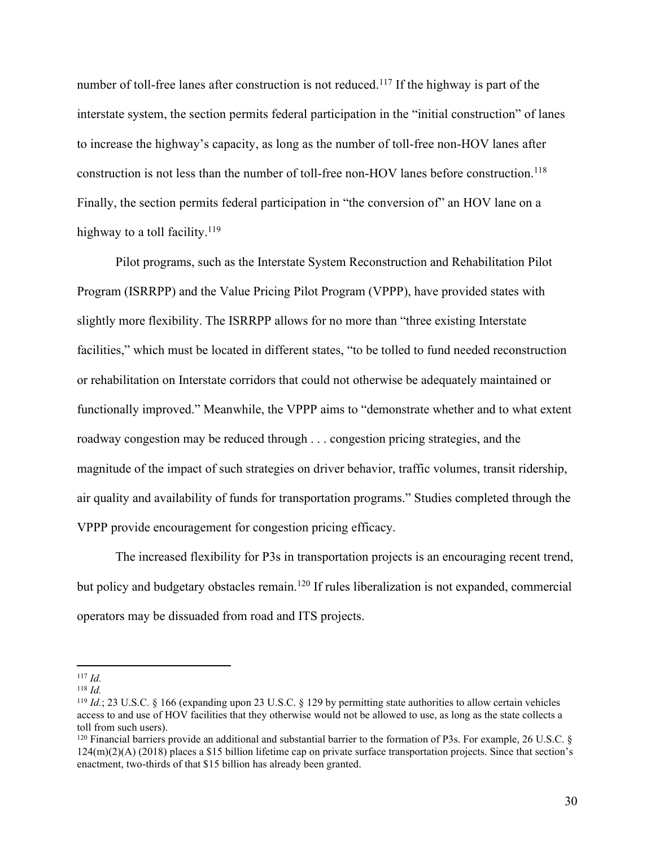number of toll-free lanes after construction is not reduced.<sup>117</sup> If the highway is part of the interstate system, the section permits federal participation in the "initial construction" of lanes to increase the highway's capacity, as long as the number of toll-free non-HOV lanes after construction is not less than the number of toll-free non-HOV lanes before construction.<sup>118</sup> Finally, the section permits federal participation in "the conversion of" an HOV lane on a highway to a toll facility.<sup>119</sup>

Pilot programs, such as the Interstate System Reconstruction and Rehabilitation Pilot Program (ISRRPP) and the Value Pricing Pilot Program (VPPP), have provided states with slightly more flexibility. The ISRRPP allows for no more than "three existing Interstate facilities," which must be located in different states, "to be tolled to fund needed reconstruction or rehabilitation on Interstate corridors that could not otherwise be adequately maintained or functionally improved." Meanwhile, the VPPP aims to "demonstrate whether and to what extent roadway congestion may be reduced through . . . congestion pricing strategies, and the magnitude of the impact of such strategies on driver behavior, traffic volumes, transit ridership, air quality and availability of funds for transportation programs." Studies completed through the VPPP provide encouragement for congestion pricing efficacy.

The increased flexibility for P3s in transportation projects is an encouraging recent trend, but policy and budgetary obstacles remain.<sup>120</sup> If rules liberalization is not expanded, commercial operators may be dissuaded from road and ITS projects.

 <sup>117</sup> *Id.*

<sup>118</sup> *Id.*

<sup>119</sup> *Id.*; 23 U.S.C. § 166 (expanding upon 23 U.S.C. § 129 by permitting state authorities to allow certain vehicles access to and use of HOV facilities that they otherwise would not be allowed to use, as long as the state collects a toll from such users).

 $120$  Financial barriers provide an additional and substantial barrier to the formation of P3s. For example, 26 U.S.C.  $\delta$  $124(m)(2)(A)$  (2018) places a \$15 billion lifetime cap on private surface transportation projects. Since that section's enactment, two-thirds of that \$15 billion has already been granted.